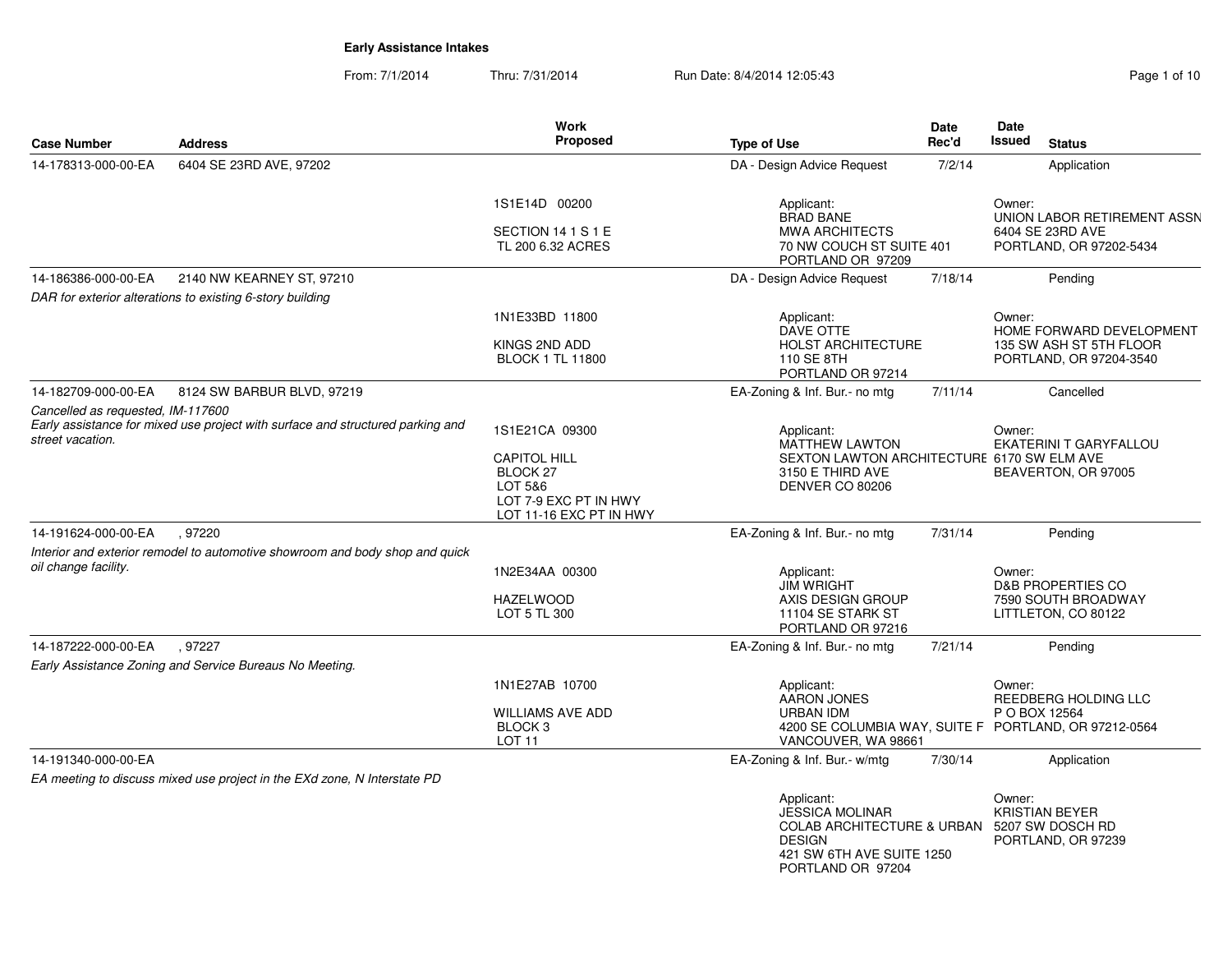| <b>Case Number</b>                                    | <b>Address</b>                                                                 | <b>Work</b><br><b>Proposed</b>                                                                            | <b>Type of Use</b>                                                                                                                                     | Date<br>Rec'd | <b>Date</b><br><b>Issued</b><br><b>Status</b>                                        |
|-------------------------------------------------------|--------------------------------------------------------------------------------|-----------------------------------------------------------------------------------------------------------|--------------------------------------------------------------------------------------------------------------------------------------------------------|---------------|--------------------------------------------------------------------------------------|
| 14-178313-000-00-EA                                   | 6404 SE 23RD AVE, 97202                                                        |                                                                                                           | DA - Design Advice Request                                                                                                                             | 7/2/14        | Application                                                                          |
|                                                       |                                                                                | 1S1E14D 00200<br>SECTION 14 1 S 1 E<br>TL 200 6.32 ACRES                                                  | Applicant:<br><b>BRAD BANE</b><br><b>MWA ARCHITECTS</b><br>70 NW COUCH ST SUITE 401<br>PORTLAND OR 97209                                               |               | Owner:<br>UNION LABOR RETIREMENT ASSN<br>6404 SE 23RD AVE<br>PORTLAND, OR 97202-5434 |
| 14-186386-000-00-EA                                   | 2140 NW KEARNEY ST, 97210                                                      |                                                                                                           | DA - Design Advice Request                                                                                                                             | 7/18/14       | Pending                                                                              |
|                                                       | DAR for exterior alterations to existing 6-story building                      |                                                                                                           |                                                                                                                                                        |               |                                                                                      |
|                                                       |                                                                                | 1N1E33BD 11800<br>KINGS 2ND ADD                                                                           | Applicant:<br>DAVE OTTE<br><b>HOLST ARCHITECTURE</b>                                                                                                   |               | Owner:<br>HOME FORWARD DEVELOPMENT<br>135 SW ASH ST 5TH FLOOR                        |
|                                                       |                                                                                | <b>BLOCK 1 TL 11800</b>                                                                                   | 110 SE 8TH<br>PORTLAND OR 97214                                                                                                                        |               | PORTLAND, OR 97204-3540                                                              |
| 14-182709-000-00-EA                                   | 8124 SW BARBUR BLVD, 97219                                                     |                                                                                                           | EA-Zoning & Inf. Bur.- no mtg                                                                                                                          | 7/11/14       | Cancelled                                                                            |
| Cancelled as requested, IM-117600<br>street vacation. | Early assistance for mixed use project with surface and structured parking and | 1S1E21CA 09300                                                                                            | Applicant:<br><b>MATTHEW LAWTON</b>                                                                                                                    |               | Owner:<br>EKATERINI T GARYFALLOU                                                     |
|                                                       |                                                                                | <b>CAPITOL HILL</b><br>BLOCK <sub>27</sub><br>LOT 5&6<br>LOT 7-9 EXC PT IN HWY<br>LOT 11-16 EXC PT IN HWY | SEXTON LAWTON ARCHITECTURE 6170 SW ELM AVE<br>3150 E THIRD AVE<br>DENVER CO 80206                                                                      |               | BEAVERTON, OR 97005                                                                  |
| 14-191624-000-00-EA                                   | , 97220                                                                        |                                                                                                           | EA-Zoning & Inf. Bur.- no mtg                                                                                                                          | 7/31/14       | Pending                                                                              |
| oil change facility.                                  | Interior and exterior remodel to automotive showroom and body shop and quick   | 1N2E34AA 00300                                                                                            | Applicant:                                                                                                                                             |               | Owner:                                                                               |
|                                                       |                                                                                | <b>HAZELWOOD</b><br>LOT 5 TL 300                                                                          | <b>JIM WRIGHT</b><br>AXIS DESIGN GROUP<br>11104 SE STARK ST                                                                                            |               | <b>D&amp;B PROPERTIES CO</b><br>7590 SOUTH BROADWAY<br>LITTLETON, CO 80122           |
| 14-187222-000-00-EA                                   | .97227                                                                         |                                                                                                           | PORTLAND OR 97216<br>EA-Zoning & Inf. Bur.- no mtg                                                                                                     | 7/21/14       | Pending                                                                              |
|                                                       | Early Assistance Zoning and Service Bureaus No Meeting.                        |                                                                                                           |                                                                                                                                                        |               |                                                                                      |
|                                                       |                                                                                | 1N1E27AB 10700                                                                                            | Applicant:<br><b>AARON JONES</b>                                                                                                                       |               | Owner:<br>REEDBERG HOLDING LLC                                                       |
|                                                       |                                                                                | <b>WILLIAMS AVE ADD</b><br>BLOCK <sub>3</sub><br><b>LOT 11</b>                                            | <b>URBAN IDM</b><br>VANCOUVER, WA 98661                                                                                                                |               | P O BOX 12564<br>4200 SE COLUMBIA WAY, SUITE F PORTLAND, OR 97212-0564               |
| 14-191340-000-00-EA                                   |                                                                                |                                                                                                           | EA-Zoning & Inf. Bur.- w/mtg                                                                                                                           | 7/30/14       | Application                                                                          |
|                                                       | EA meeting to discuss mixed use project in the EXd zone, N Interstate PD       |                                                                                                           |                                                                                                                                                        |               |                                                                                      |
|                                                       |                                                                                |                                                                                                           | Applicant:<br><b>JESSICA MOLINAR</b><br>COLAB ARCHITECTURE & URBAN 5207 SW DOSCH RD<br><b>DESIGN</b><br>421 SW 6TH AVE SUITE 1250<br>PORTLAND OR 97204 |               | Owner:<br><b>KRISTIAN BEYER</b><br>PORTLAND, OR 97239                                |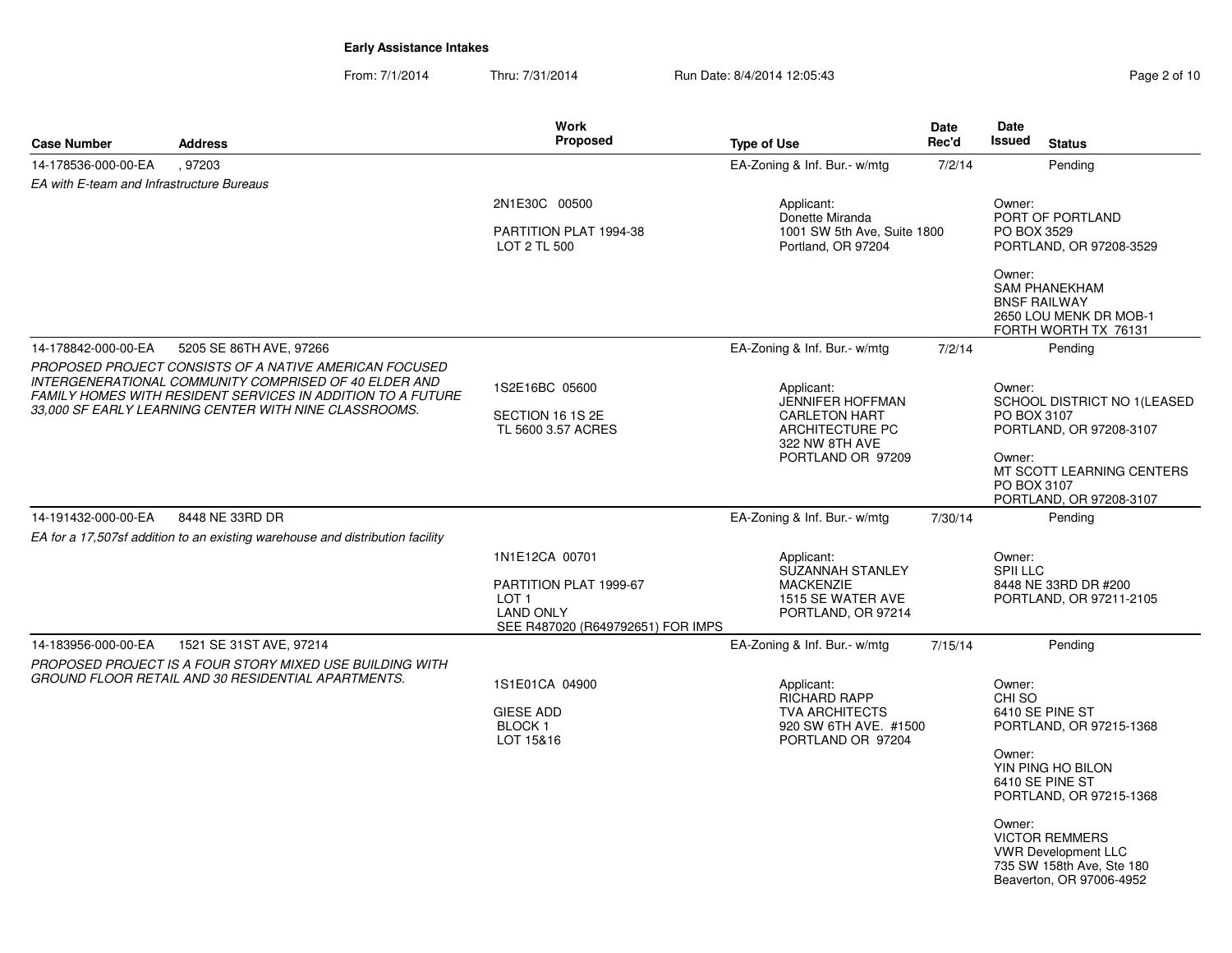| <b>Case Number</b>                        | <b>Address</b>                                                                                                                                                                                                                                 | <b>Work</b><br>Proposed                                                                                               | <b>Type of Use</b>                                                                                                             | Date<br>Rec'd | Date<br><b>Issued</b>                          | <b>Status</b>                                                                                                                                                                                                                 |
|-------------------------------------------|------------------------------------------------------------------------------------------------------------------------------------------------------------------------------------------------------------------------------------------------|-----------------------------------------------------------------------------------------------------------------------|--------------------------------------------------------------------------------------------------------------------------------|---------------|------------------------------------------------|-------------------------------------------------------------------------------------------------------------------------------------------------------------------------------------------------------------------------------|
| 14-178536-000-00-EA                       | .97203                                                                                                                                                                                                                                         |                                                                                                                       | EA-Zoning & Inf. Bur.- w/mtg                                                                                                   | 7/2/14        |                                                | Pending                                                                                                                                                                                                                       |
| EA with E-team and Infrastructure Bureaus |                                                                                                                                                                                                                                                |                                                                                                                       |                                                                                                                                |               |                                                |                                                                                                                                                                                                                               |
|                                           |                                                                                                                                                                                                                                                | 2N1E30C 00500<br>PARTITION PLAT 1994-38<br>LOT 2 TL 500                                                               | Applicant:<br>Donette Miranda<br>1001 SW 5th Ave, Suite 1800<br>Portland, OR 97204                                             |               | Owner:<br>PO BOX 3529                          | PORT OF PORTLAND<br>PORTLAND, OR 97208-3529                                                                                                                                                                                   |
|                                           |                                                                                                                                                                                                                                                |                                                                                                                       |                                                                                                                                |               | Owner:                                         | <b>SAM PHANEKHAM</b><br><b>BNSF RAILWAY</b><br>2650 LOU MENK DR MOB-1<br>FORTH WORTH TX 76131                                                                                                                                 |
| 14-178842-000-00-EA                       | 5205 SE 86TH AVE, 97266                                                                                                                                                                                                                        |                                                                                                                       | EA-Zoning & Inf. Bur.- w/mtg                                                                                                   | 7/2/14        |                                                | Pending                                                                                                                                                                                                                       |
|                                           | PROPOSED PROJECT CONSISTS OF A NATIVE AMERICAN FOCUSED<br><b>INTERGENERATIONAL COMMUNITY COMPRISED OF 40 ELDER AND</b><br>FAMILY HOMES WITH RESIDENT SERVICES IN ADDITION TO A FUTURE<br>33,000 SF EARLY LEARNING CENTER WITH NINE CLASSROOMS. | 1S2E16BC 05600<br>SECTION 16 1S 2E<br>TL 5600 3.57 ACRES                                                              | Applicant:<br><b>JENNIFER HOFFMAN</b><br><b>CARLETON HART</b><br><b>ARCHITECTURE PC</b><br>322 NW 8TH AVE<br>PORTLAND OR 97209 |               | Owner:<br>PO BOX 3107<br>Owner:<br>PO BOX 3107 | SCHOOL DISTRICT NO 1(LEASED<br>PORTLAND, OR 97208-3107<br>MT SCOTT LEARNING CENTERS<br>PORTLAND, OR 97208-3107                                                                                                                |
| 14-191432-000-00-EA                       | 8448 NE 33RD DR                                                                                                                                                                                                                                |                                                                                                                       | EA-Zoning & Inf. Bur.- w/mtg                                                                                                   | 7/30/14       |                                                | Pending                                                                                                                                                                                                                       |
|                                           | EA for a 17,507sf addition to an existing warehouse and distribution facility                                                                                                                                                                  |                                                                                                                       |                                                                                                                                |               |                                                |                                                                                                                                                                                                                               |
|                                           |                                                                                                                                                                                                                                                | 1N1E12CA 00701<br>PARTITION PLAT 1999-67<br>LOT <sub>1</sub><br><b>LAND ONLY</b><br>SEE R487020 (R649792651) FOR IMPS | Applicant:<br>SUZANNAH STANLEY<br><b>MACKENZIE</b><br>1515 SE WATER AVE<br>PORTLAND, OR 97214                                  |               | Owner:<br><b>SPII LLC</b>                      | 8448 NE 33RD DR #200<br>PORTLAND, OR 97211-2105                                                                                                                                                                               |
| 14-183956-000-00-EA                       | 1521 SE 31ST AVE, 97214                                                                                                                                                                                                                        |                                                                                                                       | EA-Zoning & Inf. Bur.- w/mtg                                                                                                   | 7/15/14       |                                                | Pending                                                                                                                                                                                                                       |
|                                           | PROPOSED PROJECT IS A FOUR STORY MIXED USE BUILDING WITH<br>GROUND FLOOR RETAIL AND 30 RESIDENTIAL APARTMENTS.                                                                                                                                 | 1S1E01CA 04900<br><b>GIESE ADD</b><br>BLOCK <sub>1</sub><br>LOT 15&16                                                 | Applicant:<br><b>RICHARD RAPP</b><br><b>TVA ARCHITECTS</b><br>920 SW 6TH AVE. #1500<br>PORTLAND OR 97204                       |               | Owner:<br>CHI SO<br>Owner:<br>Owner:           | 6410 SE PINE ST<br>PORTLAND, OR 97215-1368<br>YIN PING HO BILON<br>6410 SE PINE ST<br>PORTLAND, OR 97215-1368<br><b>VICTOR REMMERS</b><br><b>VWR Development LLC</b><br>735 SW 158th Ave, Ste 180<br>Beaverton, OR 97006-4952 |
|                                           |                                                                                                                                                                                                                                                |                                                                                                                       |                                                                                                                                |               |                                                |                                                                                                                                                                                                                               |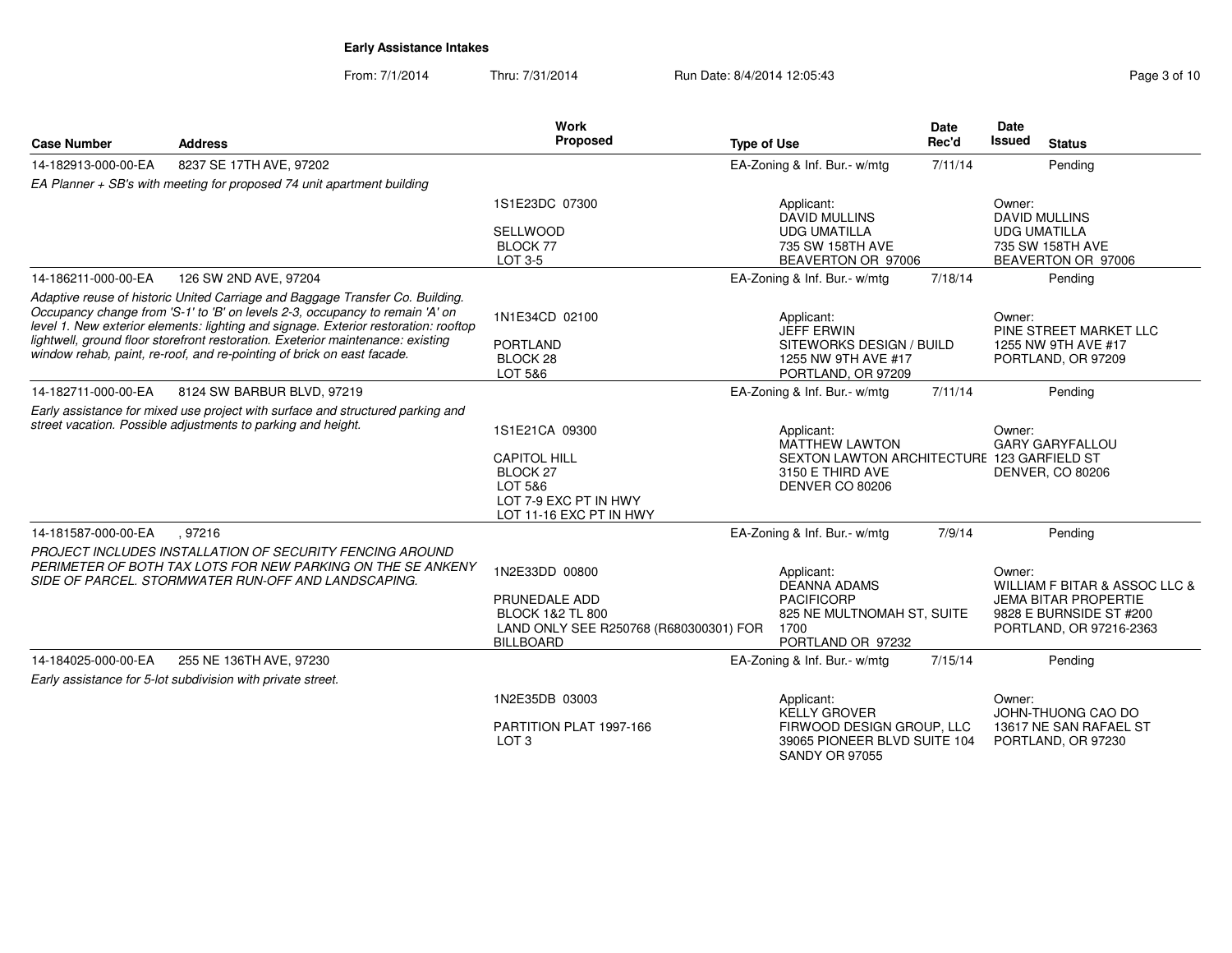| <b>Case Number</b>  | <b>Address</b>                                                                                                                                                                                                                                                                                                                                                                                                    | <b>Work</b><br>Proposed                                                                                                      | <b>Type of Use</b>                                                                                                       | <b>Date</b><br>Rec'd | <b>Date</b><br>Issued<br><b>Status</b>                                                                                       |
|---------------------|-------------------------------------------------------------------------------------------------------------------------------------------------------------------------------------------------------------------------------------------------------------------------------------------------------------------------------------------------------------------------------------------------------------------|------------------------------------------------------------------------------------------------------------------------------|--------------------------------------------------------------------------------------------------------------------------|----------------------|------------------------------------------------------------------------------------------------------------------------------|
| 14-182913-000-00-EA | 8237 SE 17TH AVE, 97202                                                                                                                                                                                                                                                                                                                                                                                           |                                                                                                                              | EA-Zoning & Inf. Bur.- w/mtg                                                                                             | 7/11/14              | Pending                                                                                                                      |
|                     | EA Planner + SB's with meeting for proposed 74 unit apartment building                                                                                                                                                                                                                                                                                                                                            |                                                                                                                              |                                                                                                                          |                      |                                                                                                                              |
|                     |                                                                                                                                                                                                                                                                                                                                                                                                                   | 1S1E23DC 07300<br>SELLWOOD<br>BLOCK 77<br>LOT 3-5                                                                            | Applicant:<br><b>DAVID MULLINS</b><br><b>UDG UMATILLA</b><br>735 SW 158TH AVE<br>BEAVERTON OR 97006                      |                      | Owner:<br><b>DAVID MULLINS</b><br><b>UDG UMATILLA</b><br>735 SW 158TH AVE<br>BEAVERTON OR 97006                              |
| 14-186211-000-00-EA | 126 SW 2ND AVE, 97204                                                                                                                                                                                                                                                                                                                                                                                             |                                                                                                                              | EA-Zoning & Inf. Bur.- w/mtg                                                                                             | 7/18/14              | Pending                                                                                                                      |
|                     | Adaptive reuse of historic United Carriage and Baggage Transfer Co. Building.<br>Occupancy change from 'S-1' to 'B' on levels 2-3, occupancy to remain 'A' on<br>level 1. New exterior elements: lighting and signage. Exterior restoration: rooftop<br>lightwell, ground floor storefront restoration. Exeterior maintenance: existing<br>window rehab, paint, re-roof, and re-pointing of brick on east facade. | 1N1E34CD 02100<br><b>PORTLAND</b><br>BLOCK 28<br>LOT 5&6                                                                     | Applicant:<br><b>JEFF ERWIN</b><br>SITEWORKS DESIGN / BUILD<br>1255 NW 9TH AVE #17<br>PORTLAND, OR 97209                 |                      | Owner:<br>PINE STREET MARKET LLC<br>1255 NW 9TH AVE #17<br>PORTLAND, OR 97209                                                |
| 14-182711-000-00-EA | 8124 SW BARBUR BLVD, 97219                                                                                                                                                                                                                                                                                                                                                                                        |                                                                                                                              | EA-Zoning & Inf. Bur.- w/mtg                                                                                             | 7/11/14              | Pending                                                                                                                      |
|                     | Early assistance for mixed use project with surface and structured parking and<br>street vacation. Possible adjustments to parking and height.                                                                                                                                                                                                                                                                    | 1S1E21CA 09300<br><b>CAPITOL HILL</b><br>BLOCK 27<br>LOT 5&6<br>LOT 7-9 EXC PT IN HWY<br>LOT 11-16 EXC PT IN HWY             | Applicant:<br><b>MATTHEW LAWTON</b><br>SEXTON LAWTON ARCHITECTURE 123 GARFIELD ST<br>3150 E THIRD AVE<br>DENVER CO 80206 |                      | Owner:<br><b>GARY GARYFALLOU</b><br>DENVER, CO 80206                                                                         |
| 14-181587-000-00-EA | .97216                                                                                                                                                                                                                                                                                                                                                                                                            |                                                                                                                              | EA-Zoning & Inf. Bur.- w/mtg                                                                                             | 7/9/14               | Pending                                                                                                                      |
|                     | PROJECT INCLUDES INSTALLATION OF SECURITY FENCING AROUND<br>PERIMETER OF BOTH TAX LOTS FOR NEW PARKING ON THE SE ANKENY<br>SIDE OF PARCEL. STORMWATER RUN-OFF AND LANDSCAPING.                                                                                                                                                                                                                                    | 1N2E33DD 00800<br>PRUNEDALE ADD<br><b>BLOCK 1&amp;2 TL 800</b><br>LAND ONLY SEE R250768 (R680300301) FOR<br><b>BILLBOARD</b> | Applicant:<br><b>DEANNA ADAMS</b><br><b>PACIFICORP</b><br>825 NE MULTNOMAH ST, SUITE<br>1700<br>PORTLAND OR 97232        |                      | Owner:<br>WILLIAM F BITAR & ASSOC LLC &<br><b>JEMA BITAR PROPERTIE</b><br>9828 E BURNSIDE ST #200<br>PORTLAND, OR 97216-2363 |
| 14-184025-000-00-EA | 255 NE 136TH AVE, 97230                                                                                                                                                                                                                                                                                                                                                                                           |                                                                                                                              | EA-Zoning & Inf. Bur.- w/mtg                                                                                             | 7/15/14              | Pending                                                                                                                      |
|                     | Early assistance for 5-lot subdivision with private street.                                                                                                                                                                                                                                                                                                                                                       |                                                                                                                              |                                                                                                                          |                      |                                                                                                                              |
|                     |                                                                                                                                                                                                                                                                                                                                                                                                                   | 1N2E35DB 03003<br>PARTITION PLAT 1997-166<br>LOT <sub>3</sub>                                                                | Applicant:<br><b>KELLY GROVER</b><br>FIRWOOD DESIGN GROUP, LLC<br>39065 PIONEER BLVD SUITE 104<br><b>SANDY OR 97055</b>  |                      | Owner:<br>JOHN-THUONG CAO DO<br>13617 NE SAN RAFAEL ST<br>PORTLAND, OR 97230                                                 |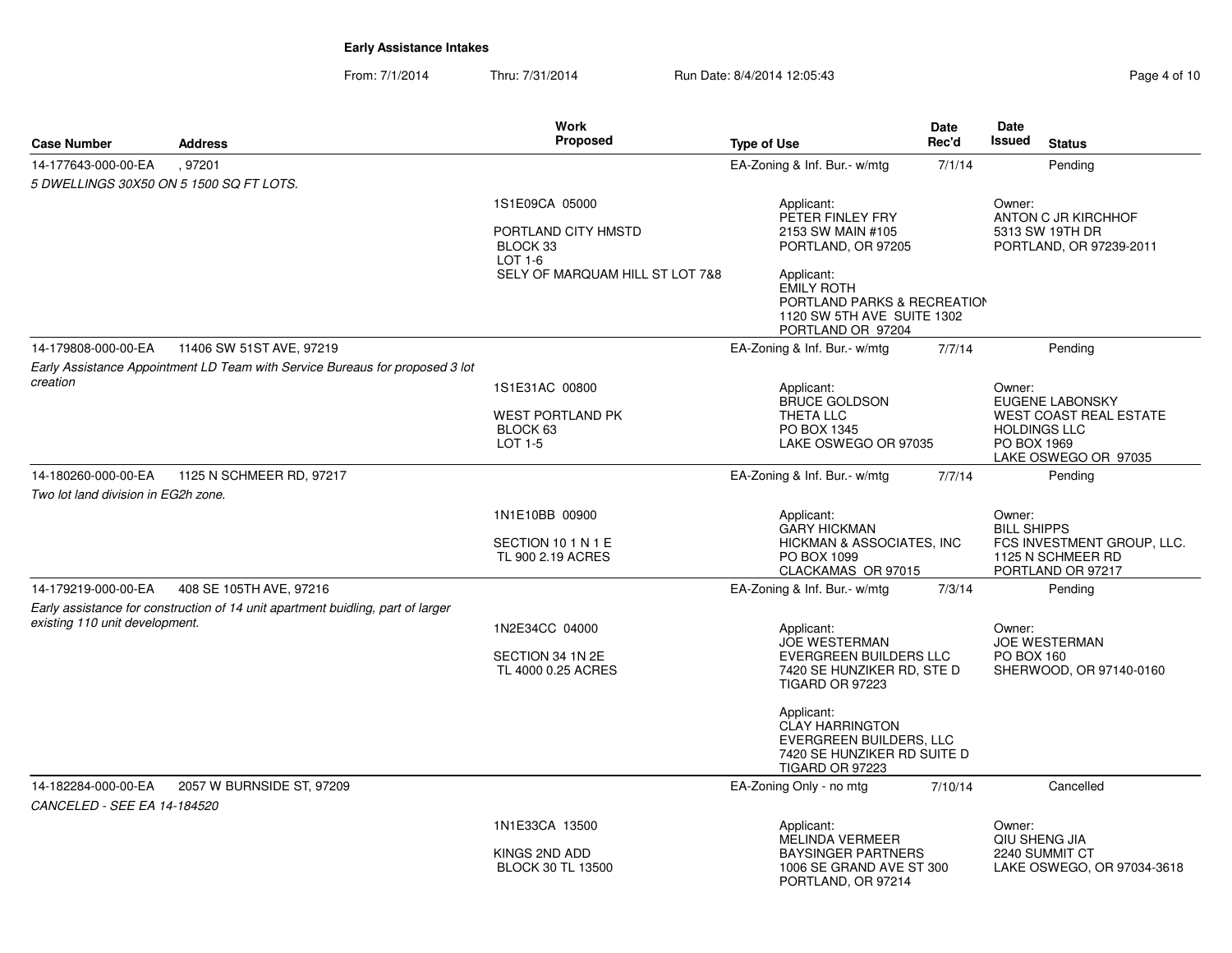|                                     |                                                                                 | Work                                                             |                                                                                                                   | <b>Date</b>                                  | Date                                                                                                                     |
|-------------------------------------|---------------------------------------------------------------------------------|------------------------------------------------------------------|-------------------------------------------------------------------------------------------------------------------|----------------------------------------------|--------------------------------------------------------------------------------------------------------------------------|
| <b>Case Number</b>                  | <b>Address</b>                                                                  | <b>Proposed</b>                                                  | <b>Type of Use</b>                                                                                                | Rec'd                                        | <b>Issued</b><br><b>Status</b>                                                                                           |
| 14-177643-000-00-EA                 | , 97201                                                                         |                                                                  | EA-Zoning & Inf. Bur.- w/mtg                                                                                      | 7/1/14                                       | Pending                                                                                                                  |
|                                     | 5 DWELLINGS 30X50 ON 5 1500 SQ FT LOTS.                                         |                                                                  |                                                                                                                   |                                              |                                                                                                                          |
|                                     |                                                                                 | 1S1E09CA 05000<br>PORTLAND CITY HMSTD<br>BLOCK 33<br>LOT 1-6     | Applicant:<br>PETER FINLEY FRY<br>2153 SW MAIN #105<br>PORTLAND, OR 97205                                         |                                              | Owner:<br>ANTON C JR KIRCHHOF<br>5313 SW 19TH DR<br>PORTLAND, OR 97239-2011                                              |
|                                     |                                                                                 | SELY OF MARQUAM HILL ST LOT 7&8                                  | Applicant:<br><b>EMILY ROTH</b><br>PORTLAND PARKS & RECREATION<br>1120 SW 5TH AVE SUITE 1302<br>PORTLAND OR 97204 |                                              |                                                                                                                          |
| 14-179808-000-00-EA                 | 11406 SW 51ST AVE, 97219                                                        |                                                                  | EA-Zoning & Inf. Bur.- w/mtg                                                                                      | 7/7/14                                       | Pending                                                                                                                  |
|                                     | Early Assistance Appointment LD Team with Service Bureaus for proposed 3 lot    |                                                                  |                                                                                                                   |                                              |                                                                                                                          |
| creation                            |                                                                                 | 1S1E31AC 00800<br><b>WEST PORTLAND PK</b><br>BLOCK 63<br>LOT 1-5 | Applicant:<br>BRUCE GOLDSON<br>THETA LLC<br>PO BOX 1345<br>LAKE OSWEGO OR 97035                                   |                                              | Owner:<br>EUGENE LABONSKY<br><b>WEST COAST REAL ESTATE</b><br><b>HOLDINGS LLC</b><br>PO BOX 1969<br>LAKE OSWEGO OR 97035 |
| 14-180260-000-00-EA                 | 1125 N SCHMEER RD, 97217                                                        |                                                                  | EA-Zoning & Inf. Bur.- w/mtg                                                                                      | 7/7/14                                       | Pending                                                                                                                  |
| Two lot land division in EG2h zone. |                                                                                 |                                                                  |                                                                                                                   |                                              |                                                                                                                          |
|                                     |                                                                                 | 1N1E10BB 00900<br>SECTION 10 1 N 1 E<br>TL 900 2.19 ACRES        | Applicant:<br><b>GARY HICKMAN</b><br>HICKMAN & ASSOCIATES, INC<br>PO BOX 1099<br>CLACKAMAS OR 97015               |                                              | Owner:<br><b>BILL SHIPPS</b><br>FCS INVESTMENT GROUP, LLC.<br>1125 N SCHMEER RD<br>PORTLAND OR 97217                     |
| 14-179219-000-00-EA                 | 408 SE 105TH AVE, 97216                                                         |                                                                  | EA-Zoning & Inf. Bur.- w/mtg                                                                                      | 7/3/14                                       | Pending                                                                                                                  |
| existing 110 unit development.      | Early assistance for construction of 14 unit apartment buidling, part of larger | 1N2E34CC 04000<br>SECTION 34 1N 2E                               | Applicant:<br><b>JOE WESTERMAN</b><br>EVERGREEN BUILDERS LLC                                                      | Owner:<br><b>JOE WESTERMAN</b><br>PO BOX 160 |                                                                                                                          |
|                                     |                                                                                 | TL 4000 0.25 ACRES                                               | 7420 SE HUNZIKER RD, STE D<br><b>TIGARD OR 97223</b>                                                              |                                              | SHERWOOD, OR 97140-0160                                                                                                  |
|                                     |                                                                                 |                                                                  | Applicant:<br>CLAY HARRINGTON<br>EVERGREEN BUILDERS, LLC<br>7420 SE HUNZIKER RD SUITE D<br><b>TIGARD OR 97223</b> |                                              |                                                                                                                          |
| 14-182284-000-00-EA                 | 2057 W BURNSIDE ST, 97209                                                       |                                                                  | EA-Zoning Only - no mtg                                                                                           | 7/10/14                                      | Cancelled                                                                                                                |
| CANCELED - SEE EA 14-184520         |                                                                                 |                                                                  |                                                                                                                   |                                              |                                                                                                                          |
|                                     |                                                                                 | 1N1E33CA 13500                                                   | Applicant:<br>MELINDA VERMEER                                                                                     |                                              | Owner:<br>QIU SHENG JIA                                                                                                  |
|                                     |                                                                                 | KINGS 2ND ADD<br><b>BLOCK 30 TL 13500</b>                        | <b>BAYSINGER PARTNERS</b><br>1006 SE GRAND AVE ST 300<br>PORTLAND, OR 97214                                       |                                              | 2240 SUMMIT CT<br>LAKE OSWEGO, OR 97034-3618                                                                             |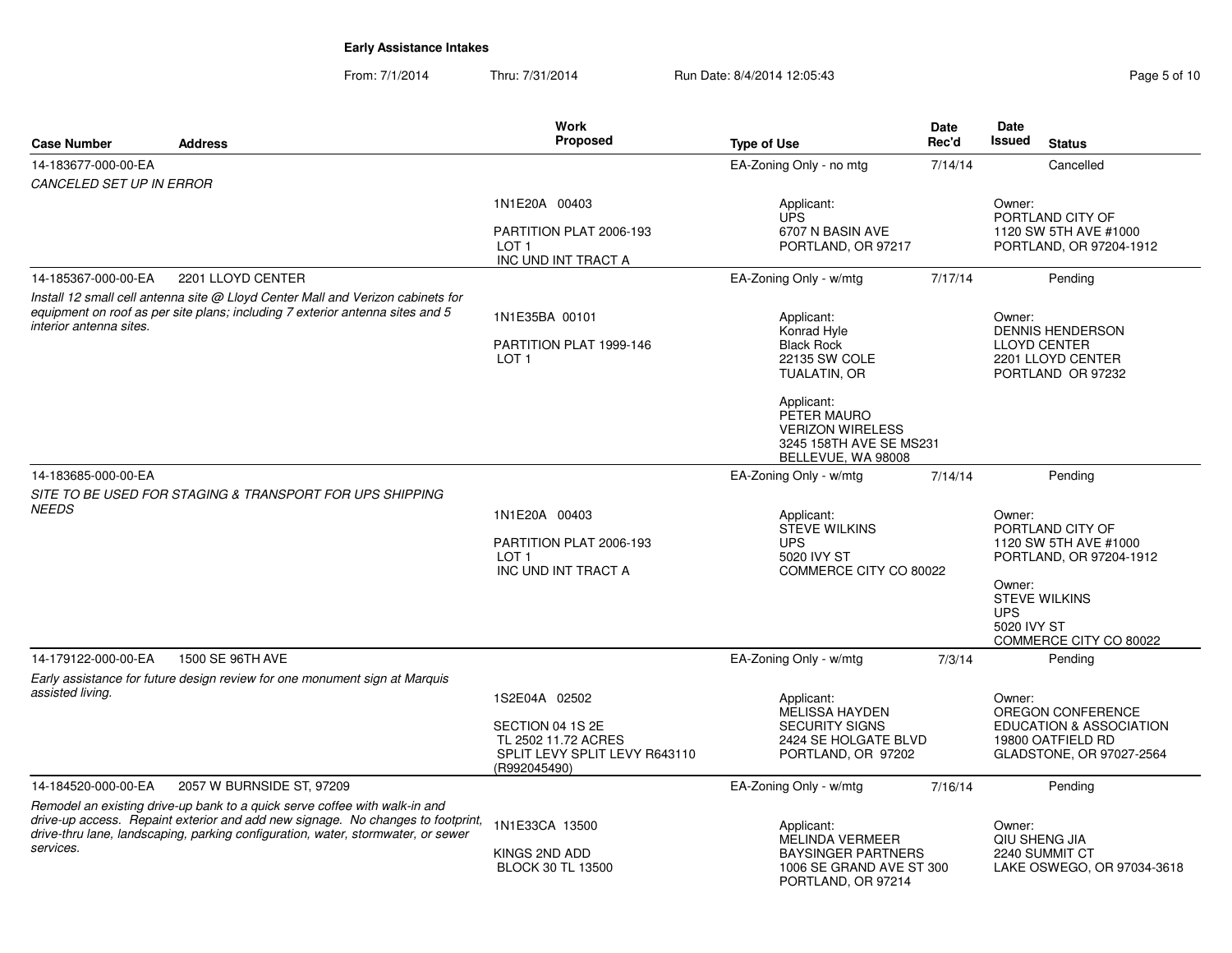| <b>Case Number</b>              | <b>Address</b>                                                                                                                                                                                                                                    | <b>Work</b><br>Proposed                                                                                   | <b>Type of Use</b>                                                                                                                     | Date<br>Rec'd | Date<br>Issued                                | <b>Status</b>                                                                                                          |
|---------------------------------|---------------------------------------------------------------------------------------------------------------------------------------------------------------------------------------------------------------------------------------------------|-----------------------------------------------------------------------------------------------------------|----------------------------------------------------------------------------------------------------------------------------------------|---------------|-----------------------------------------------|------------------------------------------------------------------------------------------------------------------------|
| 14-183677-000-00-EA             |                                                                                                                                                                                                                                                   |                                                                                                           | EA-Zoning Only - no mtg                                                                                                                | 7/14/14       |                                               | Cancelled                                                                                                              |
| <b>CANCELED SET UP IN ERROR</b> |                                                                                                                                                                                                                                                   |                                                                                                           |                                                                                                                                        |               |                                               |                                                                                                                        |
|                                 |                                                                                                                                                                                                                                                   | 1N1E20A 00403<br>PARTITION PLAT 2006-193<br>LOT <sub>1</sub><br>INC UND INT TRACT A                       | Applicant:<br><b>UPS</b><br>6707 N BASIN AVE<br>PORTLAND, OR 97217                                                                     |               | Owner:                                        | PORTLAND CITY OF<br>1120 SW 5TH AVE #1000<br>PORTLAND, OR 97204-1912                                                   |
| 14-185367-000-00-EA             | 2201 LLOYD CENTER                                                                                                                                                                                                                                 |                                                                                                           | EA-Zoning Only - w/mtg                                                                                                                 | 7/17/14       |                                               | Pending                                                                                                                |
| interior antenna sites.         | Install 12 small cell antenna site @ Lloyd Center Mall and Verizon cabinets for<br>equipment on roof as per site plans; including 7 exterior antenna sites and 5                                                                                  | 1N1E35BA 00101<br>PARTITION PLAT 1999-146                                                                 | Applicant:<br>Konrad Hyle<br><b>Black Rock</b>                                                                                         |               | Owner:                                        | <b>DENNIS HENDERSON</b><br><b>LLOYD CENTER</b>                                                                         |
|                                 |                                                                                                                                                                                                                                                   | LOT <sub>1</sub>                                                                                          | 22135 SW COLE<br>TUALATIN, OR<br>Applicant:<br>PETER MAURO<br><b>VERIZON WIRELESS</b><br>3245 158TH AVE SE MS231<br>BELLEVUE, WA 98008 |               |                                               | 2201 LLOYD CENTER<br>PORTLAND OR 97232                                                                                 |
| 14-183685-000-00-EA             |                                                                                                                                                                                                                                                   |                                                                                                           | EA-Zoning Only - w/mtg                                                                                                                 | 7/14/14       |                                               | Pending                                                                                                                |
| <b>NEEDS</b>                    | SITE TO BE USED FOR STAGING & TRANSPORT FOR UPS SHIPPING                                                                                                                                                                                          | 1N1E20A 00403<br>PARTITION PLAT 2006-193<br>$1$ OT 1<br>INC UND INT TRACT A                               | Applicant:<br><b>STEVE WILKINS</b><br><b>UPS</b><br>5020 IVY ST<br>COMMERCE CITY CO 80022                                              |               | Owner:<br>Owner:<br><b>UPS</b><br>5020 IVY ST | PORTLAND CITY OF<br>1120 SW 5TH AVE #1000<br>PORTLAND, OR 97204-1912<br><b>STEVE WILKINS</b><br>COMMERCE CITY CO 80022 |
| 14-179122-000-00-EA             | 1500 SE 96TH AVE                                                                                                                                                                                                                                  |                                                                                                           | EA-Zoning Only - w/mtg                                                                                                                 | 7/3/14        |                                               | Pending                                                                                                                |
| assisted living.                | Early assistance for future design review for one monument sign at Marquis                                                                                                                                                                        | 1S2E04A 02502<br>SECTION 04 1S 2E<br>TL 2502 11.72 ACRES<br>SPLIT LEVY SPLIT LEVY R643110<br>(R992045490) | Applicant:<br><b>MELISSA HAYDEN</b><br><b>SECURITY SIGNS</b><br>2424 SE HOLGATE BLVD<br>PORTLAND, OR 97202                             |               | Owner:                                        | OREGON CONFERENCE<br><b>EDUCATION &amp; ASSOCIATION</b><br>19800 OATFIELD RD<br>GLADSTONE, OR 97027-2564               |
| 14-184520-000-00-EA             | 2057 W BURNSIDE ST, 97209                                                                                                                                                                                                                         |                                                                                                           | EA-Zoning Only - w/mtg                                                                                                                 | 7/16/14       |                                               | Pending                                                                                                                |
| services.                       | Remodel an existing drive-up bank to a quick serve coffee with walk-in and<br>drive-up access. Repaint exterior and add new signage. No changes to footprint,<br>drive-thru lane, landscaping, parking configuration, water, stormwater, or sewer | 1N1E33CA 13500<br>KINGS 2ND ADD<br><b>BLOCK 30 TL 13500</b>                                               | Applicant:<br><b>MELINDA VERMEER</b><br><b>BAYSINGER PARTNERS</b><br>1006 SE GRAND AVE ST 300<br>PORTLAND, OR 97214                    |               | Owner:                                        | QIU SHENG JIA<br>2240 SUMMIT CT<br>LAKE OSWEGO, OR 97034-3618                                                          |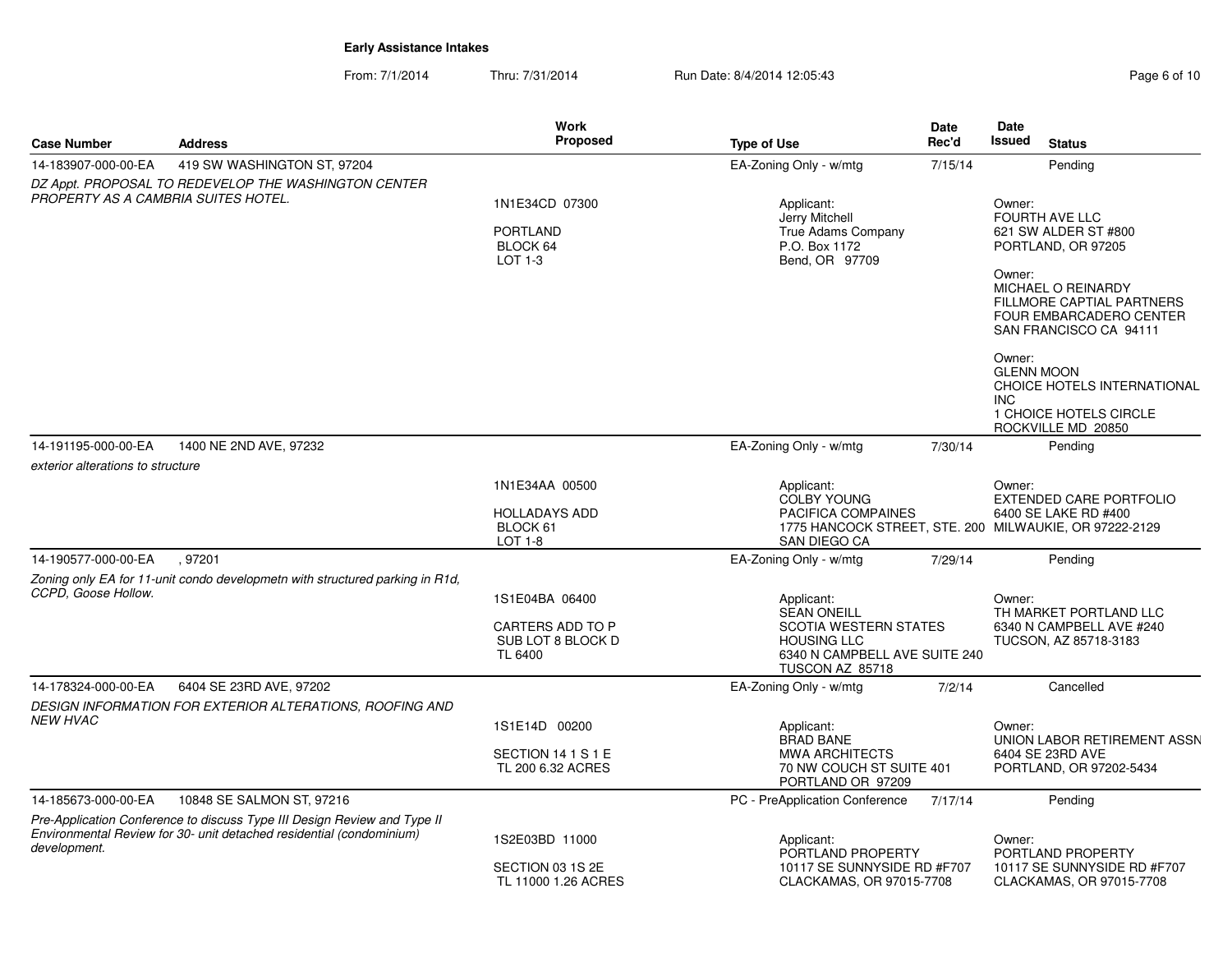| <b>Case Number</b>                                       | <b>Address</b>                                                                                                                                   | <b>Work</b><br>Proposed                                       | <b>Type of Use</b>                                                                                                               | <b>Date</b><br>Rec'd | Date<br><b>Issued</b>                     | <b>Status</b>                                                                                               |
|----------------------------------------------------------|--------------------------------------------------------------------------------------------------------------------------------------------------|---------------------------------------------------------------|----------------------------------------------------------------------------------------------------------------------------------|----------------------|-------------------------------------------|-------------------------------------------------------------------------------------------------------------|
| 14-183907-000-00-EA                                      | 419 SW WASHINGTON ST, 97204                                                                                                                      |                                                               | EA-Zoning Only - w/mtg                                                                                                           | 7/15/14              |                                           | Pending                                                                                                     |
|                                                          | DZ Appt. PROPOSAL TO REDEVELOP THE WASHINGTON CENTER                                                                                             |                                                               |                                                                                                                                  |                      |                                           |                                                                                                             |
| PROPERTY AS A CAMBRIA SUITES HOTEL.                      |                                                                                                                                                  | 1N1E34CD 07300<br><b>PORTLAND</b><br>BLOCK 64<br>LOT 1-3      | Applicant:<br>Jerry Mitchell<br><b>True Adams Company</b><br>P.O. Box 1172<br>Bend, OR 97709                                     |                      | Owner:                                    | <b>FOURTH AVE LLC</b><br>621 SW ALDER ST #800<br>PORTLAND, OR 97205                                         |
|                                                          |                                                                                                                                                  |                                                               |                                                                                                                                  |                      | Owner:                                    | MICHAEL O REINARDY<br><b>FILLMORE CAPTIAL PARTNERS</b><br>FOUR EMBARCADERO CENTER<br>SAN FRANCISCO CA 94111 |
|                                                          |                                                                                                                                                  |                                                               |                                                                                                                                  |                      | Owner:<br><b>GLENN MOON</b><br><b>INC</b> | CHOICE HOTELS INTERNATIONAL<br>1 CHOICE HOTELS CIRCLE                                                       |
|                                                          |                                                                                                                                                  |                                                               |                                                                                                                                  |                      |                                           | ROCKVILLE MD 20850                                                                                          |
| 14-191195-000-00-EA<br>exterior alterations to structure | 1400 NE 2ND AVE, 97232                                                                                                                           |                                                               | EA-Zoning Only - w/mtg                                                                                                           | 7/30/14              |                                           | Pending                                                                                                     |
|                                                          |                                                                                                                                                  | 1N1E34AA 00500<br><b>HOLLADAYS ADD</b><br>BLOCK 61<br>LOT 1-8 | Applicant:<br><b>COLBY YOUNG</b><br>PACIFICA COMPAINES<br>1775 HANCOCK STREET, STE. 200 MILWAUKIE, OR 97222-2129<br>SAN DIEGO CA |                      | Owner:                                    | <b>EXTENDED CARE PORTFOLIO</b><br>6400 SE LAKE RD #400                                                      |
| 14-190577-000-00-EA                                      | .97201                                                                                                                                           |                                                               | EA-Zoning Only - w/mtg                                                                                                           | 7/29/14              |                                           | Pending                                                                                                     |
| CCPD. Goose Hollow.                                      | Zoning only EA for 11-unit condo developmetn with structured parking in R1d,                                                                     | 1S1E04BA 06400                                                | Applicant:                                                                                                                       |                      | Owner:                                    |                                                                                                             |
|                                                          |                                                                                                                                                  | CARTERS ADD TO P<br>SUB LOT 8 BLOCK D<br>TL 6400              | <b>SEAN ONEILL</b><br><b>SCOTIA WESTERN STATES</b><br><b>HOUSING LLC</b><br>6340 N CAMPBELL AVE SUITE 240<br>TUSCON AZ 85718     |                      |                                           | TH MARKET PORTLAND LLC<br>6340 N CAMPBELL AVE #240<br>TUCSON, AZ 85718-3183                                 |
| 14-178324-000-00-EA                                      | 6404 SE 23RD AVE, 97202                                                                                                                          |                                                               | EA-Zoning Only - w/mtg                                                                                                           | 7/2/14               |                                           | Cancelled                                                                                                   |
|                                                          | DESIGN INFORMATION FOR EXTERIOR ALTERATIONS, ROOFING AND                                                                                         |                                                               |                                                                                                                                  |                      |                                           |                                                                                                             |
| NEW HVAC                                                 |                                                                                                                                                  | 1S1E14D 00200                                                 | Applicant:                                                                                                                       |                      | Owner:                                    |                                                                                                             |
|                                                          |                                                                                                                                                  | SECTION 14 1 S 1 E<br>TL 200 6.32 ACRES                       | <b>BRAD BANE</b><br><b>MWA ARCHITECTS</b><br>70 NW COUCH ST SUITE 401<br>PORTLAND OR 97209                                       |                      |                                           | UNION LABOR RETIREMENT ASSN<br>6404 SE 23RD AVE<br>PORTLAND, OR 97202-5434                                  |
| 14-185673-000-00-EA                                      | 10848 SE SALMON ST, 97216                                                                                                                        |                                                               | PC - PreApplication Conference                                                                                                   | 7/17/14              |                                           | Pending                                                                                                     |
| development.                                             | Pre-Application Conference to discuss Type III Design Review and Type II<br>Environmental Review for 30- unit detached residential (condominium) | 1S2E03BD 11000<br>SECTION 03 1S 2E                            | Applicant:<br>PORTLAND PROPERTY<br>10117 SE SUNNYSIDE RD #F707                                                                   |                      | Owner:                                    | PORTLAND PROPERTY<br>10117 SE SUNNYSIDE RD #F707                                                            |
|                                                          |                                                                                                                                                  | TL 11000 1.26 ACRES                                           | CLACKAMAS, OR 97015-7708                                                                                                         |                      |                                           | CLACKAMAS, OR 97015-7708                                                                                    |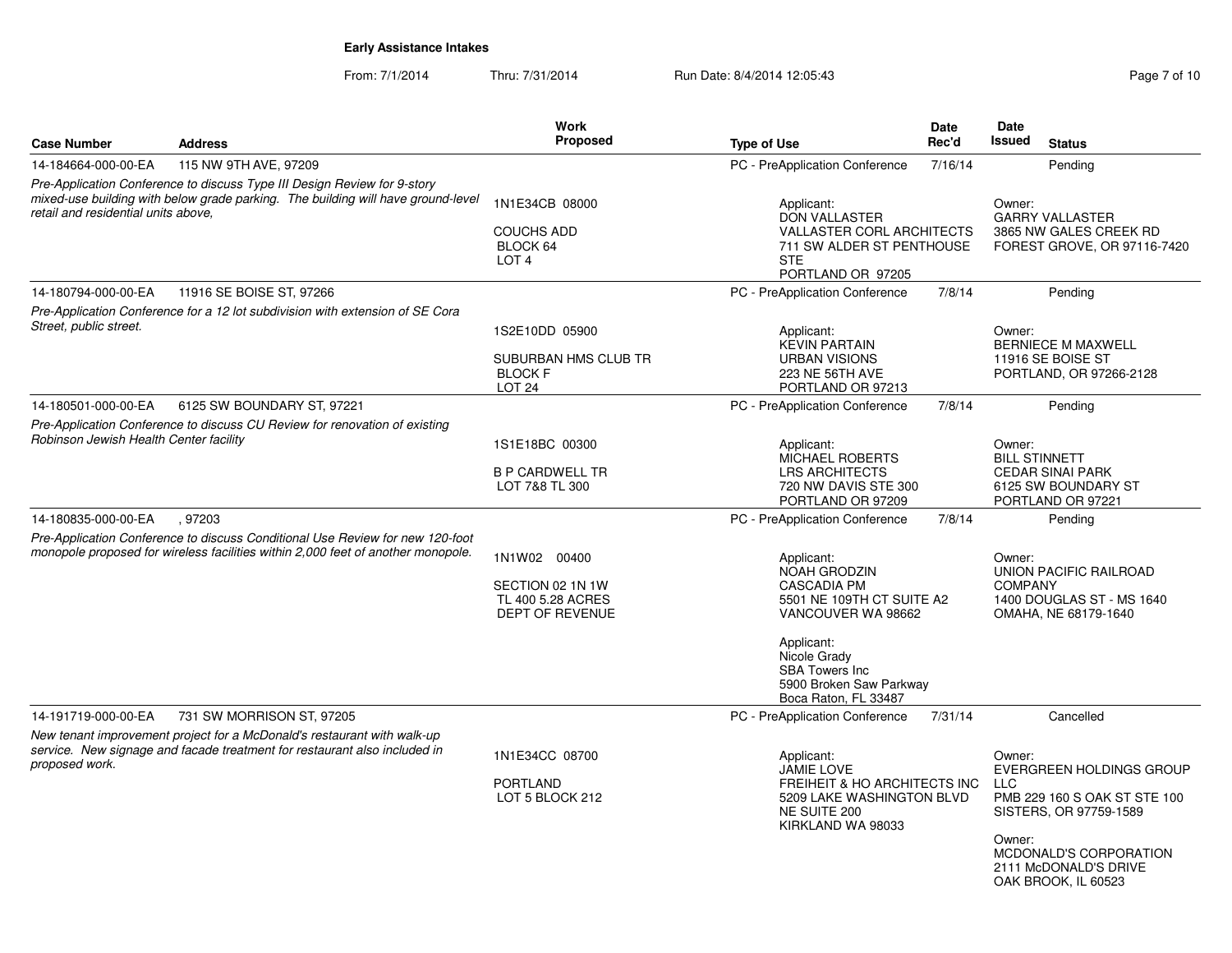|                                        |                                                                                                                                                              | <b>Work</b>                                                        |                                                                                                                     | <b>Date</b>                      | Date                                                                                             |
|----------------------------------------|--------------------------------------------------------------------------------------------------------------------------------------------------------------|--------------------------------------------------------------------|---------------------------------------------------------------------------------------------------------------------|----------------------------------|--------------------------------------------------------------------------------------------------|
| <b>Case Number</b>                     | <b>Address</b>                                                                                                                                               | Proposed                                                           | <b>Type of Use</b>                                                                                                  | Rec'd                            | <b>Issued</b><br><b>Status</b>                                                                   |
| 14-184664-000-00-EA                    | 115 NW 9TH AVE, 97209                                                                                                                                        |                                                                    | PC - PreApplication Conference                                                                                      | 7/16/14                          | Pending                                                                                          |
| retail and residential units above.    | Pre-Application Conference to discuss Type III Design Review for 9-story<br>mixed-use building with below grade parking. The building will have ground-level | 1N1E34CB 08000                                                     | Applicant:<br><b>DON VALLASTER</b>                                                                                  | Owner:<br><b>GARRY VALLASTER</b> |                                                                                                  |
|                                        |                                                                                                                                                              | <b>COUCHS ADD</b><br>BLOCK 64<br>LOT <sub>4</sub>                  | <b>VALLASTER CORL ARCHITECTS</b><br>711 SW ALDER ST PENTHOUSE<br><b>STE</b><br>PORTLAND OR 97205                    |                                  | 3865 NW GALES CREEK RD<br>FOREST GROVE, OR 97116-7420                                            |
| 14-180794-000-00-EA                    | 11916 SE BOISE ST, 97266                                                                                                                                     |                                                                    | PC - PreApplication Conference                                                                                      | 7/8/14                           | Pending                                                                                          |
| Street, public street.                 | Pre-Application Conference for a 12 lot subdivision with extension of SE Cora                                                                                | 1S2E10DD 05900                                                     | Applicant:                                                                                                          |                                  | Owner:                                                                                           |
|                                        |                                                                                                                                                              | <b>SUBURBAN HMS CLUB TR</b><br><b>BLOCK F</b><br>LOT <sub>24</sub> | <b>KEVIN PARTAIN</b><br><b>URBAN VISIONS</b><br>223 NE 56TH AVE<br>PORTLAND OR 97213                                |                                  | <b>BERNIECE M MAXWELL</b><br>11916 SE BOISE ST<br>PORTLAND, OR 97266-2128                        |
| 14-180501-000-00-EA                    | 6125 SW BOUNDARY ST, 97221                                                                                                                                   |                                                                    | PC - PreApplication Conference                                                                                      | 7/8/14                           | Pending                                                                                          |
| Robinson Jewish Health Center facility | Pre-Application Conference to discuss CU Review for renovation of existing                                                                                   | 1S1E18BC 00300                                                     | Applicant:                                                                                                          |                                  | Owner:                                                                                           |
|                                        |                                                                                                                                                              | <b>B P CARDWELL TR</b><br>LOT 7&8 TL 300                           | <b>MICHAEL ROBERTS</b><br><b>LRS ARCHITECTS</b><br>720 NW DAVIS STE 300<br>PORTLAND OR 97209                        |                                  | <b>BILL STINNETT</b><br><b>CEDAR SINAI PARK</b><br>6125 SW BOUNDARY ST<br>PORTLAND OR 97221      |
| 14-180835-000-00-EA                    | .97203                                                                                                                                                       |                                                                    | PC - PreApplication Conference                                                                                      | 7/8/14                           | Pending                                                                                          |
|                                        | Pre-Application Conference to discuss Conditional Use Review for new 120-foot                                                                                |                                                                    |                                                                                                                     |                                  |                                                                                                  |
|                                        | monopole proposed for wireless facilities within 2,000 feet of another monopole.                                                                             | 1N1W02 00400                                                       | Applicant:<br>NOAH GRODZIN                                                                                          |                                  | Owner:<br>UNION PACIFIC RAILROAD                                                                 |
|                                        |                                                                                                                                                              | SECTION 02 1N 1W<br>TL 400 5.28 ACRES                              | CASCADIA PM<br>5501 NE 109TH CT SUITE A2                                                                            |                                  | <b>COMPANY</b><br>1400 DOUGLAS ST - MS 1640                                                      |
|                                        |                                                                                                                                                              | <b>DEPT OF REVENUE</b>                                             | VANCOUVER WA 98662                                                                                                  |                                  | OMAHA, NE 68179-1640                                                                             |
|                                        |                                                                                                                                                              |                                                                    | Applicant:<br>Nicole Grady<br><b>SBA Towers Inc</b><br>5900 Broken Saw Parkway<br>Boca Raton, FL 33487              |                                  |                                                                                                  |
| 14-191719-000-00-EA                    | 731 SW MORRISON ST, 97205                                                                                                                                    |                                                                    | PC - PreApplication Conference                                                                                      | 7/31/14                          | Cancelled                                                                                        |
|                                        | New tenant improvement project for a McDonald's restaurant with walk-up<br>service. New signage and facade treatment for restaurant also included in         | 1N1E34CC 08700                                                     | Applicant:                                                                                                          |                                  | Owner:                                                                                           |
| proposed work.                         |                                                                                                                                                              | <b>PORTLAND</b><br>LOT 5 BLOCK 212                                 | <b>JAMIE LOVE</b><br>FREIHEIT & HO ARCHITECTS INC<br>5209 LAKE WASHINGTON BLVD<br>NE SUITE 200<br>KIRKLAND WA 98033 |                                  | EVERGREEN HOLDINGS GROUP<br><b>LLC</b><br>PMB 229 160 S OAK ST STE 100<br>SISTERS, OR 97759-1589 |
|                                        |                                                                                                                                                              |                                                                    |                                                                                                                     |                                  | Owner:<br>MCDONALD'S CORPORATION<br>2111 McDONALD'S DRIVE<br>OAK BROOK, IL 60523                 |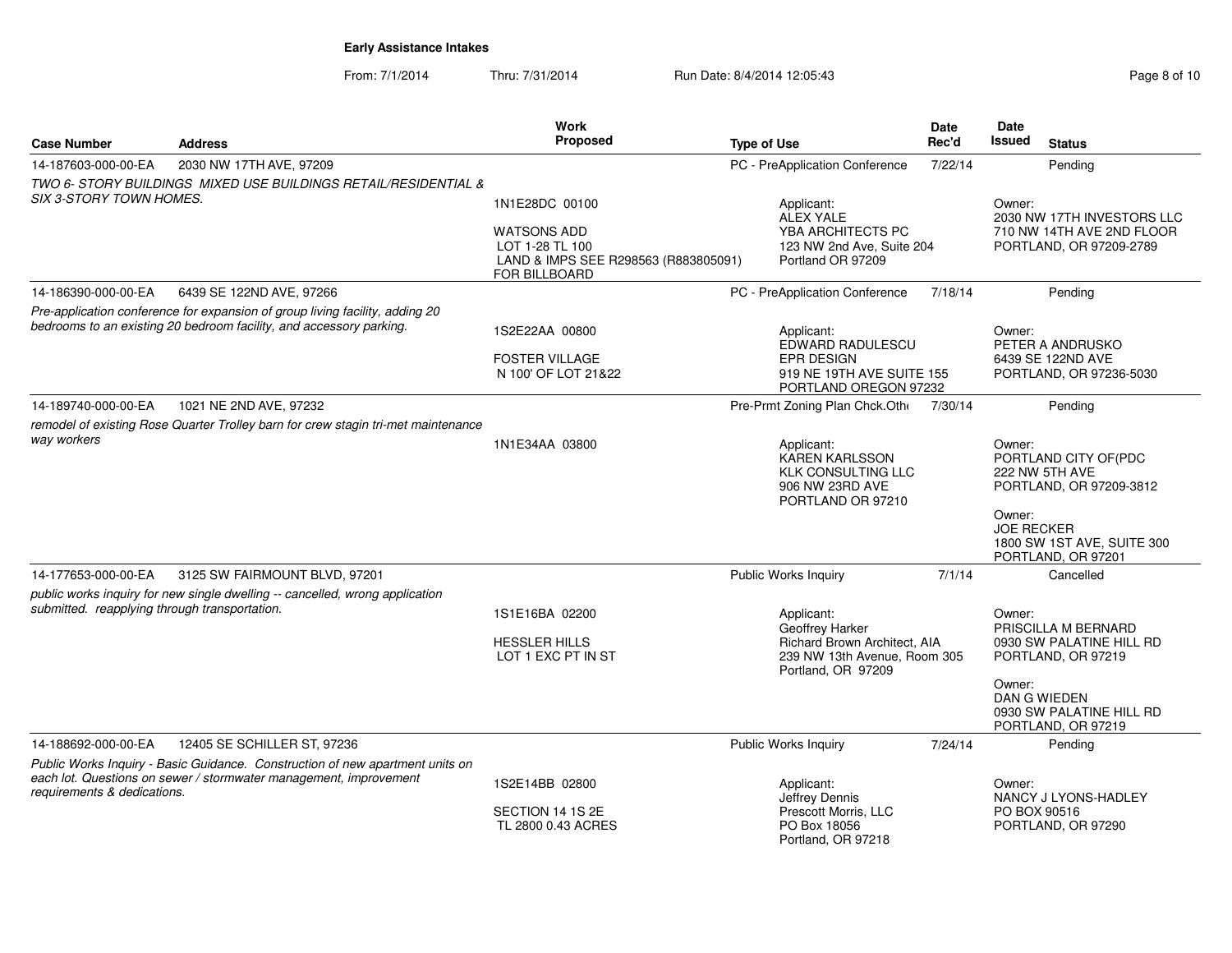| <b>Case Number</b>                                                                                                            | <b>Address</b>                                                                                                                                      | Work<br>Proposed                                                                               | <b>Type of Use</b>                                                                                 | Date<br>Rec'd | Date<br>Issued              | <b>Status</b>                                                                        |
|-------------------------------------------------------------------------------------------------------------------------------|-----------------------------------------------------------------------------------------------------------------------------------------------------|------------------------------------------------------------------------------------------------|----------------------------------------------------------------------------------------------------|---------------|-----------------------------|--------------------------------------------------------------------------------------|
| 14-187603-000-00-EA                                                                                                           | 2030 NW 17TH AVE, 97209                                                                                                                             |                                                                                                | PC - PreApplication Conference                                                                     | 7/22/14       |                             | Pending                                                                              |
|                                                                                                                               | TWO 6- STORY BUILDINGS MIXED USE BUILDINGS RETAIL/RESIDENTIAL &                                                                                     |                                                                                                |                                                                                                    |               |                             |                                                                                      |
| <b>SIX 3-STORY TOWN HOMES.</b>                                                                                                |                                                                                                                                                     | 1N1E28DC 00100                                                                                 | Applicant:<br><b>ALEX YALE</b>                                                                     |               | Owner:                      | 2030 NW 17TH INVESTORS LLC                                                           |
|                                                                                                                               |                                                                                                                                                     | <b>WATSONS ADD</b><br>LOT 1-28 TL 100<br>LAND & IMPS SEE R298563 (R883805091)<br>FOR BILLBOARD | YBA ARCHITECTS PC<br>123 NW 2nd Ave, Suite 204<br>Portland OR 97209                                |               |                             | 710 NW 14TH AVE 2ND FLOOR<br>PORTLAND, OR 97209-2789                                 |
| 14-186390-000-00-EA                                                                                                           | 6439 SE 122ND AVE, 97266                                                                                                                            |                                                                                                | PC - PreApplication Conference                                                                     | 7/18/14       |                             | Pending                                                                              |
|                                                                                                                               | Pre-application conference for expansion of group living facility, adding 20<br>bedrooms to an existing 20 bedroom facility, and accessory parking. | 1S2E22AA 00800<br><b>FOSTER VILLAGE</b><br>N 100' OF LOT 21&22                                 | Applicant:<br>EDWARD RADULESCU<br>EPR DESIGN<br>919 NE 19TH AVE SUITE 155<br>PORTLAND OREGON 97232 |               | Owner:                      | PETER A ANDRUSKO<br>6439 SE 122ND AVE<br>PORTLAND, OR 97236-5030                     |
| 14-189740-000-00-EA                                                                                                           | 1021 NE 2ND AVE, 97232                                                                                                                              |                                                                                                | Pre-Prmt Zoning Plan Chck.Oth                                                                      | 7/30/14       |                             | Pending                                                                              |
| remodel of existing Rose Quarter Trolley barn for crew stagin tri-met maintenance<br>way workers                              |                                                                                                                                                     | 1N1E34AA 03800                                                                                 | Applicant:<br>KAREN KARLSSON<br><b>KLK CONSULTING LLC</b><br>906 NW 23RD AVE                       |               | Owner:                      | PORTLAND CITY OF(PDC<br>222 NW 5TH AVE<br>PORTLAND, OR 97209-3812                    |
|                                                                                                                               |                                                                                                                                                     |                                                                                                | PORTLAND OR 97210                                                                                  |               | Owner:<br><b>JOE RECKER</b> | 1800 SW 1ST AVE, SUITE 300<br>PORTLAND, OR 97201                                     |
| 14-177653-000-00-EA                                                                                                           | 3125 SW FAIRMOUNT BLVD, 97201                                                                                                                       |                                                                                                | <b>Public Works Inquiry</b>                                                                        | 7/1/14        |                             | Cancelled                                                                            |
| public works inquiry for new single dwelling -- cancelled, wrong application<br>submitted. reapplying through transportation. |                                                                                                                                                     | 1S1E16BA 02200<br><b>HESSLER HILLS</b>                                                         | Applicant:<br>Geoffrey Harker<br>Richard Brown Architect, AIA                                      |               | Owner:                      | PRISCILLA M BERNARD<br>0930 SW PALATINE HILL RD                                      |
|                                                                                                                               |                                                                                                                                                     | LOT 1 EXC PT IN ST                                                                             | 239 NW 13th Avenue, Room 305<br>Portland, OR 97209                                                 |               | Owner:                      | PORTLAND, OR 97219<br>DAN G WIEDEN<br>0930 SW PALATINE HILL RD<br>PORTLAND, OR 97219 |
| 14-188692-000-00-EA                                                                                                           | 12405 SE SCHILLER ST, 97236                                                                                                                         |                                                                                                | <b>Public Works Inquiry</b>                                                                        | 7/24/14       |                             | Pending                                                                              |
| requirements & dedications.                                                                                                   | Public Works Inquiry - Basic Guidance. Construction of new apartment units on<br>each lot. Questions on sewer / stormwater management, improvement  | 1S2E14BB 02800<br>SECTION 14 1S 2E                                                             | Applicant:<br>Jeffrey Dennis<br>Prescott Morris, LLC                                               |               | Owner:<br>PO BOX 90516      | NANCY J LYONS-HADLEY                                                                 |
|                                                                                                                               |                                                                                                                                                     | TL 2800 0.43 ACRES                                                                             | PO Box 18056<br>Portland, OR 97218                                                                 |               |                             | PORTLAND, OR 97290                                                                   |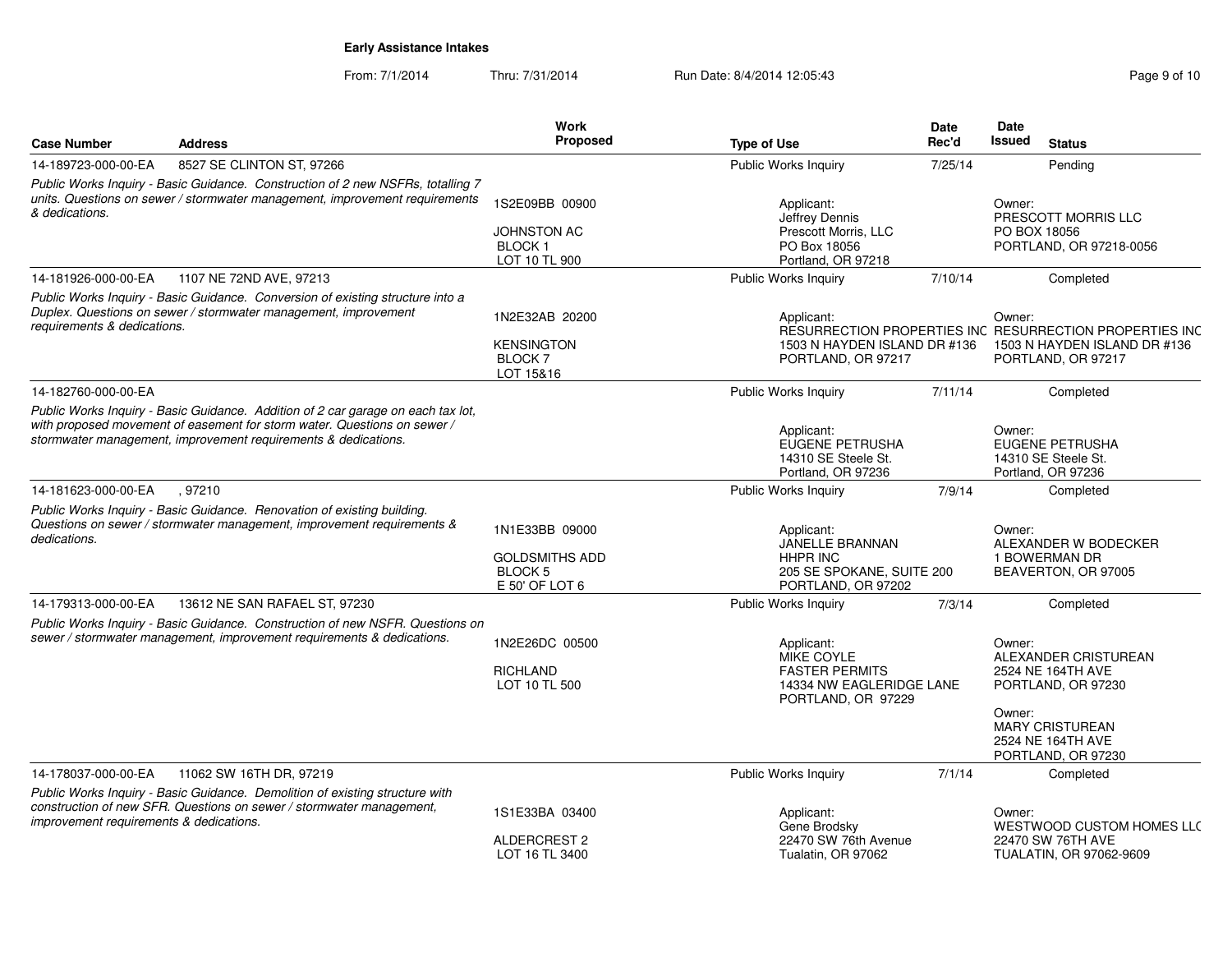| <b>Case Number</b>                      | <b>Address</b>                                                                                                                                                                                                                 | <b>Work</b><br>Proposed                                                    | <b>Type of Use</b>                                                                                         | Date<br>Rec'd | Date<br><b>Issued</b><br><b>Status</b>                                                                                             |
|-----------------------------------------|--------------------------------------------------------------------------------------------------------------------------------------------------------------------------------------------------------------------------------|----------------------------------------------------------------------------|------------------------------------------------------------------------------------------------------------|---------------|------------------------------------------------------------------------------------------------------------------------------------|
| 14-189723-000-00-EA                     | 8527 SE CLINTON ST, 97266                                                                                                                                                                                                      |                                                                            | Public Works Inquiry                                                                                       | 7/25/14       | Pending                                                                                                                            |
|                                         | Public Works Inquiry - Basic Guidance. Construction of 2 new NSFRs, totalling 7                                                                                                                                                |                                                                            |                                                                                                            |               |                                                                                                                                    |
| & dedications.                          | units. Questions on sewer / stormwater management, improvement requirements                                                                                                                                                    | 1S2E09BB 00900                                                             | Applicant:<br>Jeffrey Dennis                                                                               |               | Owner:<br>PRESCOTT MORRIS LLC                                                                                                      |
|                                         |                                                                                                                                                                                                                                | <b>JOHNSTON AC</b><br>BLOCK <sub>1</sub><br>LOT 10 TL 900                  | Prescott Morris, LLC<br>PO Box 18056<br>Portland, OR 97218                                                 |               | PO BOX 18056<br>PORTLAND, OR 97218-0056                                                                                            |
| 14-181926-000-00-EA                     | 1107 NE 72ND AVE, 97213                                                                                                                                                                                                        |                                                                            | <b>Public Works Inquiry</b>                                                                                | 7/10/14       | Completed                                                                                                                          |
| requirements & dedications.             | Public Works Inquiry - Basic Guidance. Conversion of existing structure into a<br>Duplex. Questions on sewer / stormwater management, improvement                                                                              | 1N2E32AB 20200                                                             | Applicant:                                                                                                 |               | Owner:<br>RESURRECTION PROPERTIES INC RESURRECTION PROPERTIES INC                                                                  |
|                                         |                                                                                                                                                                                                                                | <b>KENSINGTON</b><br><b>BLOCK7</b><br>LOT 15&16                            | 1503 N HAYDEN ISLAND DR #136<br>PORTLAND, OR 97217                                                         |               | 1503 N HAYDEN ISLAND DR #136<br>PORTLAND, OR 97217                                                                                 |
| 14-182760-000-00-EA                     |                                                                                                                                                                                                                                |                                                                            | Public Works Inquiry                                                                                       | 7/11/14       | Completed                                                                                                                          |
|                                         | Public Works Inquiry - Basic Guidance. Addition of 2 car garage on each tax lot,<br>with proposed movement of easement for storm water. Questions on sewer /<br>stormwater management, improvement requirements & dedications. |                                                                            | Applicant:<br>EUGENE PETRUSHA<br>14310 SE Steele St.<br>Portland, OR 97236                                 |               | Owner:<br><b>EUGENE PETRUSHA</b><br>14310 SE Steele St.<br>Portland, OR 97236                                                      |
| 14-181623-000-00-EA                     | , 97210                                                                                                                                                                                                                        |                                                                            | Public Works Inquiry                                                                                       | 7/9/14        | Completed                                                                                                                          |
| dedications.                            | Public Works Inquiry - Basic Guidance. Renovation of existing building.<br>Questions on sewer / stormwater management, improvement requirements &                                                                              | 1N1E33BB 09000<br><b>GOLDSMITHS ADD</b><br><b>BLOCK5</b><br>E 50' OF LOT 6 | Applicant:<br><b>JANELLE BRANNAN</b><br><b>HHPR INC</b><br>205 SE SPOKANE, SUITE 200<br>PORTLAND, OR 97202 |               | Owner:<br>ALEXANDER W BODECKER<br>1 BOWERMAN DR<br>BEAVERTON, OR 97005                                                             |
| 14-179313-000-00-EA                     | 13612 NE SAN RAFAEL ST, 97230                                                                                                                                                                                                  |                                                                            | <b>Public Works Inquiry</b>                                                                                | 7/3/14        | Completed                                                                                                                          |
|                                         | Public Works Inquiry - Basic Guidance. Construction of new NSFR. Questions on<br>sewer / stormwater management, improvement requirements & dedications.                                                                        | 1N2E26DC 00500<br><b>RICHLAND</b><br>LOT 10 TL 500                         | Applicant:<br><b>MIKE COYLE</b><br><b>FASTER PERMITS</b><br>14334 NW EAGLERIDGE LANE<br>PORTLAND, OR 97229 |               | Owner:<br>ALEXANDER CRISTUREAN<br>2524 NE 164TH AVE<br>PORTLAND, OR 97230<br>Owner:<br><b>MARY CRISTUREAN</b><br>2524 NE 164TH AVE |
|                                         |                                                                                                                                                                                                                                |                                                                            |                                                                                                            |               | PORTLAND, OR 97230                                                                                                                 |
| 14-178037-000-00-EA                     | 11062 SW 16TH DR, 97219<br>Public Works Inquiry - Basic Guidance. Demolition of existing structure with                                                                                                                        |                                                                            | Public Works Inquiry                                                                                       | 7/1/14        | Completed                                                                                                                          |
| improvement requirements & dedications. | construction of new SFR. Questions on sewer / stormwater management,                                                                                                                                                           | 1S1E33BA 03400                                                             | Applicant:<br>Gene Brodsky                                                                                 |               | Owner:<br><b>WESTWOOD CUSTOM HOMES LLC</b>                                                                                         |
|                                         |                                                                                                                                                                                                                                | ALDERCREST 2<br>LOT 16 TL 3400                                             | 22470 SW 76th Avenue<br>Tualatin, OR 97062                                                                 |               | 22470 SW 76TH AVE<br>TUALATIN, OR 97062-9609                                                                                       |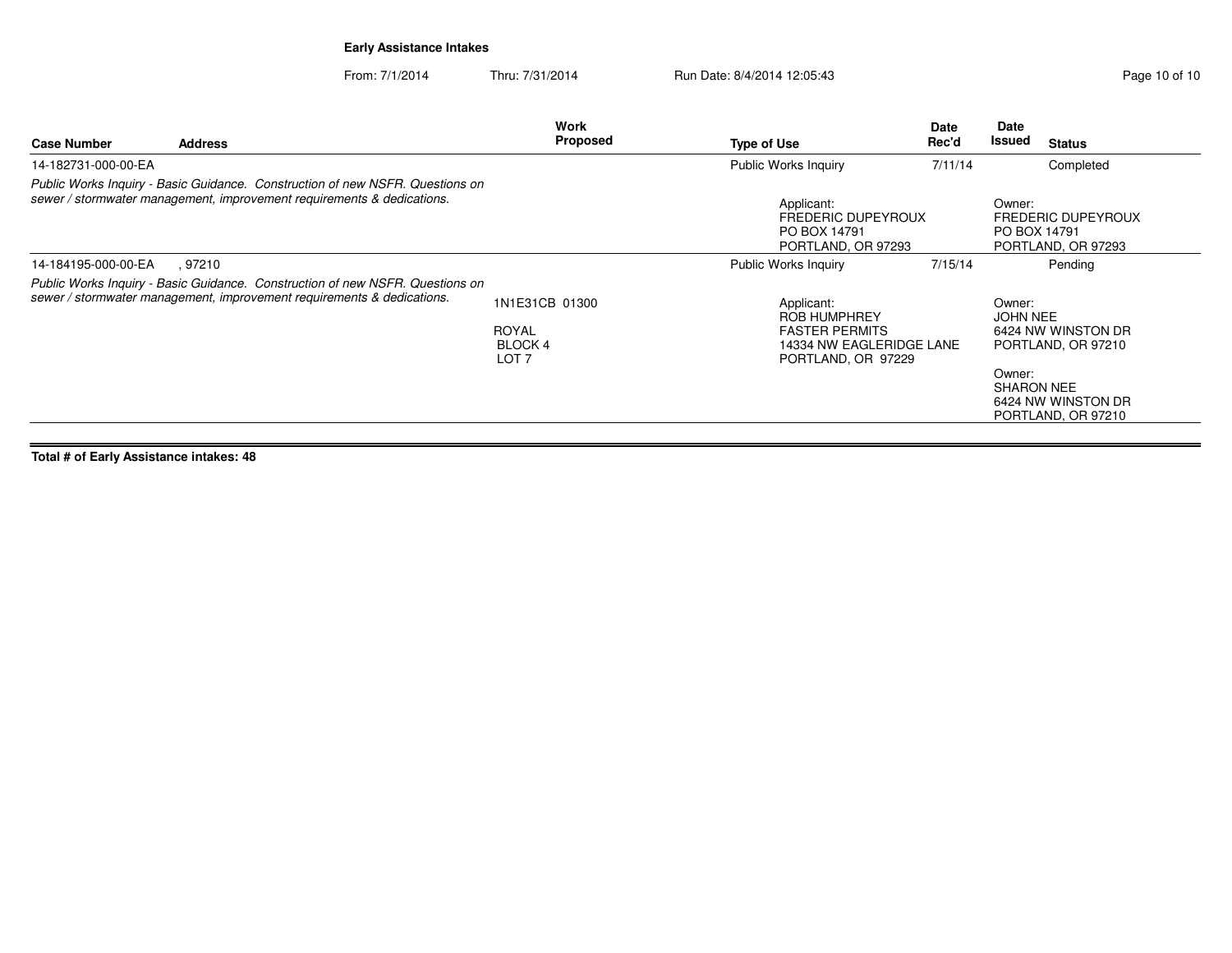From: 7/1/2014Thru: 7/31/2014 Run Date: 8/4/2014 12:05:43 Research 2010 10 Page 10 of 10

| <b>Case Number</b>  | <b>Address</b>                                                                                                                                          | Work<br>Proposed | <b>Type of Use</b>                                                            | Date<br>Rec'd | <b>Date</b><br>Issued  | <b>Status</b>                            |
|---------------------|---------------------------------------------------------------------------------------------------------------------------------------------------------|------------------|-------------------------------------------------------------------------------|---------------|------------------------|------------------------------------------|
| 14-182731-000-00-EA |                                                                                                                                                         |                  | Public Works Inquiry                                                          | 7/11/14       |                        | Completed                                |
|                     | Public Works Inquiry - Basic Guidance. Construction of new NSFR. Questions on<br>sewer / stormwater management, improvement requirements & dedications. |                  | Applicant:<br><b>FREDERIC DUPEYROUX</b><br>PO BOX 14791<br>PORTLAND, OR 97293 |               | Owner:<br>PO BOX 14791 | FREDERIC DUPEYROUX<br>PORTLAND, OR 97293 |
| 14-184195-000-00-EA | . 97210                                                                                                                                                 |                  | Public Works Inquiry                                                          | 7/15/14       |                        | Pending                                  |
|                     | Public Works Inquiry - Basic Guidance. Construction of new NSFR. Questions on<br>sewer / stormwater management, improvement requirements & dedications. | $\left  \right $ | $\cdots$                                                                      |               | $\sim$ $\sim$ $\sim$   |                                          |

| Public Works Inquiry - Basic Guidance. Construction of new NSFR. Questions on |                                      |                                                                         |                                                                         |
|-------------------------------------------------------------------------------|--------------------------------------|-------------------------------------------------------------------------|-------------------------------------------------------------------------|
| sewer / stormwater management, improvement requirements & dedications.        | 1N1E31CB 01300                       | Applicant:<br><b>ROB HUMPHREY</b>                                       | Owner:<br>JOHN NEE                                                      |
|                                                                               | ROYAL<br>BLOCK 4<br>LOT <sub>7</sub> | <b>FASTER PERMITS</b><br>14334 NW EAGLERIDGE LANE<br>PORTLAND, OR 97229 | 6424 NW WINSTON DR<br>PORTLAND, OR 97210                                |
|                                                                               |                                      |                                                                         | Owner:<br><b>SHARON NEE</b><br>6424 NW WINSTON DR<br>PORTLAND, OR 97210 |
|                                                                               |                                      |                                                                         |                                                                         |

**Total # of Early Assistance intakes: 48**

**Case Number**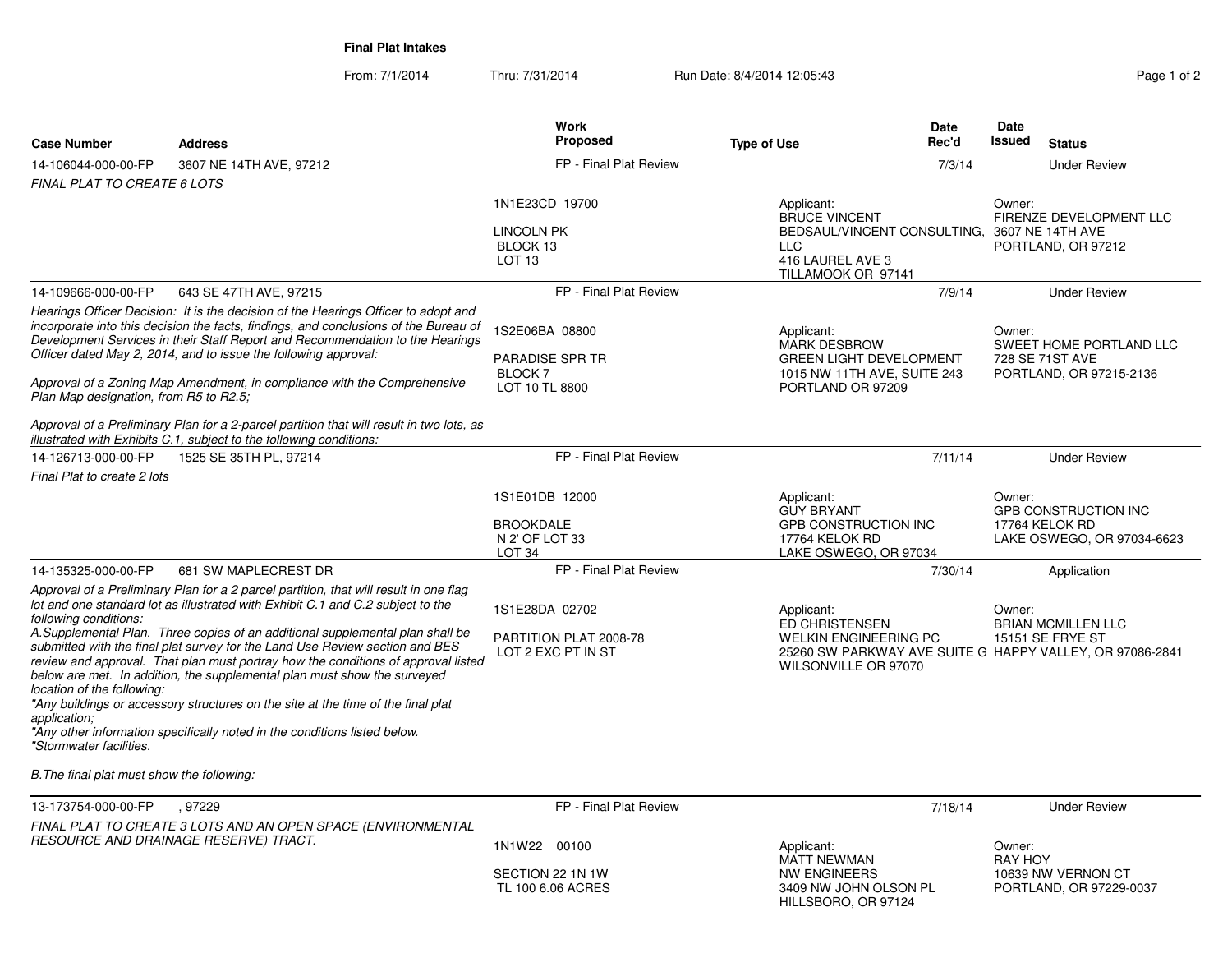**Final Plat Intakes**

| <b>Case Number</b>                                                                             | <b>Address</b>                                                                                                                                                                                                                                                                                                                                                                                                                                                                                                                                                                                                                                                              | Work<br>Proposed                                                      | Date<br>Rec'd<br><b>Type of Use</b>                                                                                                              | Date<br>Issued<br><b>Status</b>                                                       |
|------------------------------------------------------------------------------------------------|-----------------------------------------------------------------------------------------------------------------------------------------------------------------------------------------------------------------------------------------------------------------------------------------------------------------------------------------------------------------------------------------------------------------------------------------------------------------------------------------------------------------------------------------------------------------------------------------------------------------------------------------------------------------------------|-----------------------------------------------------------------------|--------------------------------------------------------------------------------------------------------------------------------------------------|---------------------------------------------------------------------------------------|
| 14-106044-000-00-FP                                                                            | 3607 NE 14TH AVE, 97212                                                                                                                                                                                                                                                                                                                                                                                                                                                                                                                                                                                                                                                     | FP - Final Plat Review                                                | 7/3/14                                                                                                                                           | <b>Under Review</b>                                                                   |
| FINAL PLAT TO CREATE 6 LOTS                                                                    |                                                                                                                                                                                                                                                                                                                                                                                                                                                                                                                                                                                                                                                                             |                                                                       |                                                                                                                                                  |                                                                                       |
|                                                                                                |                                                                                                                                                                                                                                                                                                                                                                                                                                                                                                                                                                                                                                                                             | 1N1E23CD 19700<br><b>LINCOLN PK</b><br>BLOCK 13<br>LOT <sub>13</sub>  | Applicant:<br><b>BRUCE VINCENT</b><br>BEDSAUL/VINCENT CONSULTING,<br><b>LLC</b><br>416 LAUREL AVE 3<br>TILLAMOOK OR 97141                        | Owner:<br>FIRENZE DEVELOPMENT LLC<br>3607 NE 14TH AVE<br>PORTLAND, OR 97212           |
| 14-109666-000-00-FP                                                                            | 643 SE 47TH AVE, 97215                                                                                                                                                                                                                                                                                                                                                                                                                                                                                                                                                                                                                                                      | FP - Final Plat Review                                                | 7/9/14                                                                                                                                           | <b>Under Review</b>                                                                   |
| Plan Map designation, from R5 to R2.5;                                                         | Hearings Officer Decision: It is the decision of the Hearings Officer to adopt and<br>incorporate into this decision the facts, findings, and conclusions of the Bureau of<br>Development Services in their Staff Report and Recommendation to the Hearings<br>Officer dated May 2, 2014, and to issue the following approval:<br>Approval of a Zoning Map Amendment, in compliance with the Comprehensive                                                                                                                                                                                                                                                                  | 1S2E06BA 08800<br><b>PARADISE SPR TR</b><br>BLOCK 7<br>LOT 10 TL 8800 | Applicant:<br><b>MARK DESBROW</b><br><b>GREEN LIGHT DEVELOPMENT</b><br>1015 NW 11TH AVE, SUITE 243<br>PORTLAND OR 97209                          | Owner:<br>SWEET HOME PORTLAND LLC<br>728 SE 71ST AVE<br>PORTLAND, OR 97215-2136       |
|                                                                                                | Approval of a Preliminary Plan for a 2-parcel partition that will result in two lots, as<br>illustrated with Exhibits C.1, subject to the following conditions:                                                                                                                                                                                                                                                                                                                                                                                                                                                                                                             |                                                                       |                                                                                                                                                  |                                                                                       |
| 14-126713-000-00-FP                                                                            | 1525 SE 35TH PL, 97214                                                                                                                                                                                                                                                                                                                                                                                                                                                                                                                                                                                                                                                      | FP - Final Plat Review                                                | 7/11/14                                                                                                                                          | <b>Under Review</b>                                                                   |
| Final Plat to create 2 lots                                                                    |                                                                                                                                                                                                                                                                                                                                                                                                                                                                                                                                                                                                                                                                             |                                                                       |                                                                                                                                                  |                                                                                       |
|                                                                                                |                                                                                                                                                                                                                                                                                                                                                                                                                                                                                                                                                                                                                                                                             | 1S1E01DB 12000<br><b>BROOKDALE</b><br>N 2' OF LOT 33<br>LOT 34        | Applicant:<br><b>GUY BRYANT</b><br><b>GPB CONSTRUCTION INC</b><br>17764 KELOK RD<br>LAKE OSWEGO, OR 97034                                        | Owner:<br><b>GPB CONSTRUCTION INC</b><br>17764 KELOK RD<br>LAKE OSWEGO, OR 97034-6623 |
| 14-135325-000-00-FP                                                                            | 681 SW MAPLECREST DR                                                                                                                                                                                                                                                                                                                                                                                                                                                                                                                                                                                                                                                        | FP - Final Plat Review                                                | 7/30/14                                                                                                                                          | Application                                                                           |
| following conditions:<br>location of the following:<br>application:<br>"Stormwater facilities. | Approval of a Preliminary Plan for a 2 parcel partition, that will result in one flag<br>lot and one standard lot as illustrated with Exhibit C.1 and C.2 subject to the<br>A.Supplemental Plan. Three copies of an additional supplemental plan shall be<br>submitted with the final plat survey for the Land Use Review section and BES<br>review and approval. That plan must portray how the conditions of approval listed<br>below are met. In addition, the supplemental plan must show the surveyed<br>"Any buildings or accessory structures on the site at the time of the final plat<br>"Any other information specifically noted in the conditions listed below. | 1S1E28DA 02702<br>PARTITION PLAT 2008-78<br>LOT 2 EXC PT IN ST        | Applicant:<br>ED CHRISTENSEN<br><b>WELKIN ENGINEERING PC</b><br>25260 SW PARKWAY AVE SUITE G HAPPY VALLEY, OR 97086-2841<br>WILSONVILLE OR 97070 | Owner:<br><b>BRIAN MCMILLEN LLC</b><br><b>15151 SE FRYE ST</b>                        |
| B. The final plat must show the following:                                                     |                                                                                                                                                                                                                                                                                                                                                                                                                                                                                                                                                                                                                                                                             |                                                                       |                                                                                                                                                  |                                                                                       |
| 13-173754-000-00-FP                                                                            | .97229                                                                                                                                                                                                                                                                                                                                                                                                                                                                                                                                                                                                                                                                      | FP - Final Plat Review                                                | 7/18/14                                                                                                                                          | <b>Under Review</b>                                                                   |
|                                                                                                | FINAL PLAT TO CREATE 3 LOTS AND AN OPEN SPACE (ENVIRONMENTAL<br>RESOURCE AND DRAINAGE RESERVE) TRACT.                                                                                                                                                                                                                                                                                                                                                                                                                                                                                                                                                                       | 1N1W22 00100<br>SECTION 22 1N 1W<br>TL 100 6.06 ACRES                 | Applicant:<br><b>MATT NEWMAN</b><br>NW ENGINEERS<br>3409 NW JOHN OLSON PL<br>HILLSBORO, OR 97124                                                 | Owner:<br><b>RAY HOY</b><br>10639 NW VERNON CT<br>PORTLAND, OR 97229-0037             |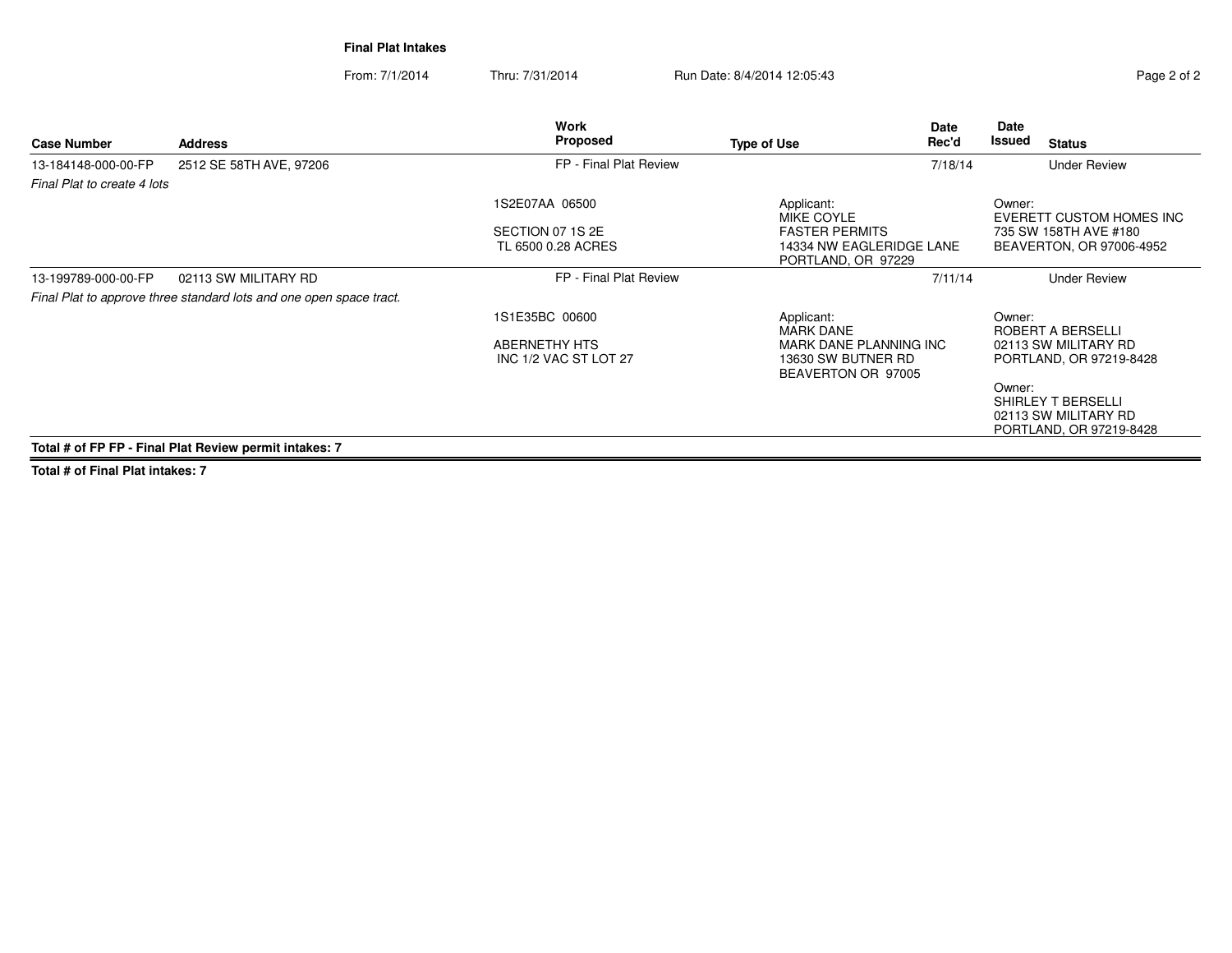**Final Plat Intakes**

From: 7/1/2014Thru: 7/31/2014 Run Date: 8/4/2014 12:05:43

| Page 2 of 2 |  |  |
|-------------|--|--|
|             |  |  |
|             |  |  |

| <b>Address</b>                                                      | Work<br>Proposed                       | <b>Type of Use</b>             | Date<br>Rec'd | Date<br>Issued                                                                                                       | <b>Status</b>                                                         |
|---------------------------------------------------------------------|----------------------------------------|--------------------------------|---------------|----------------------------------------------------------------------------------------------------------------------|-----------------------------------------------------------------------|
| 2512 SE 58TH AVE, 97206                                             | FP - Final Plat Review                 |                                | 7/18/14       |                                                                                                                      | <b>Under Review</b>                                                   |
| Final Plat to create 4 lots                                         |                                        |                                |               |                                                                                                                      |                                                                       |
|                                                                     | 1S2E07AA 06500                         | Applicant:<br>MIKE COYLE       |               | Owner:                                                                                                               | EVERETT CUSTOM HOMES INC                                              |
|                                                                     | SECTION 07 1S 2E<br>TL 6500 0.28 ACRES | <b>FASTER PERMITS</b>          |               |                                                                                                                      | 735 SW 158TH AVE #180<br>BEAVERTON, OR 97006-4952                     |
| 02113 SW MILITARY RD                                                | FP - Final Plat Review                 |                                | 7/11/14       |                                                                                                                      | <b>Under Review</b>                                                   |
| Final Plat to approve three standard lots and one open space tract. |                                        |                                |               |                                                                                                                      |                                                                       |
|                                                                     | 1S1E35BC 00600                         | Applicant:<br><b>MARK DANE</b> |               | Owner:                                                                                                               | ROBERT A BERSELLI                                                     |
|                                                                     | ABERNETHY HTS<br>INC 1/2 VAC ST LOT 27 |                                |               |                                                                                                                      | 02113 SW MILITARY RD<br>PORTLAND, OR 97219-8428                       |
|                                                                     |                                        |                                |               | Owner:                                                                                                               | SHIRLEY T BERSELLI<br>02113 SW MILITARY RD<br>PORTLAND, OR 97219-8428 |
|                                                                     |                                        |                                |               | 14334 NW EAGLERIDGE LANE<br>PORTLAND, OR 97229<br>MARK DANE PLANNING INC<br>13630 SW BUTNER RD<br>BEAVERTON OR 97005 |                                                                       |

**Total # of Final Plat intakes: 7**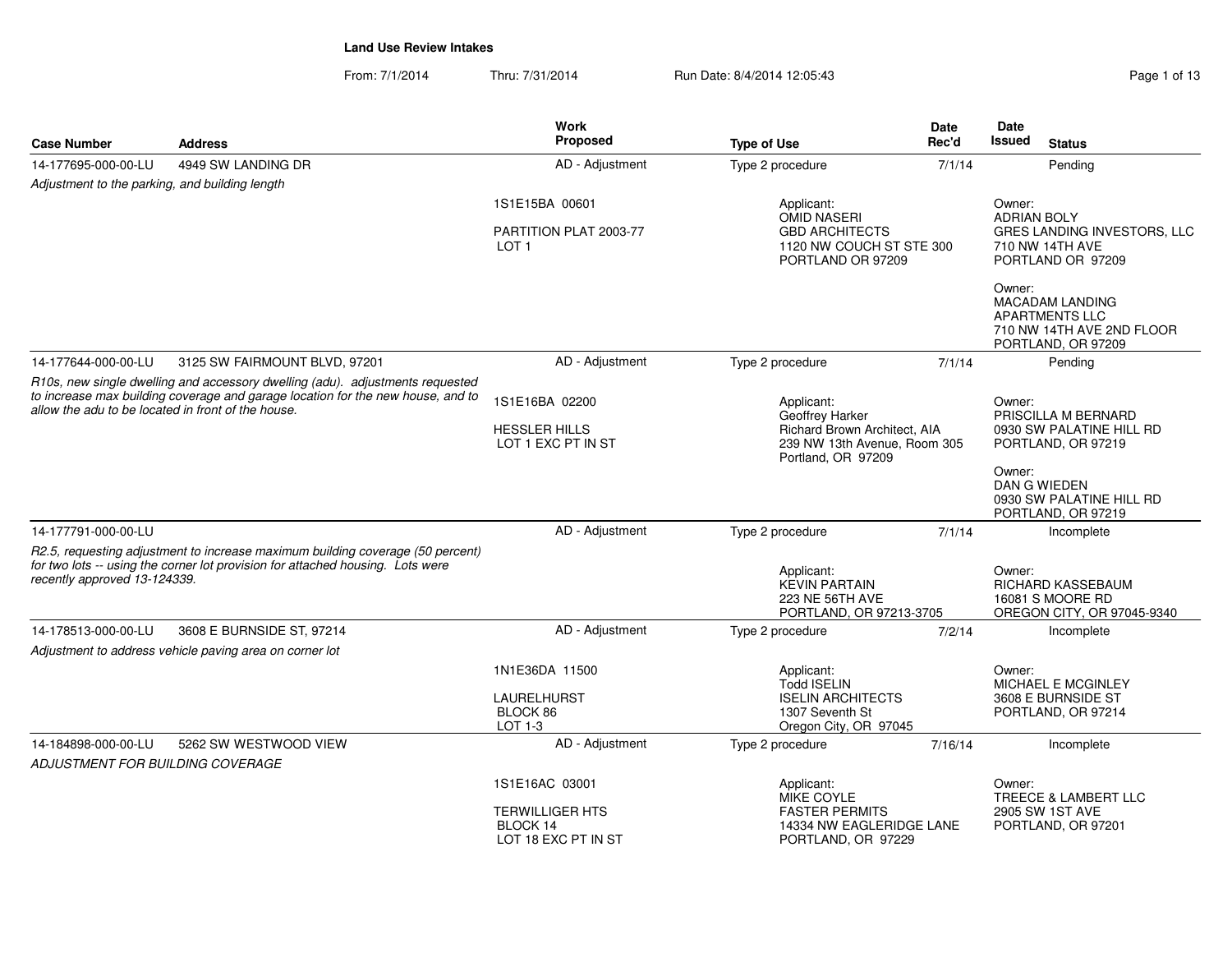| <b>Case Number</b>                                      | <b>Address</b>                                                                                                                                                   | Work<br>Proposed                                          | <b>Type of Use</b>                                                               | Date<br>Rec'd                                                                                                  | Date<br><b>Issued</b>        | <b>Status</b>                                                                               |
|---------------------------------------------------------|------------------------------------------------------------------------------------------------------------------------------------------------------------------|-----------------------------------------------------------|----------------------------------------------------------------------------------|----------------------------------------------------------------------------------------------------------------|------------------------------|---------------------------------------------------------------------------------------------|
| 14-177695-000-00-LU                                     | 4949 SW LANDING DR                                                                                                                                               | AD - Adjustment                                           | Type 2 procedure                                                                 | 7/1/14                                                                                                         |                              | Pending                                                                                     |
| Adjustment to the parking, and building length          |                                                                                                                                                                  |                                                           |                                                                                  |                                                                                                                |                              |                                                                                             |
|                                                         |                                                                                                                                                                  | 1S1E15BA 00601                                            | Applicant:<br><b>OMID NASERI</b>                                                 |                                                                                                                | Owner:<br><b>ADRIAN BOLY</b> |                                                                                             |
|                                                         |                                                                                                                                                                  | PARTITION PLAT 2003-77<br>LOT <sub>1</sub>                | <b>GBD ARCHITECTS</b><br>1120 NW COUCH ST STE 300<br>PORTLAND OR 97209           |                                                                                                                |                              | GRES LANDING INVESTORS, LLC<br>710 NW 14TH AVE<br>PORTLAND OR 97209                         |
|                                                         |                                                                                                                                                                  |                                                           |                                                                                  |                                                                                                                | Owner:                       | MACADAM LANDING<br><b>APARTMENTS LLC</b><br>710 NW 14TH AVE 2ND FLOOR<br>PORTLAND, OR 97209 |
| 14-177644-000-00-LU                                     | 3125 SW FAIRMOUNT BLVD, 97201                                                                                                                                    | AD - Adjustment                                           | Type 2 procedure                                                                 | 7/1/14                                                                                                         |                              | Pending                                                                                     |
|                                                         | R10s, new single dwelling and accessory dwelling (adu). adjustments requested                                                                                    |                                                           |                                                                                  |                                                                                                                |                              |                                                                                             |
| allow the adu to be located in front of the house.      | to increase max building coverage and garage location for the new house, and to                                                                                  | 1S1E16BA 02200                                            | Applicant:<br>Geoffrey Harker                                                    | Owner:<br>PRISCILLA M BERNARD                                                                                  |                              |                                                                                             |
|                                                         |                                                                                                                                                                  | <b>HESSLER HILLS</b><br>LOT 1 EXC PT IN ST                | Portland, OR 97209                                                               | Richard Brown Architect, AIA<br>0930 SW PALATINE HILL RD<br>239 NW 13th Avenue, Room 305<br>PORTLAND, OR 97219 |                              |                                                                                             |
|                                                         |                                                                                                                                                                  |                                                           |                                                                                  |                                                                                                                | Owner:                       | DAN G WIEDEN<br>0930 SW PALATINE HILL RD<br>PORTLAND, OR 97219                              |
| 14-177791-000-00-LU                                     |                                                                                                                                                                  | AD - Adjustment                                           | Type 2 procedure                                                                 | 7/1/14                                                                                                         |                              | Incomplete                                                                                  |
| recently approved 13-124339.                            | R2.5, requesting adjustment to increase maximum building coverage (50 percent)<br>for two lots -- using the corner lot provision for attached housing. Lots were |                                                           | Applicant:<br><b>KEVIN PARTAIN</b><br>223 NE 56TH AVE<br>PORTLAND, OR 97213-3705 |                                                                                                                | Owner:                       | RICHARD KASSEBAUM<br>16081 S MOORE RD<br>OREGON CITY, OR 97045-9340                         |
| 14-178513-000-00-LU                                     | 3608 E BURNSIDE ST, 97214                                                                                                                                        | AD - Adjustment                                           | Type 2 procedure                                                                 | 7/2/14                                                                                                         |                              | Incomplete                                                                                  |
|                                                         | Adjustment to address vehicle paving area on corner lot                                                                                                          |                                                           |                                                                                  |                                                                                                                |                              |                                                                                             |
|                                                         |                                                                                                                                                                  | 1N1E36DA 11500                                            | Applicant:<br><b>Todd ISELIN</b>                                                 |                                                                                                                | Owner:                       | MICHAEL E MCGINLEY                                                                          |
|                                                         |                                                                                                                                                                  | <b>LAURELHURST</b><br>BLOCK 86<br>LOT 1-3                 | <b>ISELIN ARCHITECTS</b><br>1307 Seventh St<br>Oregon City, OR 97045             |                                                                                                                |                              | 3608 E BURNSIDE ST<br>PORTLAND, OR 97214                                                    |
| 14-184898-000-00-LU<br>ADJUSTMENT FOR BUILDING COVERAGE | 5262 SW WESTWOOD VIEW                                                                                                                                            | AD - Adjustment                                           | Type 2 procedure                                                                 | 7/16/14                                                                                                        |                              | Incomplete                                                                                  |
|                                                         |                                                                                                                                                                  | 1S1E16AC 03001                                            | Applicant:<br><b>MIKE COYLE</b>                                                  |                                                                                                                | Owner:                       | TREECE & LAMBERT LLC                                                                        |
|                                                         |                                                                                                                                                                  | <b>TERWILLIGER HTS</b><br>BLOCK 14<br>LOT 18 EXC PT IN ST | <b>FASTER PERMITS</b><br>14334 NW EAGLERIDGE LANE<br>PORTLAND, OR 97229          |                                                                                                                |                              | 2905 SW 1ST AVE<br>PORTLAND, OR 97201                                                       |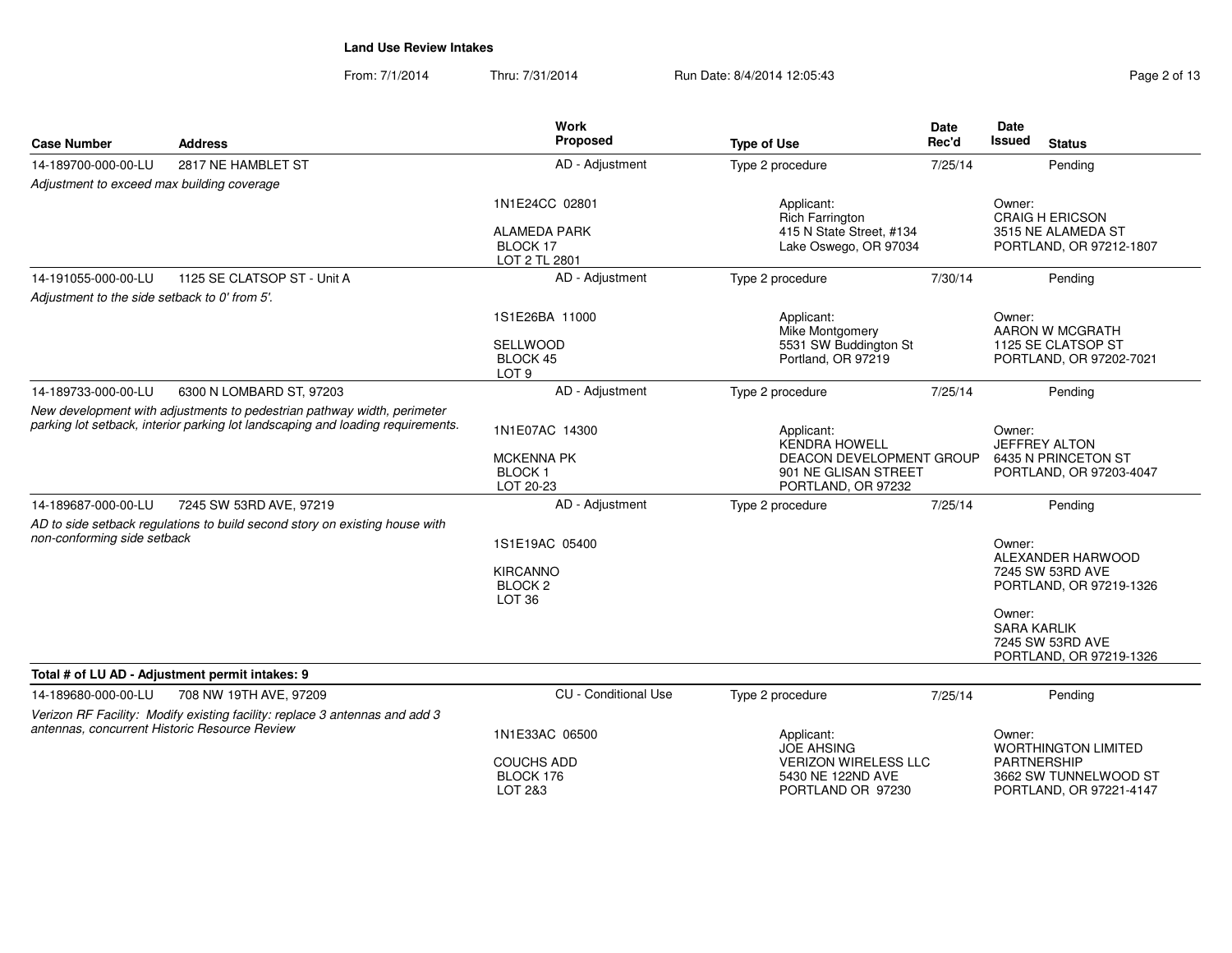| Page 2 of 13 |
|--------------|
|--------------|

| <b>Case Number</b>                            | <b>Address</b>                                                                                                                                             | <b>Work</b><br>Proposed                                                      | <b>Type of Use</b>                                                                                           | Date<br>Rec'd | Date<br>Issued<br><b>Status</b>                                                                                                                           |
|-----------------------------------------------|------------------------------------------------------------------------------------------------------------------------------------------------------------|------------------------------------------------------------------------------|--------------------------------------------------------------------------------------------------------------|---------------|-----------------------------------------------------------------------------------------------------------------------------------------------------------|
| 14-189700-000-00-LU                           | 2817 NE HAMBLET ST                                                                                                                                         | AD - Adjustment                                                              | Type 2 procedure                                                                                             | 7/25/14       | Pending                                                                                                                                                   |
| Adjustment to exceed max building coverage    |                                                                                                                                                            |                                                                              |                                                                                                              |               |                                                                                                                                                           |
|                                               |                                                                                                                                                            | 1N1E24CC 02801<br><b>ALAMEDA PARK</b><br>BLOCK 17<br>LOT 2 TL 2801           | Applicant:<br><b>Rich Farrington</b><br>415 N State Street, #134<br>Lake Oswego, OR 97034                    |               | Owner:<br><b>CRAIG H ERICSON</b><br>3515 NE ALAMEDA ST<br>PORTLAND, OR 97212-1807                                                                         |
| 14-191055-000-00-LU                           | 1125 SE CLATSOP ST - Unit A                                                                                                                                | AD - Adjustment                                                              | Type 2 procedure                                                                                             | 7/30/14       | Pending                                                                                                                                                   |
| Adjustment to the side setback to 0' from 5'. |                                                                                                                                                            |                                                                              |                                                                                                              |               |                                                                                                                                                           |
|                                               |                                                                                                                                                            | 1S1E26BA 11000                                                               | Applicant:<br>Mike Montgomery                                                                                |               | Owner:<br>AARON W MCGRATH                                                                                                                                 |
|                                               |                                                                                                                                                            | <b>SELLWOOD</b><br>BLOCK 45<br>LOT <sub>9</sub>                              | 5531 SW Buddington St<br>Portland, OR 97219                                                                  |               | 1125 SE CLATSOP ST<br>PORTLAND, OR 97202-7021                                                                                                             |
| 14-189733-000-00-LU                           | 6300 N LOMBARD ST, 97203                                                                                                                                   | AD - Adjustment                                                              | Type 2 procedure                                                                                             | 7/25/14       | Pendina                                                                                                                                                   |
|                                               | New development with adjustments to pedestrian pathway width, perimeter<br>parking lot setback, interior parking lot landscaping and loading requirements. | 1N1E07AC 14300<br><b>MCKENNA PK</b><br>BLOCK <sub>1</sub><br>LOT 20-23       | Applicant:<br><b>KENDRA HOWELL</b><br>DEACON DEVELOPMENT GROUP<br>901 NE GLISAN STREET<br>PORTLAND, OR 97232 |               | Owner:<br>JEFFREY ALTON<br>6435 N PRINCETON ST<br>PORTLAND, OR 97203-4047                                                                                 |
| 14-189687-000-00-LU                           | 7245 SW 53RD AVE, 97219                                                                                                                                    | AD - Adjustment                                                              | Type 2 procedure                                                                                             | 7/25/14       | Pendina                                                                                                                                                   |
| non-conforming side setback                   | AD to side setback regulations to build second story on existing house with                                                                                | 1S1E19AC 05400<br><b>KIRCANNO</b><br>BLOCK <sub>2</sub><br>LOT <sub>36</sub> |                                                                                                              |               | Owner:<br>ALEXANDER HARWOOD<br>7245 SW 53RD AVE<br>PORTLAND, OR 97219-1326<br>Owner:<br><b>SARA KARLIK</b><br>7245 SW 53RD AVE<br>PORTLAND, OR 97219-1326 |
|                                               | Total # of LU AD - Adjustment permit intakes: 9                                                                                                            |                                                                              |                                                                                                              |               |                                                                                                                                                           |
| 14-189680-000-00-LU                           | 708 NW 19TH AVE, 97209                                                                                                                                     | <b>CU</b> - Conditional Use                                                  | Type 2 procedure                                                                                             | 7/25/14       | Pending                                                                                                                                                   |
| antennas, concurrent Historic Resource Review | Verizon RF Facility: Modify existing facility: replace 3 antennas and add 3                                                                                | 1N1E33AC 06500<br><b>COUCHS ADD</b><br>BLOCK 176<br>LOT 2&3                  | Applicant:<br><b>JOE AHSING</b><br><b>VERIZON WIRELESS LLC</b><br>5430 NE 122ND AVE<br>PORTLAND OR 97230     |               | Owner:<br><b>WORTHINGTON LIMITED</b><br><b>PARTNERSHIP</b><br>3662 SW TUNNELWOOD ST<br>PORTLAND, OR 97221-4147                                            |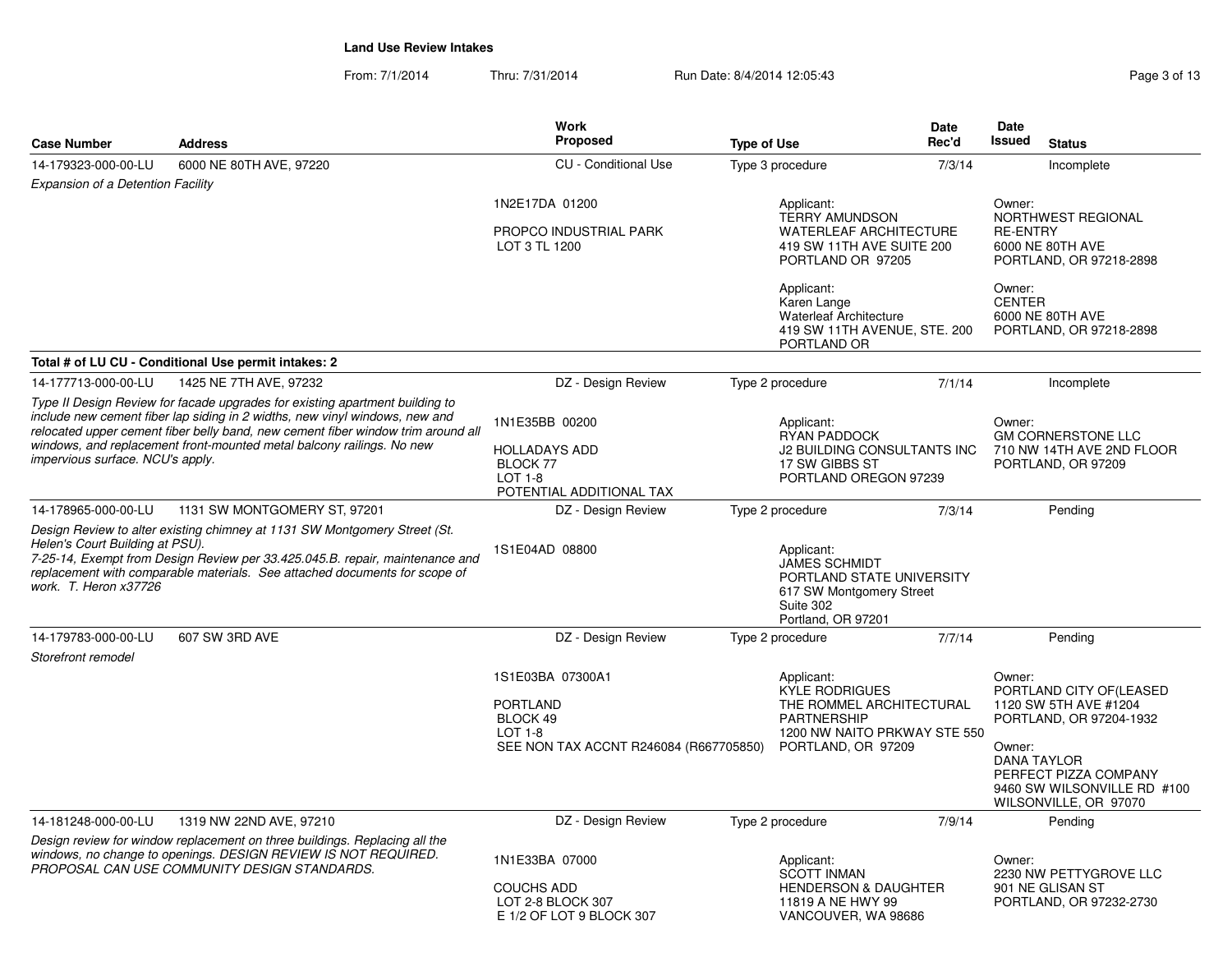| Page 3 of 13 |  |  |
|--------------|--|--|
|              |  |  |

| <b>Case Number</b>                                       | <b>Address</b>                                                                                                                                                                                                                                                                                                           | <b>Work</b><br><b>Proposed</b>                                                                                                                                                                                                                        | <b>Type of Use</b>                                                                                                             |                                                                                                                        | <b>Date</b><br>Rec'd                                                                                                                                      | Date<br>Issued            | <b>Status</b>                                                                |
|----------------------------------------------------------|--------------------------------------------------------------------------------------------------------------------------------------------------------------------------------------------------------------------------------------------------------------------------------------------------------------------------|-------------------------------------------------------------------------------------------------------------------------------------------------------------------------------------------------------------------------------------------------------|--------------------------------------------------------------------------------------------------------------------------------|------------------------------------------------------------------------------------------------------------------------|-----------------------------------------------------------------------------------------------------------------------------------------------------------|---------------------------|------------------------------------------------------------------------------|
| 14-179323-000-00-LU                                      | 6000 NE 80TH AVE, 97220                                                                                                                                                                                                                                                                                                  | <b>CU</b> - Conditional Use                                                                                                                                                                                                                           |                                                                                                                                | Type 3 procedure                                                                                                       | 7/3/14                                                                                                                                                    |                           | Incomplete                                                                   |
| <b>Expansion of a Detention Facility</b>                 |                                                                                                                                                                                                                                                                                                                          |                                                                                                                                                                                                                                                       |                                                                                                                                |                                                                                                                        |                                                                                                                                                           |                           |                                                                              |
|                                                          |                                                                                                                                                                                                                                                                                                                          | 1N2E17DA 01200<br>PROPCO INDUSTRIAL PARK<br>LOT 3 TL 1200                                                                                                                                                                                             |                                                                                                                                | Applicant:<br><b>TERRY AMUNDSON</b><br><b>WATERLEAF ARCHITECTURE</b><br>419 SW 11TH AVE SUITE 200<br>PORTLAND OR 97205 |                                                                                                                                                           | Owner:<br><b>RE-ENTRY</b> | NORTHWEST REGIONAL<br>6000 NE 80TH AVE<br>PORTLAND, OR 97218-2898            |
|                                                          |                                                                                                                                                                                                                                                                                                                          |                                                                                                                                                                                                                                                       |                                                                                                                                | Applicant:<br>Karen Lange<br><b>Waterleaf Architecture</b><br>419 SW 11TH AVENUE, STE. 200<br>PORTLAND OR              |                                                                                                                                                           | Owner:<br><b>CENTER</b>   | 6000 NE 80TH AVE<br>PORTLAND, OR 97218-2898                                  |
|                                                          | Total # of LU CU - Conditional Use permit intakes: 2                                                                                                                                                                                                                                                                     |                                                                                                                                                                                                                                                       |                                                                                                                                |                                                                                                                        |                                                                                                                                                           |                           |                                                                              |
| 14-177713-000-00-LU                                      | 1425 NE 7TH AVE, 97232                                                                                                                                                                                                                                                                                                   | DZ - Design Review                                                                                                                                                                                                                                    |                                                                                                                                | Type 2 procedure                                                                                                       | 7/1/14                                                                                                                                                    |                           | Incomplete                                                                   |
| impervious surface. NCU's apply.                         | Type II Design Review for facade upgrades for existing apartment building to<br>include new cement fiber lap siding in 2 widths, new vinyl windows, new and<br>relocated upper cement fiber belly band, new cement fiber window trim around all<br>windows, and replacement front-mounted metal balcony railings. No new | 1N1E35BB 00200<br><b>HOLLADAYS ADD</b><br>BLOCK 77<br>$LOT 1-8$<br>POTENTIAL ADDITIONAL TAX                                                                                                                                                           |                                                                                                                                | Applicant:<br><b>RYAN PADDOCK</b><br>J2 BUILDING CONSULTANTS INC<br>17 SW GIBBS ST<br>PORTLAND OREGON 97239            |                                                                                                                                                           | Owner:                    | <b>GM CORNERSTONE LLC</b><br>710 NW 14TH AVE 2ND FLOOR<br>PORTLAND, OR 97209 |
| 14-178965-000-00-LU                                      | 1131 SW MONTGOMERY ST, 97201                                                                                                                                                                                                                                                                                             | DZ - Design Review                                                                                                                                                                                                                                    |                                                                                                                                | Type 2 procedure                                                                                                       | 7/3/14                                                                                                                                                    |                           | Pendina                                                                      |
| Helen's Court Building at PSU).<br>work. T. Heron x37726 | Design Review to alter existing chimney at 1131 SW Montgomery Street (St.<br>7-25-14, Exempt from Design Review per 33.425.045.B. repair, maintenance and<br>replacement with comparable materials. See attached documents for scope of                                                                                  | 1S1E04AD 08800                                                                                                                                                                                                                                        | Applicant:<br><b>JAMES SCHMIDT</b><br>PORTLAND STATE UNIVERSITY<br>617 SW Montgomery Street<br>Suite 302<br>Portland, OR 97201 |                                                                                                                        |                                                                                                                                                           |                           |                                                                              |
| 14-179783-000-00-LU                                      | 607 SW 3RD AVE                                                                                                                                                                                                                                                                                                           | DZ - Design Review                                                                                                                                                                                                                                    |                                                                                                                                | Type 2 procedure                                                                                                       | 7/7/14                                                                                                                                                    |                           | Pending                                                                      |
| Storefront remodel                                       |                                                                                                                                                                                                                                                                                                                          | 1S1E03BA 07300A1<br>Applicant:<br><b>KYLE RODRIGUES</b><br><b>PORTLAND</b><br>THE ROMMEL ARCHITECTURAL<br>BLOCK 49<br><b>PARTNERSHIP</b><br>$LOT 1-8$<br>1200 NW NAITO PRKWAY STE 550<br>SEE NON TAX ACCNT R246084 (R667705850)<br>PORTLAND, OR 97209 |                                                                                                                                | Owner:<br>Owner:                                                                                                       | PORTLAND CITY OF(LEASED<br>1120 SW 5TH AVE #1204<br>PORTLAND, OR 97204-1932<br><b>DANA TAYLOR</b><br>PERFECT PIZZA COMPANY<br>9460 SW WILSONVILLE RD #100 |                           |                                                                              |
|                                                          |                                                                                                                                                                                                                                                                                                                          |                                                                                                                                                                                                                                                       |                                                                                                                                |                                                                                                                        |                                                                                                                                                           |                           | WILSONVILLE, OR 97070                                                        |
| 14-181248-000-00-LU                                      | 1319 NW 22ND AVE, 97210                                                                                                                                                                                                                                                                                                  | DZ - Design Review                                                                                                                                                                                                                                    |                                                                                                                                | Type 2 procedure                                                                                                       | 7/9/14                                                                                                                                                    |                           | Pending                                                                      |
|                                                          | Design review for window replacement on three buildings. Replacing all the<br>windows, no change to openings. DESIGN REVIEW IS NOT REQUIRED.<br>PROPOSAL CAN USE COMMUNITY DESIGN STANDARDS.                                                                                                                             | 1N1E33BA 07000<br><b>COUCHS ADD</b><br>LOT 2-8 BLOCK 307<br>E 1/2 OF LOT 9 BLOCK 307                                                                                                                                                                  |                                                                                                                                | Applicant:<br><b>SCOTT INMAN</b><br><b>HENDERSON &amp; DAUGHTER</b><br>11819 A NE HWY 99<br>VANCOUVER, WA 98686        |                                                                                                                                                           | Owner:                    | 2230 NW PETTYGROVE LLC<br>901 NE GLISAN ST<br>PORTLAND, OR 97232-2730        |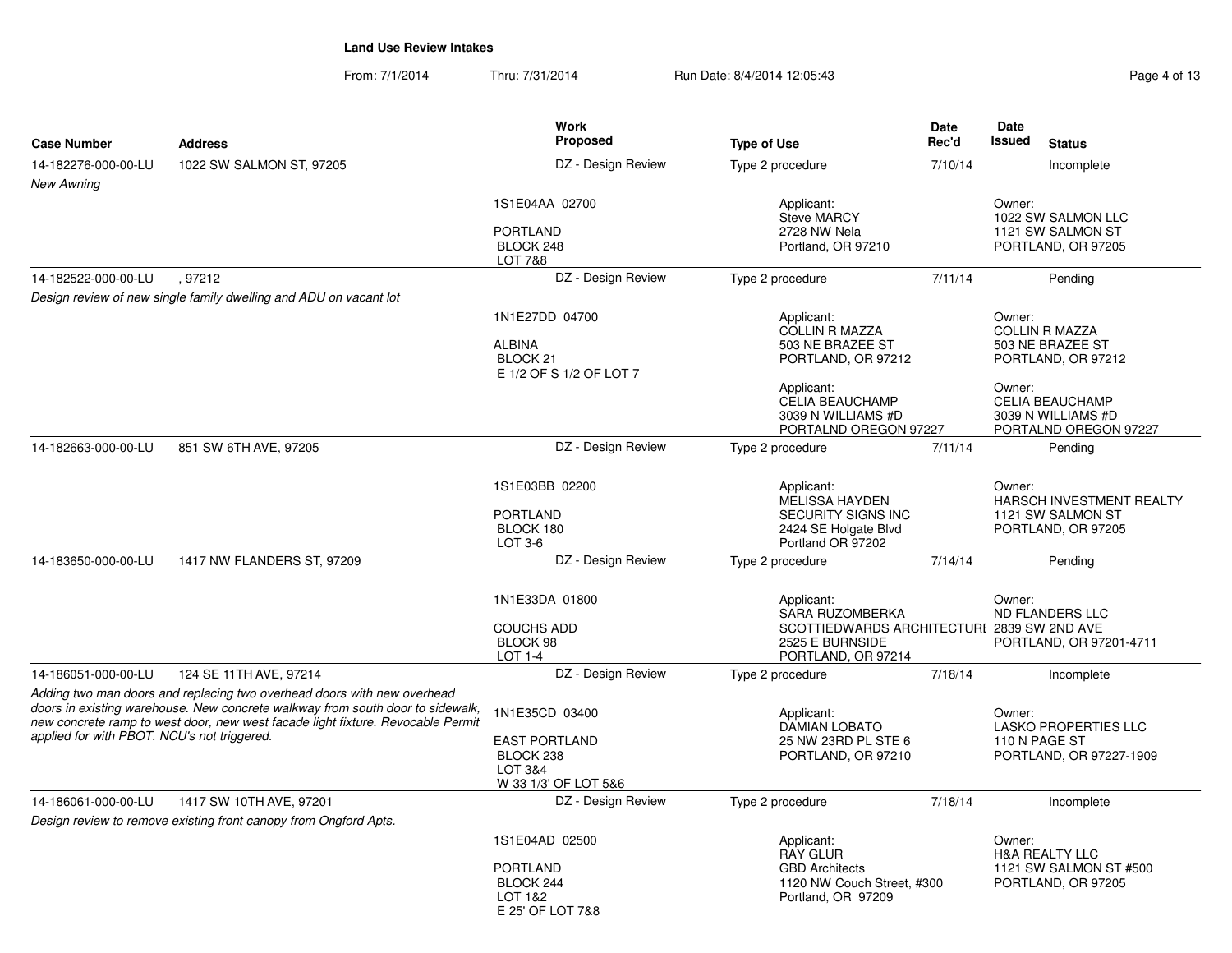| <b>Case Number</b>                                                                                                                                                                                                                                                                          | <b>Address</b>                                                    | <b>Work</b><br>Proposed                                                                | <b>Type of Use</b>                                                                                                          | Date<br>Rec'd |                                                                                   |  |
|---------------------------------------------------------------------------------------------------------------------------------------------------------------------------------------------------------------------------------------------------------------------------------------------|-------------------------------------------------------------------|----------------------------------------------------------------------------------------|-----------------------------------------------------------------------------------------------------------------------------|---------------|-----------------------------------------------------------------------------------|--|
| 14-182276-000-00-LU                                                                                                                                                                                                                                                                         | 1022 SW SALMON ST, 97205                                          | DZ - Design Review                                                                     | Type 2 procedure                                                                                                            | 7/10/14       | Incomplete                                                                        |  |
| <b>New Awning</b>                                                                                                                                                                                                                                                                           |                                                                   |                                                                                        |                                                                                                                             |               |                                                                                   |  |
|                                                                                                                                                                                                                                                                                             |                                                                   | 1S1E04AA 02700                                                                         | Applicant:<br><b>Steve MARCY</b>                                                                                            |               | Owner:<br>1022 SW SALMON LLC                                                      |  |
|                                                                                                                                                                                                                                                                                             |                                                                   | <b>PORTLAND</b><br>BLOCK 248<br>LOT 7&8                                                | 2728 NW Nela<br>Portland, OR 97210                                                                                          |               | 1121 SW SALMON ST<br>PORTLAND, OR 97205                                           |  |
| 14-182522-000-00-LU                                                                                                                                                                                                                                                                         | .97212                                                            | DZ - Design Review                                                                     | Type 2 procedure                                                                                                            | 7/11/14       | Pending                                                                           |  |
|                                                                                                                                                                                                                                                                                             | Design review of new single family dwelling and ADU on vacant lot |                                                                                        |                                                                                                                             |               |                                                                                   |  |
|                                                                                                                                                                                                                                                                                             |                                                                   | 1N1E27DD 04700                                                                         | Applicant:<br><b>COLLIN R MAZZA</b>                                                                                         |               | Owner:<br><b>COLLIN R MAZZA</b>                                                   |  |
|                                                                                                                                                                                                                                                                                             |                                                                   | <b>ALBINA</b><br>BLOCK <sub>21</sub><br>E 1/2 OF S 1/2 OF LOT 7                        | 503 NE BRAZEE ST<br>PORTLAND, OR 97212                                                                                      |               | 503 NE BRAZEE ST<br>PORTLAND, OR 97212                                            |  |
|                                                                                                                                                                                                                                                                                             |                                                                   |                                                                                        | Applicant:<br><b>CELIA BEAUCHAMP</b><br>3039 N WILLIAMS #D<br>PORTALND OREGON 97227                                         |               | Owner:<br><b>CELIA BEAUCHAMP</b><br>3039 N WILLIAMS #D<br>PORTALND OREGON 97227   |  |
| 14-182663-000-00-LU                                                                                                                                                                                                                                                                         | 851 SW 6TH AVE, 97205                                             | DZ - Design Review                                                                     | Type 2 procedure                                                                                                            | 7/11/14       | Pending                                                                           |  |
|                                                                                                                                                                                                                                                                                             |                                                                   | 1S1E03BB 02200<br><b>PORTLAND</b><br>BLOCK 180                                         | Applicant:<br><b>MELISSA HAYDEN</b><br>SECURITY SIGNS INC<br>2424 SE Holgate Blvd                                           |               | Owner:<br>HARSCH INVESTMENT REALTY<br>1121 SW SALMON ST<br>PORTLAND, OR 97205     |  |
|                                                                                                                                                                                                                                                                                             |                                                                   | LOT 3-6                                                                                | Portland OR 97202                                                                                                           |               |                                                                                   |  |
| 14-183650-000-00-LU                                                                                                                                                                                                                                                                         | 1417 NW FLANDERS ST, 97209                                        | DZ - Design Review                                                                     | Type 2 procedure                                                                                                            | 7/14/14       | Pending                                                                           |  |
|                                                                                                                                                                                                                                                                                             |                                                                   | 1N1E33DA 01800<br><b>COUCHS ADD</b><br>BLOCK 98<br>LOT 1-4                             | Applicant:<br><b>SARA RUZOMBERKA</b><br>SCOTTIEDWARDS ARCHITECTURI 2839 SW 2ND AVE<br>2525 E BURNSIDE<br>PORTLAND, OR 97214 |               | Owner:<br><b>ND FLANDERS LLC</b><br>PORTLAND, OR 97201-4711                       |  |
| 14-186051-000-00-LU                                                                                                                                                                                                                                                                         | 124 SE 11TH AVE, 97214                                            | DZ - Design Review                                                                     | Type 2 procedure                                                                                                            | 7/18/14       | Incomplete                                                                        |  |
| Adding two man doors and replacing two overhead doors with new overhead<br>doors in existing warehouse. New concrete walkway from south door to sidewalk,<br>new concrete ramp to west door, new west facade light fixture. Revocable Permit<br>applied for with PBOT. NCU's not triggered. |                                                                   | 1N1E35CD 03400<br><b>EAST PORTLAND</b><br>BLOCK 238<br>LOT 3&4<br>W 33 1/3' OF LOT 5&6 | Applicant:<br><b>DAMIAN LOBATO</b><br>25 NW 23RD PL STE 6<br>PORTLAND, OR 97210                                             |               | Owner:<br><b>LASKO PROPERTIES LLC</b><br>110 N PAGE ST<br>PORTLAND, OR 97227-1909 |  |
| 14-186061-000-00-LU                                                                                                                                                                                                                                                                         | 1417 SW 10TH AVE, 97201                                           | DZ - Design Review                                                                     | Type 2 procedure                                                                                                            | 7/18/14       | Incomplete                                                                        |  |
|                                                                                                                                                                                                                                                                                             | Design review to remove existing front canopy from Ongford Apts.  |                                                                                        |                                                                                                                             |               |                                                                                   |  |
|                                                                                                                                                                                                                                                                                             |                                                                   | 1S1E04AD 02500                                                                         | Applicant:                                                                                                                  |               | Owner:                                                                            |  |
|                                                                                                                                                                                                                                                                                             |                                                                   | <b>PORTLAND</b><br>BLOCK 244<br>LOT 1&2<br>E 25' OF LOT 7&8                            | <b>RAY GLUR</b><br><b>GBD Architects</b><br>1120 NW Couch Street, #300<br>Portland, OR 97209                                |               | <b>H&amp;A REALTY LLC</b><br>1121 SW SALMON ST #500<br>PORTLAND, OR 97205         |  |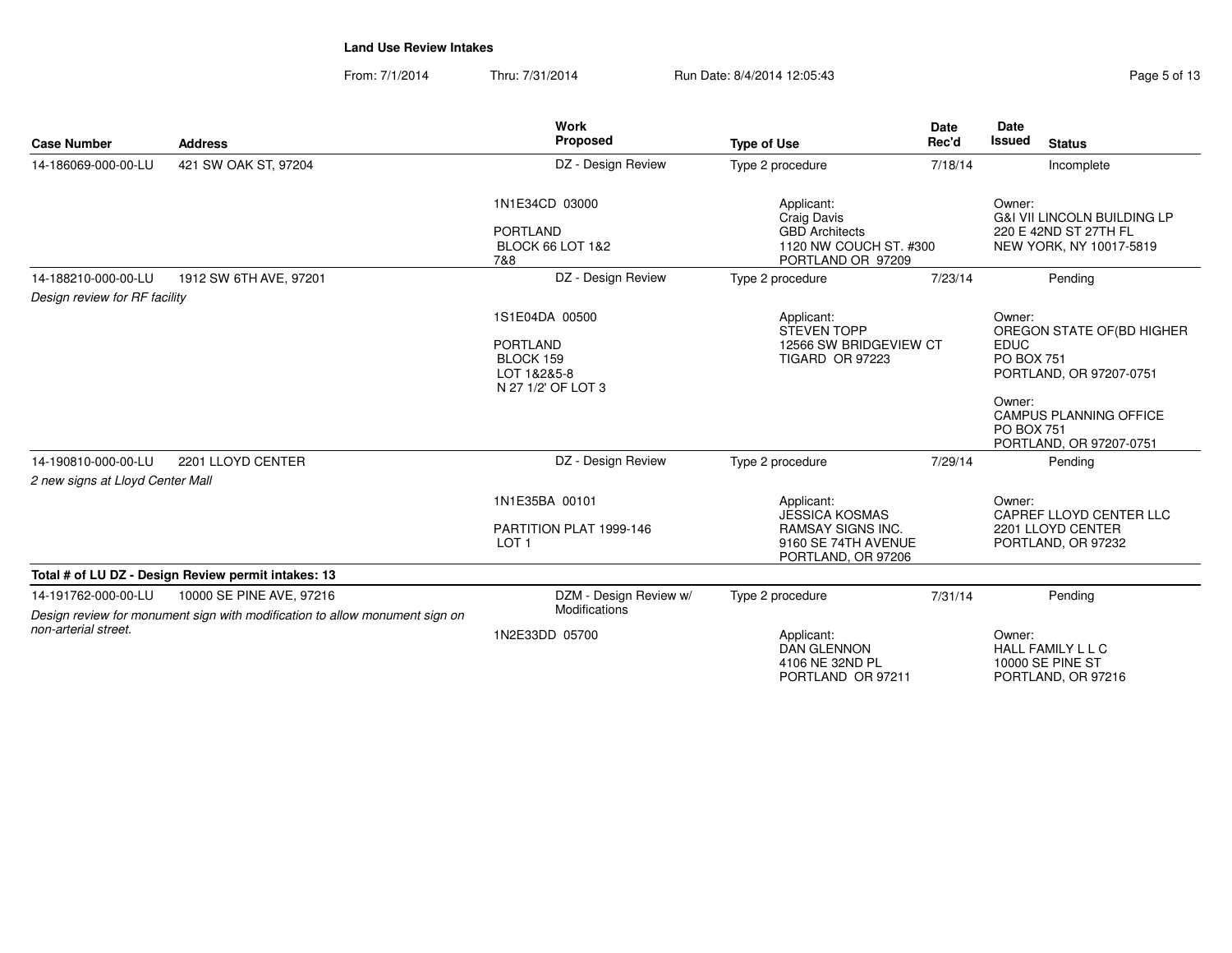| <b>Case Number</b>               | <b>Address</b>                                                                                          | <b>Work</b><br>Proposed                                                                                                                                                      | <b>Type of Use</b>                                                                                           | <b>Date</b><br>Rec'd | <b>Date</b><br><b>Issued</b>                                                                         | <b>Status</b>                                                      |
|----------------------------------|---------------------------------------------------------------------------------------------------------|------------------------------------------------------------------------------------------------------------------------------------------------------------------------------|--------------------------------------------------------------------------------------------------------------|----------------------|------------------------------------------------------------------------------------------------------|--------------------------------------------------------------------|
| 14-186069-000-00-LU              | 421 SW OAK ST, 97204                                                                                    | DZ - Design Review                                                                                                                                                           | Type 2 procedure                                                                                             | 7/18/14              |                                                                                                      | Incomplete                                                         |
|                                  |                                                                                                         | 1N1E34CD 03000<br>Applicant:<br>Craig Davis<br><b>PORTLAND</b><br><b>GBD Architects</b><br><b>BLOCK 66 LOT 1&amp;2</b><br>1120 NW COUCH ST. #300<br>PORTLAND OR 97209<br>7&8 |                                                                                                              |                      | Owner:<br><b>G&amp;I VII LINCOLN BUILDING LP</b><br>220 E 42ND ST 27TH FL<br>NEW YORK, NY 10017-5819 |                                                                    |
| 14-188210-000-00-LU              | 1912 SW 6TH AVE, 97201                                                                                  | DZ - Design Review                                                                                                                                                           | Type 2 procedure                                                                                             | 7/23/14              |                                                                                                      | Pending                                                            |
| Design review for RF facility    |                                                                                                         |                                                                                                                                                                              |                                                                                                              |                      |                                                                                                      |                                                                    |
|                                  |                                                                                                         | 1S1E04DA 00500<br><b>PORTLAND</b><br>BLOCK 159<br>LOT 1&2&5-8<br>N 27 1/2' OF LOT 3                                                                                          | Applicant:<br><b>STEVEN TOPP</b><br>12566 SW BRIDGEVIEW CT<br><b>TIGARD OR 97223</b>                         |                      | Owner:<br><b>EDUC</b><br><b>PO BOX 751</b>                                                           | OREGON STATE OF(BD HIGHER<br>PORTLAND, OR 97207-0751               |
|                                  |                                                                                                         |                                                                                                                                                                              |                                                                                                              |                      | Owner:<br><b>PO BOX 751</b>                                                                          | <b>CAMPUS PLANNING OFFICE</b><br>PORTLAND, OR 97207-0751           |
| 14-190810-000-00-LU              | 2201 LLOYD CENTER                                                                                       | DZ - Design Review                                                                                                                                                           | Type 2 procedure                                                                                             | 7/29/14              |                                                                                                      | Pending                                                            |
| 2 new signs at Lloyd Center Mall |                                                                                                         |                                                                                                                                                                              |                                                                                                              |                      |                                                                                                      |                                                                    |
|                                  |                                                                                                         | 1N1E35BA 00101<br>PARTITION PLAT 1999-146<br>LOT <sub>1</sub>                                                                                                                | Applicant:<br><b>JESSICA KOSMAS</b><br><b>RAMSAY SIGNS INC.</b><br>9160 SE 74TH AVENUE<br>PORTLAND, OR 97206 |                      | Owner:                                                                                               | CAPREF LLOYD CENTER LLC<br>2201 LLOYD CENTER<br>PORTLAND, OR 97232 |
|                                  | Total # of LU DZ - Design Review permit intakes: 13                                                     |                                                                                                                                                                              |                                                                                                              |                      |                                                                                                      |                                                                    |
| 14-191762-000-00-LU              | 10000 SE PINE AVE, 97216<br>Design review for monument sign with modification to allow monument sign on | DZM - Design Review w/<br>Modifications                                                                                                                                      | Type 2 procedure                                                                                             | 7/31/14              |                                                                                                      | Pending                                                            |
| non-arterial street.             |                                                                                                         | 1N2E33DD 05700                                                                                                                                                               | Applicant:<br><b>DAN GLENNON</b><br>4106 NE 32ND PL<br>PORTLAND OR 97211                                     |                      | Owner:                                                                                               | <b>HALL FAMILY L L C</b><br>10000 SE PINE ST<br>PORTLAND, OR 97216 |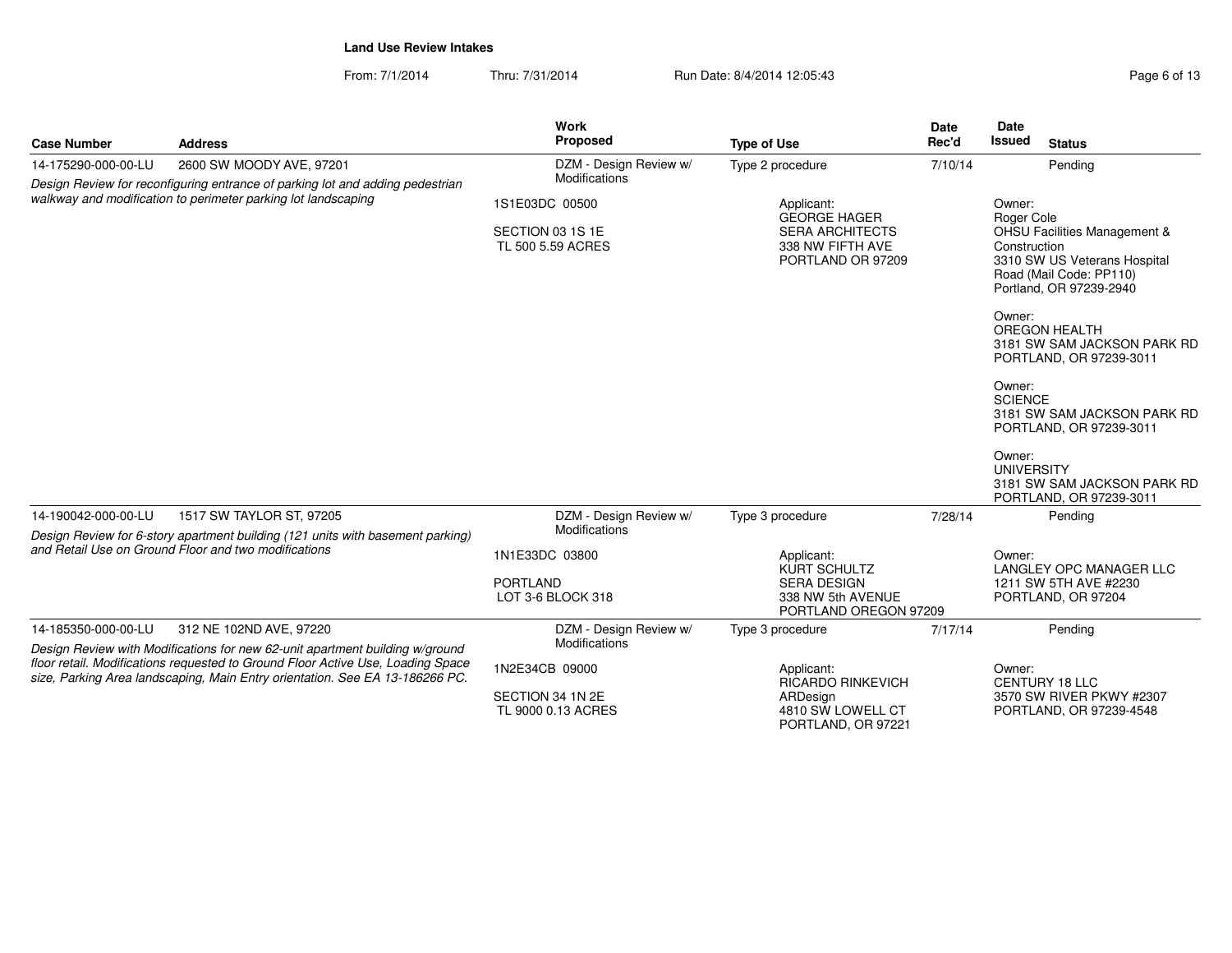| <b>Case Number</b>  | <b>Address</b>                                                                                                                                                                                                                                  | Work<br>Proposed                                                          | <b>Type of Use</b>                                                                                   | <b>Date</b><br>Rec'd | Date<br>Issued                                           | <b>Status</b>                                                                                                                                                                                                   |
|---------------------|-------------------------------------------------------------------------------------------------------------------------------------------------------------------------------------------------------------------------------------------------|---------------------------------------------------------------------------|------------------------------------------------------------------------------------------------------|----------------------|----------------------------------------------------------|-----------------------------------------------------------------------------------------------------------------------------------------------------------------------------------------------------------------|
| 14-175290-000-00-LU | 2600 SW MOODY AVE, 97201                                                                                                                                                                                                                        | DZM - Design Review w/                                                    | Type 2 procedure                                                                                     | 7/10/14              |                                                          | Pending                                                                                                                                                                                                         |
|                     | Design Review for reconfiguring entrance of parking lot and adding pedestrian<br>walkway and modification to perimeter parking lot landscaping                                                                                                  | Modifications<br>1S1E03DC 00500<br>SECTION 03 1S 1E<br>TL 500 5.59 ACRES  | Applicant:<br><b>GEORGE HAGER</b><br><b>SERA ARCHITECTS</b><br>338 NW FIFTH AVE<br>PORTLAND OR 97209 |                      | Owner:<br>Roger Cole<br>Construction<br>Owner:<br>Owner: | <b>OHSU Facilities Management &amp;</b><br>3310 SW US Veterans Hospital<br>Road (Mail Code: PP110)<br>Portland, OR 97239-2940<br><b>OREGON HEALTH</b><br>3181 SW SAM JACKSON PARK RD<br>PORTLAND, OR 97239-3011 |
|                     |                                                                                                                                                                                                                                                 |                                                                           |                                                                                                      |                      | <b>SCIENCE</b><br>Owner:<br><b>UNIVERSITY</b>            | 3181 SW SAM JACKSON PARK RD<br>PORTLAND, OR 97239-3011<br>3181 SW SAM JACKSON PARK RD<br>PORTLAND, OR 97239-3011                                                                                                |
| 14-190042-000-00-LU | 1517 SW TAYLOR ST, 97205                                                                                                                                                                                                                        | DZM - Design Review w/                                                    | Type 3 procedure                                                                                     | 7/28/14              |                                                          | Pending                                                                                                                                                                                                         |
|                     | Design Review for 6-story apartment building (121 units with basement parking)<br>and Retail Use on Ground Floor and two modifications                                                                                                          | Modifications<br>1N1E33DC 03800<br><b>PORTLAND</b><br>LOT 3-6 BLOCK 318   | Applicant:<br>KURT SCHULTZ<br><b>SERA DESIGN</b><br>338 NW 5th AVENUE<br>PORTLAND OREGON 97209       |                      | Owner:                                                   | LANGLEY OPC MANAGER LLC<br>1211 SW 5TH AVE #2230<br>PORTLAND, OR 97204                                                                                                                                          |
| 14-185350-000-00-LU | 312 NE 102ND AVE, 97220                                                                                                                                                                                                                         | DZM - Design Review w/                                                    | Type 3 procedure                                                                                     | 7/17/14              |                                                          | Pending                                                                                                                                                                                                         |
|                     | Design Review with Modifications for new 62-unit apartment building w/ground<br>floor retail. Modifications requested to Ground Floor Active Use, Loading Space<br>size, Parking Area landscaping, Main Entry orientation. See EA 13-186266 PC. | Modifications<br>1N2E34CB 09000<br>SECTION 34 1N 2E<br>TL 9000 0.13 ACRES | Applicant:<br>RICARDO RINKEVICH<br>ARDesign<br>4810 SW LOWELL CT<br>PORTLAND, OR 97221               |                      | Owner:                                                   | CENTURY 18 LLC<br>3570 SW RIVER PKWY #2307<br>PORTLAND, OR 97239-4548                                                                                                                                           |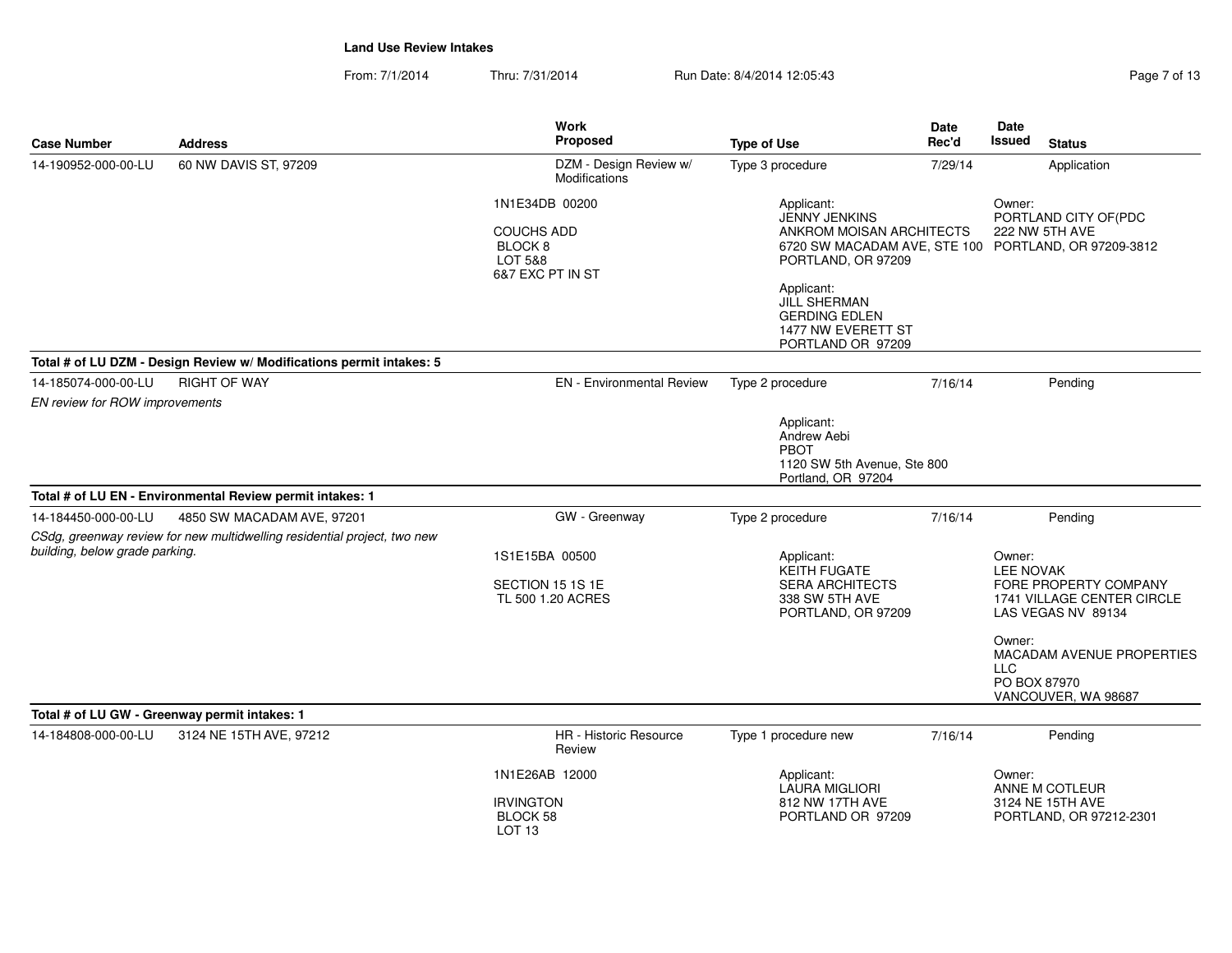| Page 7 of |  |  |
|-----------|--|--|
|           |  |  |

| <b>Case Number</b>             | <b>Address</b>                                                                                         | Work<br><b>Proposed</b>                                                                  | <b>Type of Use</b>                                                                                                                                                                           | Date<br>Rec'd | <b>Date</b><br>Issued<br><b>Status</b>                                                                                                                                                                     |
|--------------------------------|--------------------------------------------------------------------------------------------------------|------------------------------------------------------------------------------------------|----------------------------------------------------------------------------------------------------------------------------------------------------------------------------------------------|---------------|------------------------------------------------------------------------------------------------------------------------------------------------------------------------------------------------------------|
| 14-190952-000-00-LU            | 60 NW DAVIS ST, 97209                                                                                  | DZM - Design Review w/<br>Modifications                                                  | Type 3 procedure                                                                                                                                                                             | 7/29/14       | Application                                                                                                                                                                                                |
|                                |                                                                                                        | 1N1E34DB 00200<br><b>COUCHS ADD</b><br>BLOCK <sub>8</sub><br>LOT 5&8<br>6&7 EXC PT IN ST | Applicant:<br><b>JENNY JENKINS</b><br>ANKROM MOISAN ARCHITECTS<br>PORTLAND, OR 97209<br>Applicant:<br><b>JILL SHERMAN</b><br><b>GERDING EDLEN</b><br>1477 NW EVERETT ST<br>PORTLAND OR 97209 |               | Owner:<br>PORTLAND CITY OF(PDC<br>222 NW 5TH AVE<br>6720 SW MACADAM AVE, STE 100 PORTLAND, OR 97209-3812                                                                                                   |
|                                | Total # of LU DZM - Design Review w/ Modifications permit intakes: 5                                   |                                                                                          |                                                                                                                                                                                              |               |                                                                                                                                                                                                            |
| 14-185074-000-00-LU            | <b>RIGHT OF WAY</b>                                                                                    | <b>EN</b> - Environmental Review                                                         | Type 2 procedure                                                                                                                                                                             | 7/16/14       | Pending                                                                                                                                                                                                    |
| EN review for ROW improvements |                                                                                                        |                                                                                          | Applicant:<br>Andrew Aebi<br>PBOT<br>1120 SW 5th Avenue, Ste 800<br>Portland, OR 97204                                                                                                       |               |                                                                                                                                                                                                            |
|                                | Total # of LU EN - Environmental Review permit intakes: 1                                              |                                                                                          |                                                                                                                                                                                              |               |                                                                                                                                                                                                            |
| 14-184450-000-00-LU            | 4850 SW MACADAM AVE, 97201<br>CSdg, greenway review for new multidwelling residential project, two new | GW - Greenway                                                                            | Type 2 procedure                                                                                                                                                                             | 7/16/14       | Pending                                                                                                                                                                                                    |
| building, below grade parking. |                                                                                                        | 1S1E15BA 00500<br>SECTION 15 1S 1E<br>TL 500 1.20 ACRES                                  | Applicant:<br><b>KEITH FUGATE</b><br><b>SERA ARCHITECTS</b><br>338 SW 5TH AVE<br>PORTLAND, OR 97209                                                                                          |               | Owner:<br><b>LEE NOVAK</b><br>FORE PROPERTY COMPANY<br>1741 VILLAGE CENTER CIRCLE<br>LAS VEGAS NV 89134<br>Owner:<br><b>MACADAM AVENUE PROPERTIES</b><br><b>LLC</b><br>PO BOX 87970<br>VANCOUVER, WA 98687 |
|                                | Total # of LU GW - Greenway permit intakes: 1                                                          |                                                                                          |                                                                                                                                                                                              |               |                                                                                                                                                                                                            |
| 14-184808-000-00-LU            | 3124 NE 15TH AVE, 97212                                                                                | HR - Historic Resource<br>Review                                                         | Type 1 procedure new                                                                                                                                                                         | 7/16/14       | Pending                                                                                                                                                                                                    |
|                                |                                                                                                        | 1N1E26AB 12000<br><b>IRVINGTON</b><br>BLOCK 58<br>LOT <sub>13</sub>                      | Applicant:<br><b>LAURA MIGLIORI</b><br>812 NW 17TH AVE<br>PORTLAND OR 97209                                                                                                                  |               | Owner:<br>ANNE M COTLEUR<br>3124 NE 15TH AVE<br>PORTLAND, OR 97212-2301                                                                                                                                    |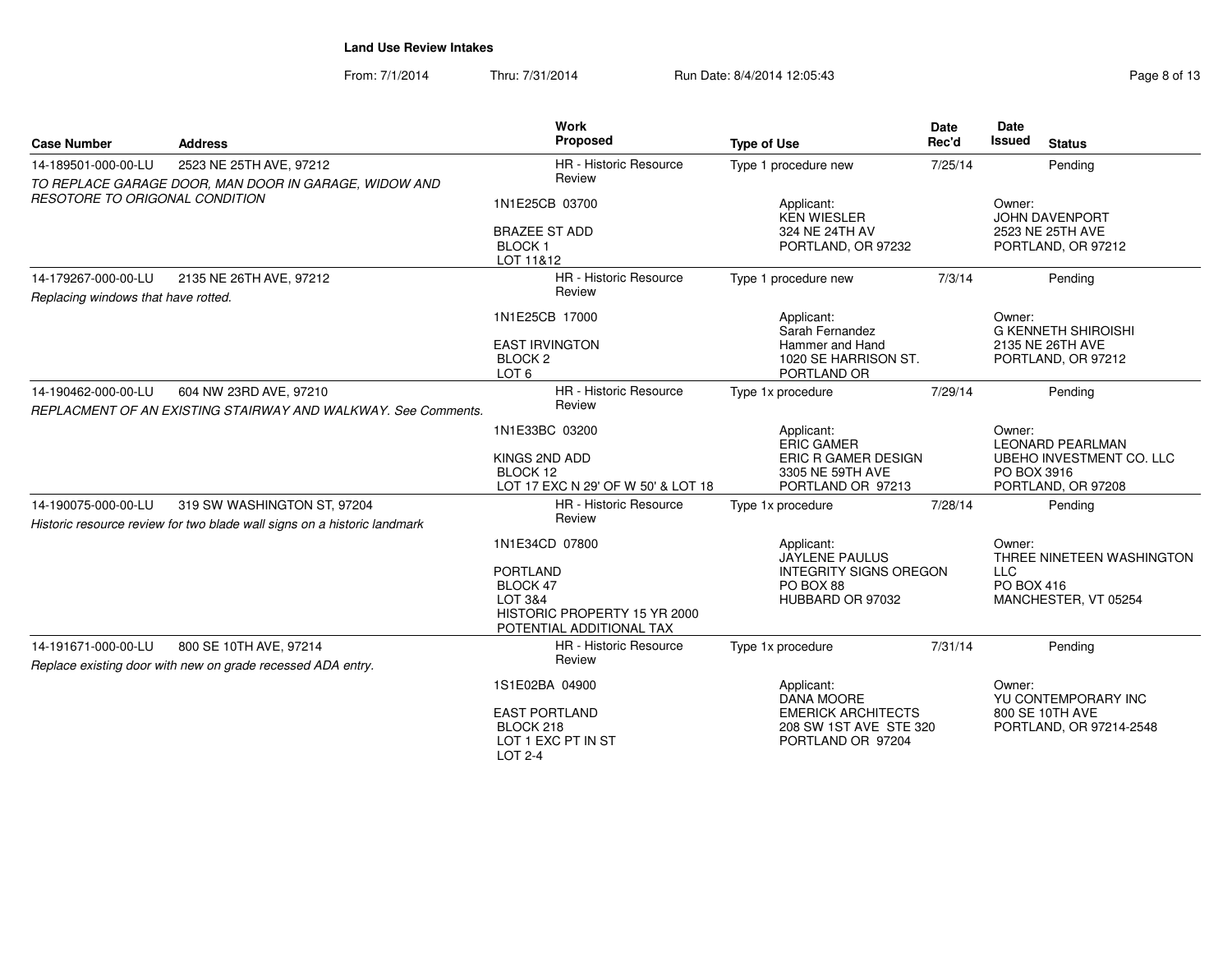| <b>Case Number</b>                    | <b>Address</b>                                                                          | <b>Work</b><br>Proposed                                                                            | <b>Type of Use</b>                                                       | <b>Date</b><br>Rec'd | Date<br><b>Issued</b><br><b>Status</b>                        |
|---------------------------------------|-----------------------------------------------------------------------------------------|----------------------------------------------------------------------------------------------------|--------------------------------------------------------------------------|----------------------|---------------------------------------------------------------|
| 14-189501-000-00-LU                   | 2523 NE 25TH AVE, 97212<br>TO REPLACE GARAGE DOOR, MAN DOOR IN GARAGE, WIDOW AND        | HR - Historic Resource<br>Review                                                                   | Type 1 procedure new                                                     | 7/25/14              | Pending                                                       |
| <b>RESOTORE TO ORIGONAL CONDITION</b> |                                                                                         | 1N1E25CB 03700                                                                                     | Applicant:<br><b>KEN WIESLER</b>                                         |                      | Owner:<br><b>JOHN DAVENPORT</b>                               |
|                                       |                                                                                         | <b>BRAZEE ST ADD</b><br>BLOCK <sub>1</sub><br>LOT 11&12                                            | 324 NE 24TH AV<br>PORTLAND, OR 97232                                     |                      | 2523 NE 25TH AVE<br>PORTLAND, OR 97212                        |
| 14-179267-000-00-LU                   | 2135 NE 26TH AVE, 97212                                                                 | HR - Historic Resource                                                                             | Type 1 procedure new                                                     | 7/3/14               | Pending                                                       |
| Replacing windows that have rotted.   |                                                                                         | Review                                                                                             |                                                                          |                      |                                                               |
|                                       |                                                                                         | 1N1E25CB 17000                                                                                     | Applicant:<br>Sarah Fernandez                                            |                      | Owner:<br><b>G KENNETH SHIROISHI</b>                          |
|                                       |                                                                                         | <b>EAST IRVINGTON</b><br>BLOCK <sub>2</sub><br>LOT <sub>6</sub>                                    | Hammer and Hand<br>1020 SE HARRISON ST.<br>PORTLAND OR                   |                      | 2135 NE 26TH AVE<br>PORTLAND, OR 97212                        |
| 14-190462-000-00-LU                   | 604 NW 23RD AVE, 97210<br>REPLACMENT OF AN EXISTING STAIRWAY AND WALKWAY. See Comments. | HR - Historic Resource<br>Review                                                                   | Type 1x procedure                                                        | 7/29/14              | Pending                                                       |
|                                       |                                                                                         | 1N1E33BC 03200                                                                                     | Applicant:<br><b>ERIC GAMER</b>                                          |                      | Owner:<br><b>LEONARD PEARLMAN</b>                             |
|                                       |                                                                                         | KINGS 2ND ADD<br>BLOCK 12<br>LOT 17 EXC N 29' OF W 50' & LOT 18                                    | ERIC R GAMER DESIGN<br>3305 NE 59TH AVE<br>PORTLAND OR 97213             |                      | UBEHO INVESTMENT CO. LLC<br>PO BOX 3916<br>PORTLAND, OR 97208 |
| 14-190075-000-00-LU                   | 319 SW WASHINGTON ST, 97204                                                             | <b>HR</b> - Historic Resource                                                                      | Type 1x procedure                                                        | 7/28/14              | Pending                                                       |
|                                       | Historic resource review for two blade wall signs on a historic landmark                | Review                                                                                             |                                                                          |                      |                                                               |
|                                       |                                                                                         | 1N1E34CD 07800                                                                                     | Applicant:<br>JAYLENE PAULUS                                             |                      | Owner:<br>THREE NINETEEN WASHINGTON                           |
|                                       |                                                                                         | <b>PORTLAND</b><br>BLOCK 47<br>LOT 3&4<br>HISTORIC PROPERTY 15 YR 2000<br>POTENTIAL ADDITIONAL TAX | <b>INTEGRITY SIGNS OREGON</b><br>PO BOX 88<br>HUBBARD OR 97032           |                      | <b>LLC</b><br>PO BOX 416<br>MANCHESTER, VT 05254              |
| 14-191671-000-00-LU                   | 800 SE 10TH AVE, 97214<br>Replace existing door with new on grade recessed ADA entry.   | <b>HR</b> - Historic Resource<br>Review                                                            | Type 1x procedure                                                        | 7/31/14              | Pending                                                       |
|                                       |                                                                                         | 1S1E02BA 04900                                                                                     | Applicant:<br><b>DANA MOORE</b>                                          |                      | Owner:<br>YU CONTEMPORARY INC                                 |
|                                       |                                                                                         | <b>EAST PORTLAND</b><br>BLOCK 218<br>LOT 1 EXC PT IN ST<br>LOT 2-4                                 | <b>EMERICK ARCHITECTS</b><br>208 SW 1ST AVE STE 320<br>PORTLAND OR 97204 |                      | 800 SE 10TH AVE<br>PORTLAND, OR 97214-2548                    |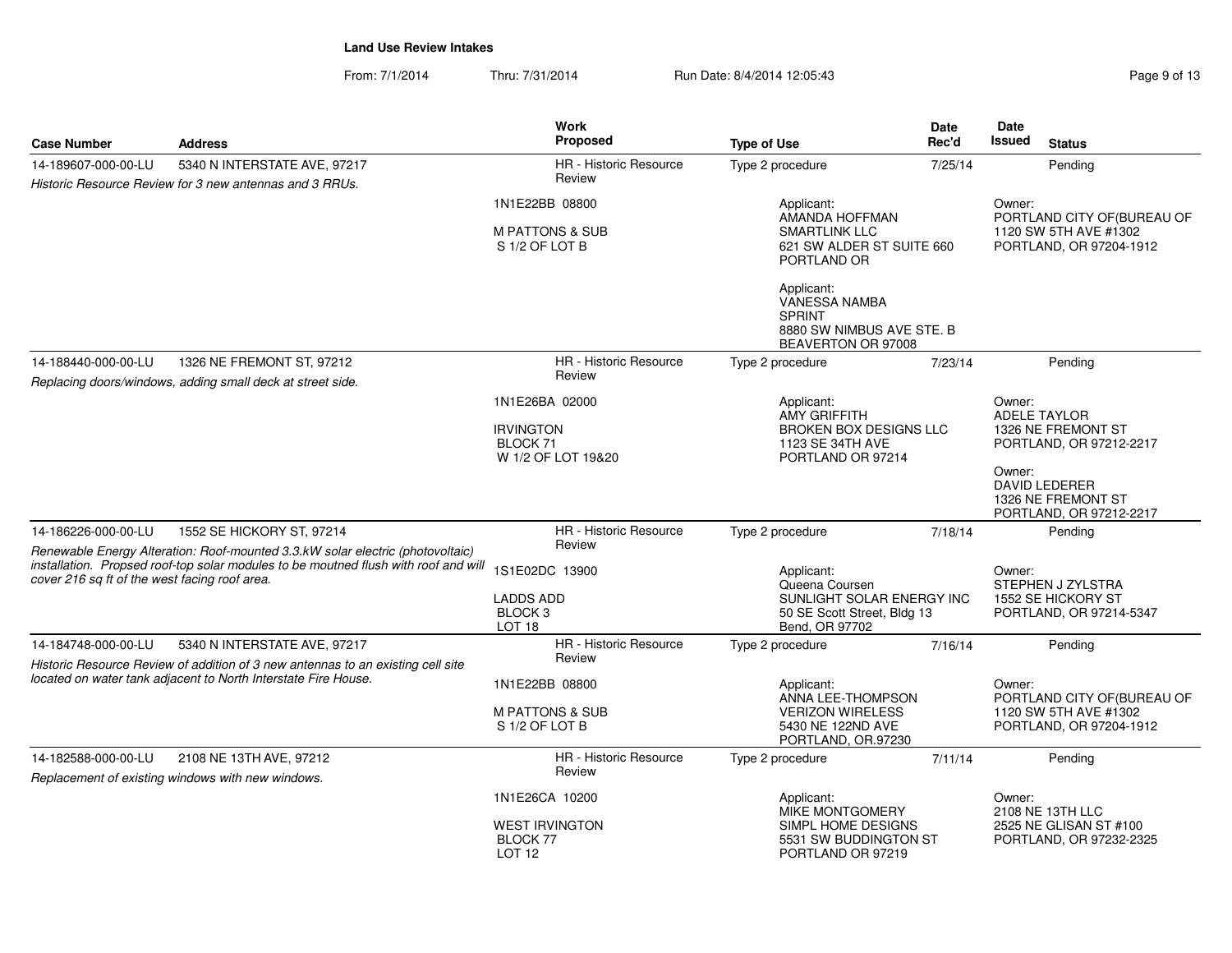| Page 9 of 13 |  |  |  |  |
|--------------|--|--|--|--|
|--------------|--|--|--|--|

| <b>Case Number</b>                                                                                                                                                                                                     | <b>Address</b>                                             | <b>Work</b><br><b>Proposed</b>                              | <b>Type of Use</b>                                                                              | Date<br>Rec'd | Date<br>Issued                        | <b>Status</b>                                                                   |
|------------------------------------------------------------------------------------------------------------------------------------------------------------------------------------------------------------------------|------------------------------------------------------------|-------------------------------------------------------------|-------------------------------------------------------------------------------------------------|---------------|---------------------------------------|---------------------------------------------------------------------------------|
| 14-189607-000-00-LU                                                                                                                                                                                                    | 5340 N INTERSTATE AVE, 97217                               | <b>HR</b> - Historic Resource                               | Type 2 procedure                                                                                | 7/25/14       |                                       | Pending                                                                         |
|                                                                                                                                                                                                                        | Historic Resource Review for 3 new antennas and 3 RRUs.    | Review                                                      |                                                                                                 |               |                                       |                                                                                 |
|                                                                                                                                                                                                                        |                                                            | 1N1E22BB 08800                                              | Applicant:<br>AMANDA HOFFMAN                                                                    |               | Owner:<br>PORTLAND CITY OF (BUREAU OF |                                                                                 |
|                                                                                                                                                                                                                        |                                                            | <b>M PATTONS &amp; SUB</b><br>S 1/2 OF LOT B                | <b>SMARTLINK LLC</b><br>621 SW ALDER ST SUITE 660<br>PORTLAND OR                                |               |                                       | 1120 SW 5TH AVE #1302<br>PORTLAND, OR 97204-1912                                |
|                                                                                                                                                                                                                        |                                                            |                                                             | Applicant:<br>VANESSA NAMBA<br><b>SPRINT</b><br>8880 SW NIMBUS AVE STE. B<br>BEAVERTON OR 97008 |               |                                       |                                                                                 |
| 14-188440-000-00-LU                                                                                                                                                                                                    | 1326 NE FREMONT ST, 97212                                  | HR - Historic Resource                                      | Type 2 procedure                                                                                | 7/23/14       |                                       | Pending                                                                         |
|                                                                                                                                                                                                                        | Replacing doors/windows, adding small deck at street side. | Review                                                      |                                                                                                 |               |                                       |                                                                                 |
|                                                                                                                                                                                                                        |                                                            | 1N1E26BA 02000                                              | Applicant:<br><b>AMY GRIFFITH</b>                                                               |               | Owner:                                | <b>ADELE TAYLOR</b>                                                             |
|                                                                                                                                                                                                                        |                                                            | <b>IRVINGTON</b><br>BLOCK 71<br>W 1/2 OF LOT 19&20          | <b>BROKEN BOX DESIGNS LLC</b><br>1123 SE 34TH AVE<br>PORTLAND OR 97214                          |               |                                       | 1326 NE FREMONT ST<br>PORTLAND, OR 97212-2217                                   |
|                                                                                                                                                                                                                        |                                                            |                                                             |                                                                                                 |               | Owner:                                | <b>DAVID LEDERER</b><br>1326 NE FREMONT ST<br>PORTLAND, OR 97212-2217           |
| 14-186226-000-00-LU                                                                                                                                                                                                    | 1552 SE HICKORY ST, 97214                                  | HR - Historic Resource<br>Review                            | Type 2 procedure                                                                                | 7/18/14       |                                       | Pending                                                                         |
| Renewable Energy Alteration: Roof-mounted 3.3.kW solar electric (photovoltaic)<br>installation. Propsed roof-top solar modules to be moutned flush with roof and will<br>cover 216 sq ft of the west facing roof area. |                                                            | 1S1E02DC 13900                                              | Applicant:<br>Queena Coursen                                                                    |               | Owner:                                | STEPHEN J ZYLSTRA                                                               |
|                                                                                                                                                                                                                        |                                                            | <b>LADDS ADD</b><br>BLOCK <sub>3</sub><br>LOT <sub>18</sub> | SUNLIGHT SOLAR ENERGY INC<br>50 SE Scott Street, Bldg 13<br>Bend, OR 97702                      |               |                                       | 1552 SE HICKORY ST<br>PORTLAND, OR 97214-5347                                   |
| 14-184748-000-00-LU                                                                                                                                                                                                    | 5340 N INTERSTATE AVE, 97217                               | <b>HR</b> - Historic Resource                               | Type 2 procedure                                                                                | 7/16/14       |                                       | Pending                                                                         |
| Historic Resource Review of addition of 3 new antennas to an existing cell site<br>located on water tank adjacent to North Interstate Fire House.                                                                      |                                                            | Review<br>1N1E22BB 08800                                    | Applicant:                                                                                      |               | Owner:                                |                                                                                 |
|                                                                                                                                                                                                                        |                                                            | <b>M PATTONS &amp; SUB</b><br>S 1/2 OF LOT B                | ANNA LEE-THOMPSON<br><b>VERIZON WIRELESS</b><br>5430 NE 122ND AVE<br>PORTLAND, OR.97230         |               |                                       | PORTLAND CITY OF (BUREAU OF<br>1120 SW 5TH AVE #1302<br>PORTLAND, OR 97204-1912 |
| 14-182588-000-00-LU                                                                                                                                                                                                    | 2108 NE 13TH AVE, 97212                                    | <b>HR</b> - Historic Resource                               | Type 2 procedure                                                                                | 7/11/14       |                                       | Pending                                                                         |
|                                                                                                                                                                                                                        | Replacement of existing windows with new windows.          | Review                                                      |                                                                                                 |               |                                       |                                                                                 |
|                                                                                                                                                                                                                        |                                                            | 1N1E26CA 10200                                              | Applicant:<br>MIKE MONTGOMERY                                                                   |               | Owner:                                | 2108 NE 13TH LLC                                                                |
|                                                                                                                                                                                                                        |                                                            | <b>WEST IRVINGTON</b><br>BLOCK 77<br>LOT <sub>12</sub>      | SIMPL HOME DESIGNS<br>5531 SW BUDDINGTON ST<br>PORTLAND OR 97219                                |               |                                       | 2525 NE GLISAN ST #100<br>PORTLAND, OR 97232-2325                               |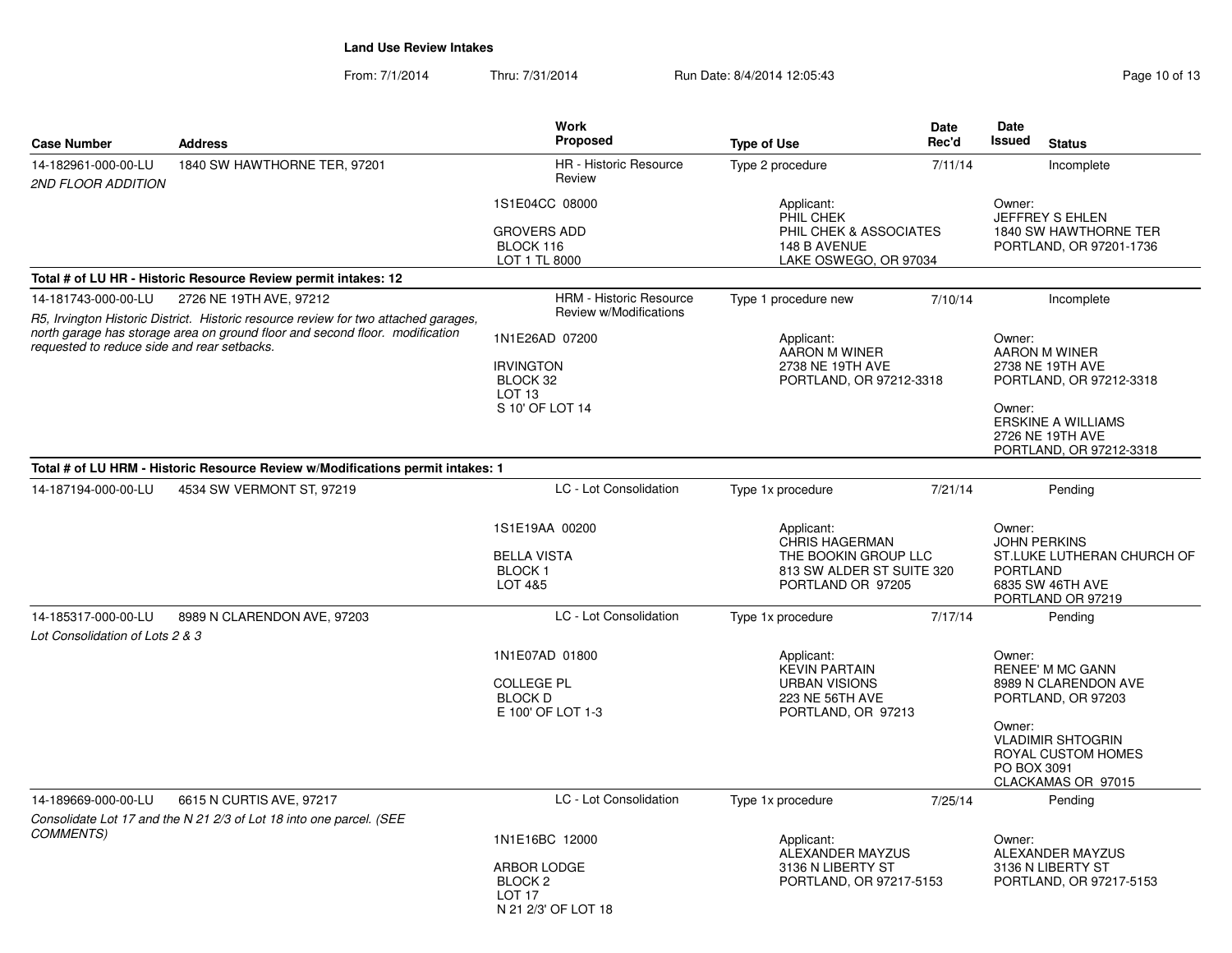| <b>Case Number</b>                                     | <b>Address</b>                                                                                                                                                      | <b>Work</b><br>Proposed                                                                         | <b>Type of Use</b>                                                                                                                 | <b>Date</b><br>Rec'd | Date<br><b>Issued</b><br><b>Status</b>                                                                                                                                                  |
|--------------------------------------------------------|---------------------------------------------------------------------------------------------------------------------------------------------------------------------|-------------------------------------------------------------------------------------------------|------------------------------------------------------------------------------------------------------------------------------------|----------------------|-----------------------------------------------------------------------------------------------------------------------------------------------------------------------------------------|
| 14-182961-000-00-LU<br>2ND FLOOR ADDITION              | 1840 SW HAWTHORNE TER, 97201                                                                                                                                        | HR - Historic Resource<br>Review                                                                | Type 2 procedure                                                                                                                   | 7/11/14              | Incomplete                                                                                                                                                                              |
|                                                        |                                                                                                                                                                     | 1S1E04CC 08000<br><b>GROVERS ADD</b><br>BLOCK 116<br>LOT 1 TL 8000                              | Applicant:<br>PHIL CHEK<br>PHIL CHEK & ASSOCIATES<br>148 B AVENUE<br>LAKE OSWEGO, OR 97034                                         |                      | Owner:<br>JEFFREY S EHLEN<br>1840 SW HAWTHORNE TER<br>PORTLAND, OR 97201-1736                                                                                                           |
|                                                        | Total # of LU HR - Historic Resource Review permit intakes: 12                                                                                                      |                                                                                                 |                                                                                                                                    |                      |                                                                                                                                                                                         |
| 14-181743-000-00-LU                                    | 2726 NE 19TH AVE, 97212                                                                                                                                             | <b>HRM - Historic Resource</b>                                                                  | Type 1 procedure new                                                                                                               | 7/10/14              | Incomplete                                                                                                                                                                              |
|                                                        | R5, Irvington Historic District. Historic resource review for two attached garages,<br>north garage has storage area on ground floor and second floor. modification | Review w/Modifications                                                                          |                                                                                                                                    |                      |                                                                                                                                                                                         |
| requested to reduce side and rear setbacks.            |                                                                                                                                                                     | 1N1E26AD 07200<br><b>IRVINGTON</b><br>BLOCK 32<br>LOT <sub>13</sub><br>S 10' OF LOT 14          | Applicant:<br>AARON M WINER<br>2738 NE 19TH AVE<br>PORTLAND, OR 97212-3318                                                         |                      | Owner:<br>AARON M WINER<br>2738 NE 19TH AVE<br>PORTLAND, OR 97212-3318<br>Owner:<br><b>ERSKINE A WILLIAMS</b><br>2726 NE 19TH AVE<br>PORTLAND, OR 97212-3318                            |
|                                                        | Total # of LU HRM - Historic Resource Review w/Modifications permit intakes: 1                                                                                      |                                                                                                 |                                                                                                                                    |                      |                                                                                                                                                                                         |
| 14-187194-000-00-LU                                    | 4534 SW VERMONT ST, 97219                                                                                                                                           | LC - Lot Consolidation<br>1S1E19AA 00200<br><b>BELLA VISTA</b><br><b>BLOCK1</b><br>LOT 4&5      | Type 1x procedure<br>Applicant:<br><b>CHRIS HAGERMAN</b><br>THE BOOKIN GROUP LLC<br>813 SW ALDER ST SUITE 320<br>PORTLAND OR 97205 | 7/21/14              | Pending<br>Owner:<br><b>JOHN PERKINS</b><br>ST.LUKE LUTHERAN CHURCH OF<br><b>PORTLAND</b><br>6835 SW 46TH AVE<br>PORTLAND OR 97219                                                      |
| 14-185317-000-00-LU<br>Lot Consolidation of Lots 2 & 3 | 8989 N CLARENDON AVE, 97203                                                                                                                                         | LC - Lot Consolidation                                                                          | Type 1x procedure                                                                                                                  | 7/17/14              | Pending                                                                                                                                                                                 |
|                                                        |                                                                                                                                                                     | 1N1E07AD 01800<br><b>COLLEGE PL</b><br><b>BLOCK D</b><br>E 100' OF LOT 1-3                      | Applicant:<br><b>KEVIN PARTAIN</b><br><b>URBAN VISIONS</b><br>223 NE 56TH AVE<br>PORTLAND, OR 97213                                |                      | Owner:<br><b>RENEE' M MC GANN</b><br>8989 N CLARENDON AVE<br>PORTLAND, OR 97203<br>Owner:<br><b>VLADIMIR SHTOGRIN</b><br><b>ROYAL CUSTOM HOMES</b><br>PO BOX 3091<br>CLACKAMAS OR 97015 |
| 14-189669-000-00-LU                                    | 6615 N CURTIS AVE, 97217                                                                                                                                            | LC - Lot Consolidation                                                                          | Type 1x procedure                                                                                                                  | 7/25/14              | Pending                                                                                                                                                                                 |
|                                                        | Consolidate Lot 17 and the N 21 2/3 of Lot 18 into one parcel. (SEE                                                                                                 |                                                                                                 |                                                                                                                                    |                      |                                                                                                                                                                                         |
| <b>COMMENTS)</b>                                       |                                                                                                                                                                     | 1N1E16BC 12000<br>ARBOR LODGE<br>BLOCK <sub>2</sub><br>LOT <sub>17</sub><br>N 21 2/3' OF LOT 18 | Applicant:<br>ALEXANDER MAYZUS<br>3136 N LIBERTY ST<br>PORTLAND, OR 97217-5153                                                     |                      | Owner:<br>ALEXANDER MAYZUS<br>3136 N LIBERTY ST<br>PORTLAND, OR 97217-5153                                                                                                              |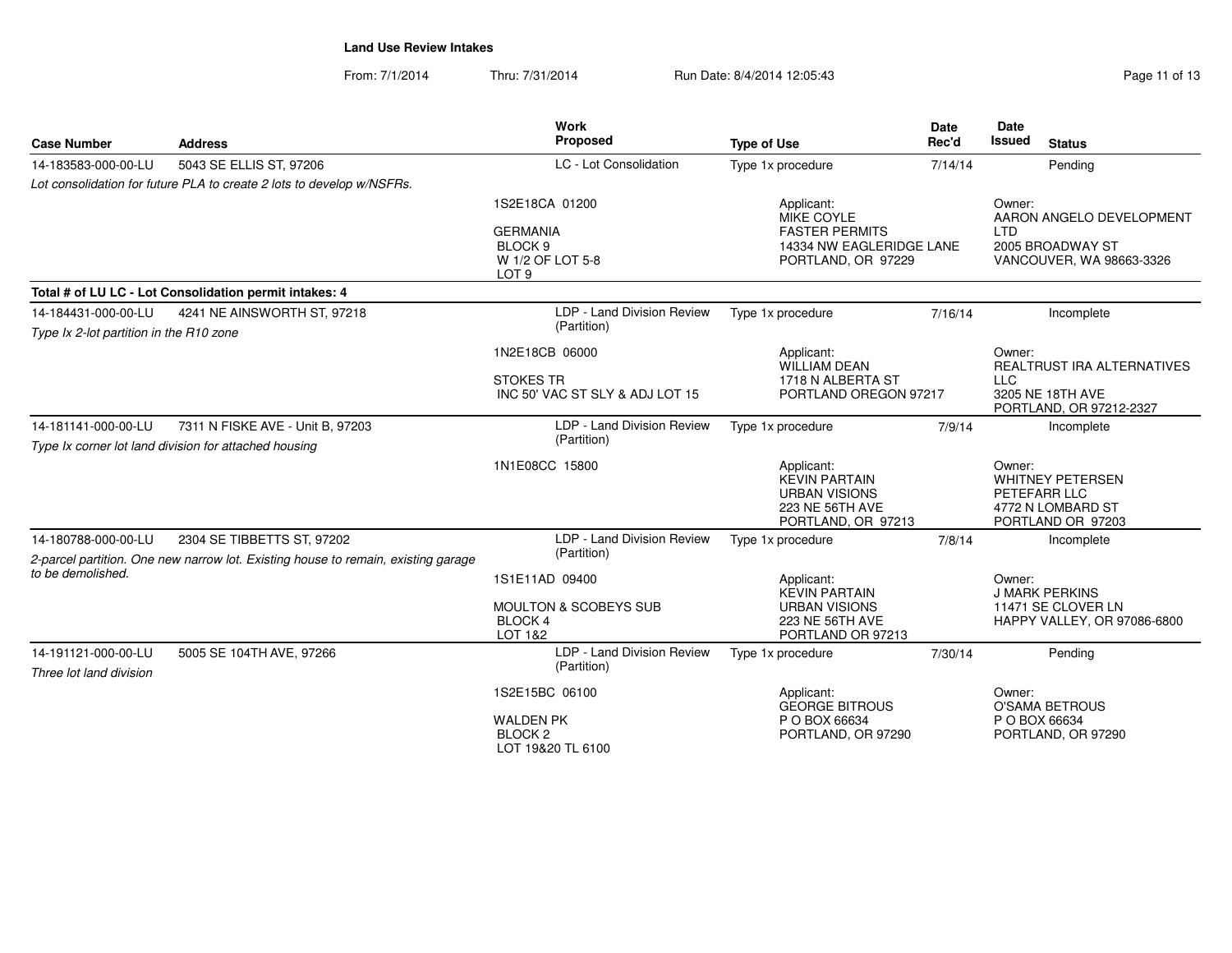| <b>Case Number</b>                                             | <b>Address</b>                                                                            | Work<br>Proposed                                                                                | <b>Type of Use</b>                                                                                  | <b>Date</b><br>Rec'd | <b>Date</b><br><b>Issued</b><br><b>Status</b>                                                    |
|----------------------------------------------------------------|-------------------------------------------------------------------------------------------|-------------------------------------------------------------------------------------------------|-----------------------------------------------------------------------------------------------------|----------------------|--------------------------------------------------------------------------------------------------|
| 14-183583-000-00-LU                                            | 5043 SE ELLIS ST, 97206                                                                   | LC - Lot Consolidation                                                                          | Type 1x procedure                                                                                   | 7/14/14              | Pending                                                                                          |
|                                                                | Lot consolidation for future PLA to create 2 lots to develop w/NSFRs.                     |                                                                                                 |                                                                                                     |                      |                                                                                                  |
|                                                                |                                                                                           | 1S2E18CA 01200<br><b>GERMANIA</b><br>BLOCK <sub>9</sub><br>W 1/2 OF LOT 5-8<br>LOT <sub>9</sub> | Applicant:<br>MIKE COYLE<br><b>FASTER PERMITS</b><br>14334 NW EAGLERIDGE LANE<br>PORTLAND, OR 97229 |                      | Owner:<br>AARON ANGELO DEVELOPMENT<br><b>LTD</b><br>2005 BROADWAY ST<br>VANCOUVER, WA 98663-3326 |
|                                                                | Total # of LU LC - Lot Consolidation permit intakes: 4                                    |                                                                                                 |                                                                                                     |                      |                                                                                                  |
| 14-184431-000-00-LU<br>Type Ix 2-lot partition in the R10 zone | 4241 NE AINSWORTH ST, 97218                                                               | LDP - Land Division Review<br>(Partition)                                                       | Type 1x procedure                                                                                   | 7/16/14              | Incomplete                                                                                       |
|                                                                |                                                                                           | 1N2E18CB 06000<br><b>STOKES TR</b><br>INC 50' VAC ST SLY & ADJ LOT 15                           | Applicant:<br><b>WILLIAM DEAN</b><br>1718 N ALBERTA ST<br>PORTLAND OREGON 97217                     |                      | Owner:<br>REALTRUST IRA ALTERNATIVES<br><b>LLC</b><br>3205 NE 18TH AVE                           |
| 14-181141-000-00-LU                                            | 7311 N FISKE AVE - Unit B, 97203<br>Type Ix corner lot land division for attached housing | LDP - Land Division Review<br>(Partition)                                                       | Type 1x procedure                                                                                   | 7/9/14               | PORTLAND, OR 97212-2327<br>Incomplete                                                            |
|                                                                |                                                                                           | 1N1E08CC 15800                                                                                  | Applicant:<br><b>KEVIN PARTAIN</b><br><b>URBAN VISIONS</b><br>223 NE 56TH AVE<br>PORTLAND, OR 97213 |                      | Owner:<br><b>WHITNEY PETERSEN</b><br>PETEFARR LLC<br>4772 N LOMBARD ST<br>PORTLAND OR 97203      |
| 14-180788-000-00-LU                                            | 2304 SE TIBBETTS ST, 97202                                                                | LDP - Land Division Review                                                                      | Type 1x procedure                                                                                   | 7/8/14               | Incomplete                                                                                       |
|                                                                | 2-parcel partition. One new narrow lot. Existing house to remain, existing garage         | (Partition)                                                                                     |                                                                                                     |                      |                                                                                                  |
| to be demolished.                                              |                                                                                           | 1S1E11AD 09400<br><b>MOULTON &amp; SCOBEYS SUB</b><br><b>BLOCK4</b><br>LOT 1&2                  | Applicant:<br><b>KEVIN PARTAIN</b><br><b>URBAN VISIONS</b><br>223 NE 56TH AVE<br>PORTLAND OR 97213  |                      | Owner:<br><b>J MARK PERKINS</b><br>11471 SE CLOVER LN<br>HAPPY VALLEY, OR 97086-6800             |
| 14-191121-000-00-LU<br>Three lot land division                 | 5005 SE 104TH AVE, 97266                                                                  | LDP - Land Division Review<br>(Partition)                                                       | Type 1x procedure                                                                                   | 7/30/14              | Pending                                                                                          |
|                                                                |                                                                                           | 1S2E15BC 06100<br><b>WALDEN PK</b><br>BLOCK <sub>2</sub><br>LOT 19&20 TL 6100                   | Applicant:<br><b>GEORGE BITROUS</b><br>P O BOX 66634<br>PORTLAND, OR 97290                          |                      | Owner:<br><b>O'SAMA BETROUS</b><br>P O BOX 66634<br>PORTLAND, OR 97290                           |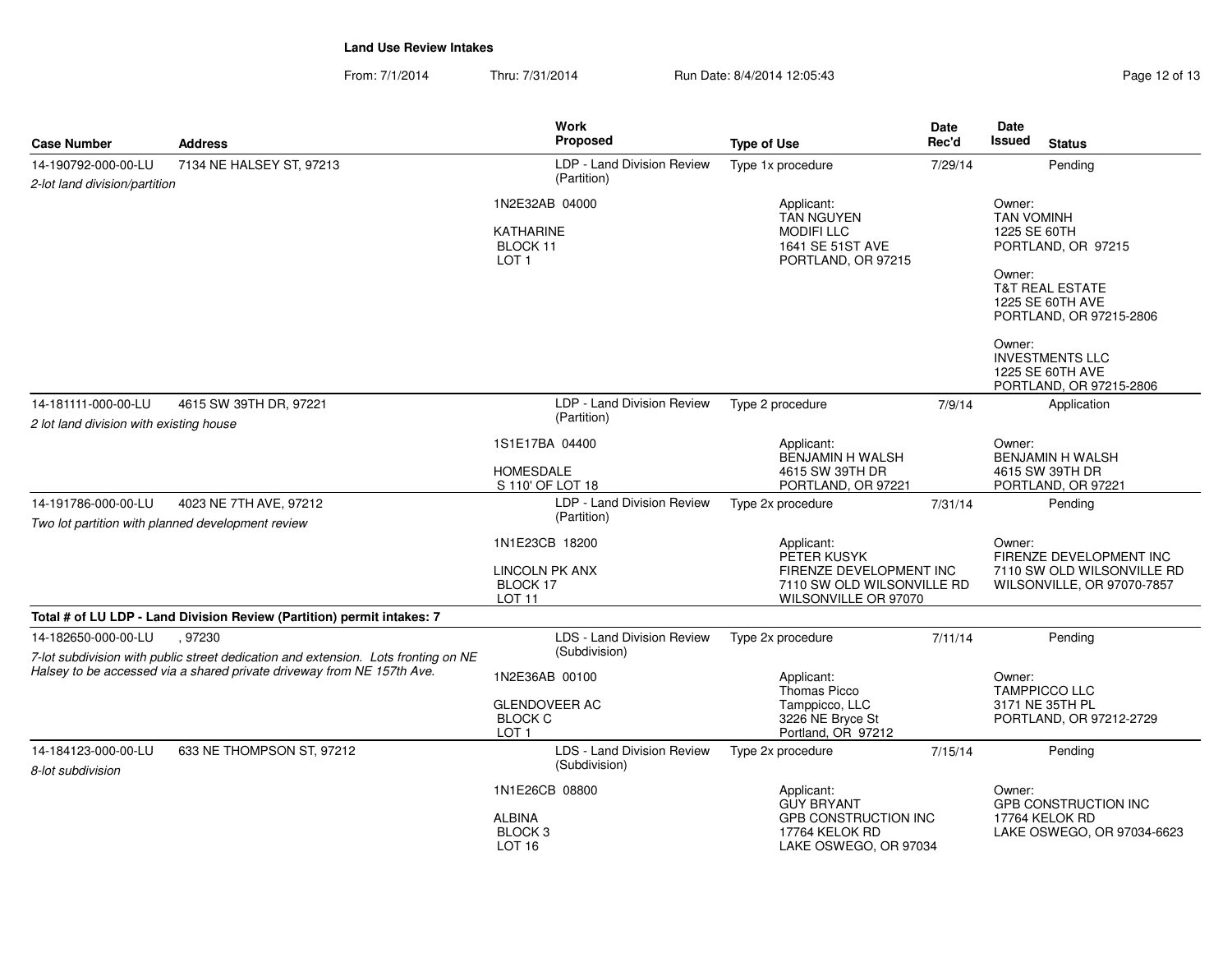| Page 12 of 13 |  |
|---------------|--|
|---------------|--|

| <b>Case Number</b>                                             | <b>Address</b>                                                                                                                                                        | <b>Work</b><br>Proposed                                                      | <b>Type of Use</b>                                                                                         | Date<br>Rec'd | Date<br><b>Issued</b>                                           | <b>Status</b>                                                                                                             |
|----------------------------------------------------------------|-----------------------------------------------------------------------------------------------------------------------------------------------------------------------|------------------------------------------------------------------------------|------------------------------------------------------------------------------------------------------------|---------------|-----------------------------------------------------------------|---------------------------------------------------------------------------------------------------------------------------|
| 14-190792-000-00-LU<br>2-lot land division/partition           | 7134 NE HALSEY ST, 97213                                                                                                                                              | LDP - Land Division Review<br>(Partition)                                    | Type 1x procedure                                                                                          | 7/29/14       |                                                                 | Pending                                                                                                                   |
|                                                                |                                                                                                                                                                       | 1N2E32AB 04000<br><b>KATHARINE</b><br>BLOCK 11<br>LOT <sub>1</sub>           | Applicant:<br><b>TAN NGUYEN</b><br><b>MODIFILLC</b><br>1641 SE 51ST AVE<br>PORTLAND, OR 97215              |               | Owner:<br><b>TAN VOMINH</b><br>1225 SE 60TH<br>Owner:<br>Owner: | PORTLAND, OR 97215<br><b>T&amp;T REAL ESTATE</b><br>1225 SE 60TH AVE<br>PORTLAND, OR 97215-2806<br><b>INVESTMENTS LLC</b> |
|                                                                |                                                                                                                                                                       |                                                                              |                                                                                                            |               |                                                                 | 1225 SE 60TH AVE<br>PORTLAND, OR 97215-2806                                                                               |
| 14-181111-000-00-LU<br>2 lot land division with existing house | 4615 SW 39TH DR, 97221                                                                                                                                                | LDP - Land Division Review<br>(Partition)                                    | Type 2 procedure                                                                                           | 7/9/14        |                                                                 | Application                                                                                                               |
|                                                                |                                                                                                                                                                       | 1S1E17BA 04400<br>HOMESDALE<br>S 110' OF LOT 18                              | Applicant:<br>BENJAMIN H WALSH<br>4615 SW 39TH DR<br>PORTLAND, OR 97221                                    |               | Owner:                                                          | <b>BENJAMIN H WALSH</b><br>4615 SW 39TH DR<br>PORTLAND, OR 97221                                                          |
| 14-191786-000-00-LU                                            | 4023 NE 7TH AVE, 97212<br>Two lot partition with planned development review                                                                                           | LDP - Land Division Review<br>(Partition)                                    | Type 2x procedure                                                                                          | 7/31/14       |                                                                 | Pending                                                                                                                   |
|                                                                |                                                                                                                                                                       | 1N1E23CB 18200<br><b>LINCOLN PK ANX</b><br>BLOCK 17<br><b>LOT 11</b>         | Applicant:<br>PETER KUSYK<br>FIRENZE DEVELOPMENT INC<br>7110 SW OLD WILSONVILLE RD<br>WILSONVILLE OR 97070 |               | Owner:                                                          | FIRENZE DEVELOPMENT INC<br>7110 SW OLD WILSONVILLE RD<br>WILSONVILLE, OR 97070-7857                                       |
|                                                                | Total # of LU LDP - Land Division Review (Partition) permit intakes: 7                                                                                                |                                                                              |                                                                                                            |               |                                                                 |                                                                                                                           |
| 14-182650-000-00-LU                                            | 97230<br>7-lot subdivision with public street dedication and extension. Lots fronting on NE<br>Halsey to be accessed via a shared private driveway from NE 157th Ave. | <b>LDS - Land Division Review</b><br>(Subdivision)                           | Type 2x procedure                                                                                          | 7/11/14       |                                                                 | Pending                                                                                                                   |
|                                                                |                                                                                                                                                                       | 1N2E36AB 00100<br><b>GLENDOVEER AC</b><br><b>BLOCK C</b><br>LOT <sub>1</sub> | Applicant:<br><b>Thomas Picco</b><br>Tamppicco, LLC<br>3226 NE Bryce St<br>Portland, OR 97212              |               | Owner:                                                          | <b>TAMPPICCO LLC</b><br>3171 NE 35TH PL<br>PORTLAND, OR 97212-2729                                                        |
| 14-184123-000-00-LU<br>8-lot subdivision                       | 633 NE THOMPSON ST, 97212                                                                                                                                             | LDS - Land Division Review<br>(Subdivision)                                  | Type 2x procedure                                                                                          | 7/15/14       |                                                                 | Pending                                                                                                                   |
|                                                                |                                                                                                                                                                       | 1N1E26CB 08800<br><b>ALBINA</b><br>BLOCK <sub>3</sub><br>LOT <sub>16</sub>   | Applicant:<br><b>GUY BRYANT</b><br>GPB CONSTRUCTION INC<br>17764 KELOK RD<br>LAKE OSWEGO, OR 97034         |               | Owner:                                                          | <b>GPB CONSTRUCTION INC</b><br>17764 KELOK RD<br>LAKE OSWEGO, OR 97034-6623                                               |